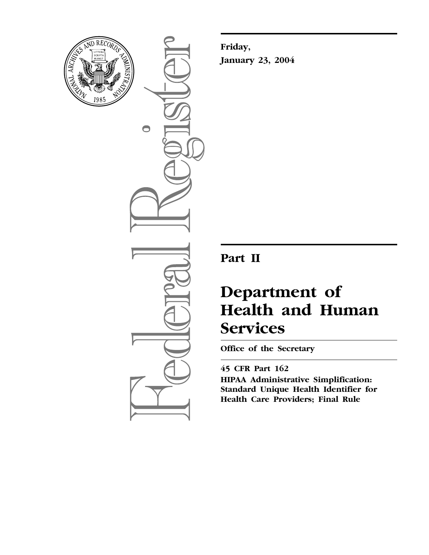

 $\bigcirc$ 

**Friday, January 23, 2004**

## **Part II**

# **Department of Health and Human Services**

**Office of the Secretary** 

## **45 CFR Part 162**

**HIPAA Administrative Simplification: Standard Unique Health Identifier for Health Care Providers; Final Rule**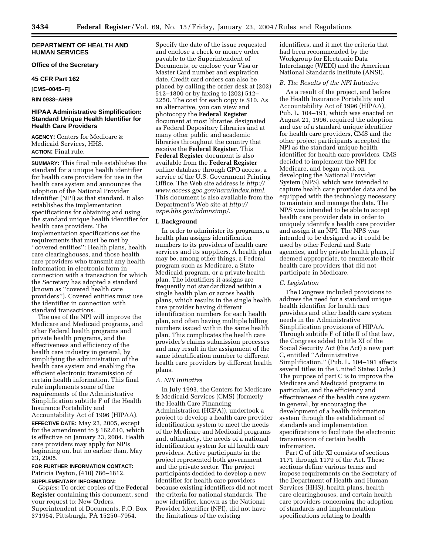#### **DEPARTMENT OF HEALTH AND HUMAN SERVICES**

**Office of the Secretary** 

#### **45 CFR Part 162**

**[CMS–0045–F]** 

#### **RIN 0938–AH99**

#### **HIPAA Administrative Simplification: Standard Unique Health Identifier for Health Care Providers**

**AGENCY:** Centers for Medicare & Medicaid Services, HHS. **ACTION:** Final rule.

**SUMMARY:** This final rule establishes the standard for a unique health identifier for health care providers for use in the health care system and announces the adoption of the National Provider Identifier (NPI) as that standard. It also establishes the implementation specifications for obtaining and using the standard unique health identifier for health care providers. The implementation specifications set the requirements that must be met by ''covered entities'': Health plans, health care clearinghouses, and those health care providers who transmit any health information in electronic form in connection with a transaction for which the Secretary has adopted a standard (known as ''covered health care providers''). Covered entities must use the identifier in connection with standard transactions.

The use of the NPI will improve the Medicare and Medicaid programs, and other Federal health programs and private health programs, and the effectiveness and efficiency of the health care industry in general, by simplifying the administration of the health care system and enabling the efficient electronic transmission of certain health information. This final rule implements some of the requirements of the Administrative Simplification subtitle F of the Health Insurance Portability and Accountability Act of 1996 (HIPAA). **EFFECTIVE DATE:** May 23, 2005, except for the amendment to § 162.610, which is effective on January 23, 2004. Health care providers may apply for NPIs beginning on, but no earlier than, May 23, 2005.

#### **FOR FURTHER INFORMATION CONTACT:** Patricia Peyton, (410) 786–1812. **SUPPLEMENTARY INFORMATION:**

*Copies:* To order copies of the **Federal** 

**Register** containing this document, send your request to: New Orders, Superintendent of Documents, P.O. Box 371954, Pittsburgh, PA 15250–7954.

Specify the date of the issue requested and enclose a check or money order payable to the Superintendent of Documents, or enclose your Visa or Master Card number and expiration date. Credit card orders can also be placed by calling the order desk at (202) 512–1800 or by faxing to (202) 512– 2250. The cost for each copy is \$10. As an alternative, you can view and photocopy the **Federal Register** document at most libraries designated as Federal Depository Libraries and at many other public and academic libraries throughout the country that receive the **Federal Register**. This **Federal Register** document is also available from the **Federal Register** online database through GPO access, a service of the U.S. Government Printing Office. The Web site address is *http:// [www.access.gpo.gov/nara/index.html.](http://www.access.gpo.gov/nara/index.html)* This document is also available from the Department's Web site at *http:// [aspe.hhs.gov/admnsimp/.](http://aspe.hhs.gov/admnsimp/)*

#### **I. Background**

In order to administer its programs, a health plan assigns identification numbers to its providers of health care services and its suppliers. A health plan may be, among other things, a Federal program such as Medicare, a State Medicaid program, or a private health plan. The identifiers it assigns are frequently not standardized within a single health plan or across health plans, which results in the single health care provider having different identification numbers for each health plan, and often having multiple billing numbers issued within the same health plan. This complicates the health care provider's claims submission processes and may result in the assignment of the same identification number to different health care providers by different health plans.

#### *A. NPI Initiative*

In July 1993, the Centers for Medicare & Medicaid Services (CMS) (formerly the Health Care Financing Administration (HCFA)), undertook a project to develop a health care provider identification system to meet the needs of the Medicare and Medicaid programs and, ultimately, the needs of a national identification system for all health care providers. Active participants in the project represented both government and the private sector. The project participants decided to develop a new identifier for health care providers because existing identifiers did not meet the criteria for national standards. The new identifier, known as the National Provider Identifier (NPI), did not have the limitations of the existing

identifiers, and it met the criteria that had been recommended by the Workgroup for Electronic Data Interchange (WEDI) and the American National Standards Institute (ANSI).

#### *B. The Results of the NPI Initiative*

As a result of the project, and before the Health Insurance Portability and Accountability Act of 1996 (HIPAA), Pub. L. 104–191, which was enacted on August 21, 1996, required the adoption and use of a standard unique identifier for health care providers, CMS and the other project participants accepted the NPI as the standard unique health identifier for health care providers. CMS decided to implement the NPI for Medicare, and began work on developing the National Provider System (NPS), which was intended to capture health care provider data and be equipped with the technology necessary to maintain and manage the data. The NPS was intended to be able to accept health care provider data in order to uniquely identify a health care provider and assign it an NPI. The NPS was intended to be designed so it could be used by other Federal and State agencies, and by private health plans, if deemed appropriate, to enumerate their health care providers that did not participate in Medicare.

#### *C. Legislation*

The Congress included provisions to address the need for a standard unique health identifier for health care providers and other health care system needs in the Administrative Simplification provisions of HIPAA. Through subtitle F of title II of that law, the Congress added to title XI of the Social Security Act (the Act) a new part C, entitled ''Administrative Simplification.'' (Pub. L. 104–191 affects several titles in the United States Code.) The purpose of part C is to improve the Medicare and Medicaid programs in particular, and the efficiency and effectiveness of the health care system in general, by encouraging the development of a health information system through the establishment of standards and implementation specifications to facilitate the electronic transmission of certain health information.

Part C of title XI consists of sections 1171 through 1179 of the Act. These sections define various terms and impose requirements on the Secretary of the Department of Health and Human Services (HHS), health plans, health care clearinghouses, and certain health care providers concerning the adoption of standards and implementation specifications relating to health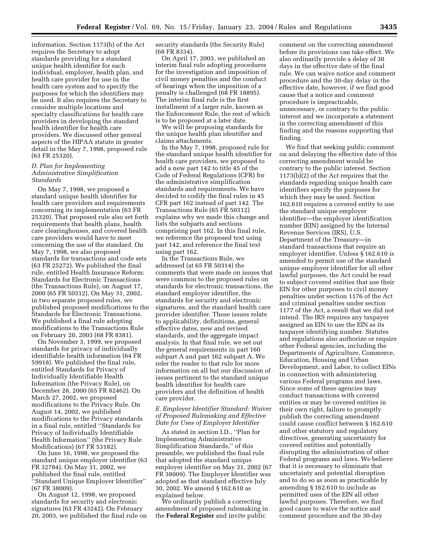information. Section 1173(b) of the Act requires the Secretary to adopt standards providing for a standard unique health identifier for each individual, employer, health plan, and health care provider for use in the health care system and to specify the purposes for which the identifiers may be used. It also requires the Secretary to consider multiple locations and specialty classifications for health care providers in developing the standard health identifier for health care providers. We discussed other general aspects of the HIPAA statute in greater detail in the May 7, 1998, proposed rule (63 FR 25320).

#### *D. Plan for Implementing Administrative Simplification Standards*

On May 7, 1998, we proposed a standard unique health identifier for health care providers and requirements concerning its implementation (63 FR 25320). That proposed rule also set forth requirements that health plans, health care clearinghouses, and covered health care providers would have to meet concerning the use of the standard. On May 7, 1998, we also proposed standards for transactions and code sets (63 FR 25272). We published the final rule, entitled Health Insurance Reform: Standards for Electronic Transactions (the Transactions Rule), on August 17, 2000 (65 FR 50312). On May 31, 2002, in two separate proposed rules, we published proposed modifications to the Standards for Electronic Transactions. We published a final rule adopting modifications to the Transactions Rule on February 20, 2003 (68 FR 8381).

On November 3, 1999, we proposed standards for privacy of individually identifiable health information (64 FR 59918). We published the final rule, entitled Standards for Privacy of Individually Identifiable Health Information (the Privacy Rule), on December 28, 2000 (65 FR 82462). On March 27, 2002, we proposed modifications to the Privacy Rule. On August 14, 2002, we published modifications to the Privacy standards in a final rule, entitled ''Standards for Privacy of Individually Identifiable Health Information'' (the Privacy Rule Modifications) (67 FR 53182).

On June 16, 1998, we proposed the standard unique employer identifier (63 FR 32784). On May 31, 2002, we published the final rule, entitled ''Standard Unique Employer Identifier'' (67 FR 38009).

On August 12, 1998, we proposed standards for security and electronic signatures (63 FR 43242). On February 20, 2003, we published the final rule on security standards (the Security Rule) (68 FR 8334).

On April 17, 2003, we published an interim final rule adopting procedures for the investigation and imposition of civil money penalties and the conduct of hearings when the imposition of a penalty is challenged (68 FR 18895). The interim final rule is the first installment of a larger rule, known as the Enforcement Rule, the rest of which is to be proposed at a later date.

We will be proposing standards for the unique health plan identifier and claims attachments.

In the May 7, 1998, proposed rule for the standard unique health identifier for health care providers, we proposed to add a new part 142 to title 45 of the Code of Federal Regulations (CFR) for the administrative simplification standards and requirements. We have decided to codify the final rules in 45 CFR part 162 instead of part 142. The Transactions Rule (65 FR 50312) explains why we made this change and lists the subparts and sections comprising part 162. In this final rule, we reference the proposed text using part 142, and reference the final text using part 162.

In the Transactions Rule, we addressed (at 65 FR 50314) the comments that were made on issues that were common to the proposed rules on standards for electronic transactions, the standard employer identifier, the standards for security and electronic signatures, and the standard health care provider identifier. Those issues relate to applicability, definitions, general effective dates, new and revised standards, and the aggregate impact analysis. In that final rule, we set out the general requirements in part 160 subpart A and part 162 subpart A. We refer the reader to that rule for more information on all but our discussion of issues pertinent to the standard unique health identifier for health care providers and the definition of health care provider.

#### *E. Employer Identifier Standard: Waiver of Proposed Rulemaking and Effective Date for Uses of Employer Identifier*

As stated in section I.D., ''Plan for Implementing Administrative Simplification Standards,'' of this preamble, we published the final rule that adopted the standard unique employer identifier on May 31, 2002 (67 FR 38009). The Employer Identifier was adopted as that standard effective July 30, 2002. We amend § 162.610 as explained below.

We ordinarily publish a correcting amendment of proposed rulemaking in the **Federal Register** and invite public

comment on the correcting amendment before its provisions can take effect. We also ordinarily provide a delay of 30 days in the effective date of the final rule. We can waive notice and comment procedure and the 30-day delay in the effective date, however, if we find good cause that a notice and comment procedure is impracticable, unnecessary, or contrary to the public interest and we incorporate a statement in the correcting amendment of this finding and the reasons supporting that finding.

We find that seeking public comment on and delaying the effective date of this correcting amendment would be contrary to the public interest. Section 1173(b)(2) of the Act requires that the standards regarding unique health care identifiers specify the purposes for which they may be used. Section 162.610 requires a covered entity to use the standard unique employer identifier—the employer identification number (EIN) assigned by the Internal Revenue Services (IRS), U.S. Department of the Treasury—in standard transactions that require an employer identifier. Unless § 162.610 is amended to permit use of the standard unique employer identifier for all other lawful purposes, the Act could be read to subject covered entities that use their EIN for other purposes to civil money penalties under section 1176 of the Act and criminal penalties under section 1177 of the Act, a result that we did not intend. The IRS requires any taxpayer assigned an EIN to use the EIN as its taxpayer identifying number. Statutes and regulations also authorize or require other Federal agencies, including the Departments of Agriculture, Commerce, Education, Housing and Urban Development, and Labor, to collect EINs in connection with administering various Federal programs and laws. Since some of these agencies may conduct transactions with covered entities or may be covered entities in their own right, failure to promptly publish the correcting amendment could cause conflict between § 162.610 and other statutory and regulatory directives, generating uncertainty for covered entities and potentially disrupting the administration of other Federal programs and laws. We believe that it is necessary to eliminate that uncertainty and potential disruption and to do so as soon as practicable by amending § 162.610 to include as permitted uses of the EIN all other lawful purposes. Therefore, we find good cause to waive the notice and comment procedure and the 30-day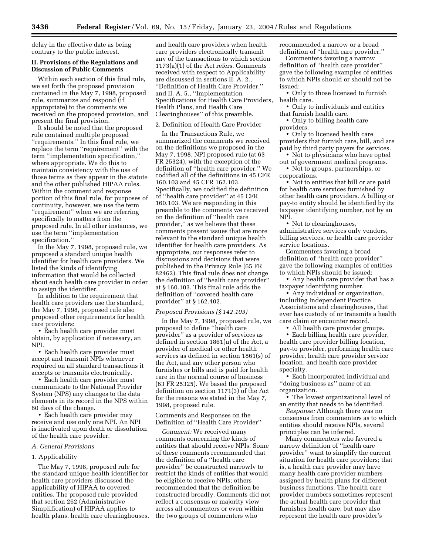delay in the effective date as being contrary to the public interest.

#### **II. Provisions of the Regulations and Discussion of Public Comments**

Within each section of this final rule, we set forth the proposed provision contained in the May 7, 1998, proposed rule, summarize and respond (if appropriate) to the comments we received on the proposed provision, and present the final provision.

It should be noted that the proposed rule contained multiple proposed ''requirements.'' In this final rule, we replace the term ''requirement'' with the term ''implementation specification,'' where appropriate. We do this to maintain consistency with the use of those terms as they appear in the statute and the other published HIPAA rules. Within the comment and response portion of this final rule, for purposes of continuity, however, we use the term ''requirement'' when we are referring specifically to matters from the proposed rule. In all other instances, we use the term ''implementation specification.

In the May 7, 1998, proposed rule, we proposed a standard unique health identifier for health care providers. We listed the kinds of identifying information that would be collected about each health care provider in order to assign the identifier.

In addition to the requirement that health care providers use the standard, the May 7, 1998, proposed rule also proposed other requirements for health care providers:

• Each health care provider must obtain, by application if necessary, an NPI.

• Each health care provider must accept and transmit NPIs whenever required on all standard transactions it accepts or transmits electronically.

• Each health care provider must communicate to the National Provider System (NPS) any changes to the data elements in its record in the NPS within 60 days of the change.

• Each health care provider may receive and use only one NPI. An NPI is inactivated upon death or dissolution of the health care provider.

#### *A. General Provisions*

#### 1. Applicability

The May 7, 1998, proposed rule for the standard unique health identifier for health care providers discussed the applicability of HIPAA to covered entities. The proposed rule provided that section 262 (Administrative Simplification) of HIPAA applies to health plans, health care clearinghouses,

and health care providers when health care providers electronically transmit any of the transactions to which section 1173(a)(1) of the Act refers. Comments received with respect to Applicability are discussed in sections II. A. 2., ''Definition of Health Care Provider,'' and II. A. 5., ''Implementation Specifications for Health Care Providers, Health Plans, and Health Care Clearinghouses'' of this preamble.

#### 2. Definition of Health Care Provider

In the Transactions Rule, we summarized the comments we received on the definitions we proposed in the May 7, 1998, NPI proposed rule (at 63 FR 25324), with the exception of the definition of ''health care provider.'' We codified all of the definitions in 45 CFR 160.103 and 45 CFR 162.103. Specifically, we codified the definition of ''health care provider'' at 45 CFR 160.103. We are responding in this preamble to the comments we received on the definition of ''health care provider,'' as we believe that these comments present issues that are more relevant to the standard unique health identifier for health care providers. As appropriate, our responses refer to discussions and decisions that were published in the Privacy Rule (65 FR 82462). This final rule does not change the definition of ''health care provider'' at § 160.103. This final rule adds the definition of ''covered health care provider'' at § 162.402.

#### *Proposed Provisions (§ 142.103)*

In the May 7, 1998, proposed rule, we proposed to define ''health care provider'' as a provider of services as defined in section 1861(u) of the Act, a provider of medical or other health services as defined in section 1861(s) of the Act, and any other person who furnishes or bills and is paid for health care in the normal course of business (63 FR 25325). We based the proposed definition on section 1171(3) of the Act for the reasons we stated in the May 7, 1998, proposed rule.

Comments and Responses on the Definition of ''Health Care Provider''

*Comment:* We received many comments concerning the kinds of entities that should receive NPIs. Some of these comments recommended that the definition of a ''health care provider'' be constructed narrowly to restrict the kinds of entities that would be eligible to receive NPIs; others recommended that the definition be constructed broadly. Comments did not reflect a consensus or majority view across all commenters or even within the two groups of commenters who

recommended a narrow or a broad definition of ''health care provider.''

Commenters favoring a narrow definition of ''health care provider'' gave the following examples of entities to which NPIs should or should not be issued:

• Only to those licensed to furnish health care.

- Only to individuals and entities that furnish health care.
- Only to billing health care providers.
- Only to licensed health care providers that furnish care, bill, and are paid by third party payers for services.
- Not to physicians who have opted out of government medical programs.
- Not to groups, partnerships, or corporations.

• Not to entities that bill or are paid for health care services furnished by other health care providers. A billing or pay-to entity should be identified by its taxpayer identifying number, not by an NPI.

• Not to clearinghouses, administrative services only vendors, billing services, or health care provider service locations.

Commenters favoring a broad definition of ''health care provider'' gave the following examples of entities to which NPIs should be issued:

• Any health care provider that has a taxpayer identifying number.

• Any individual or organization, including Independent Practice Associations and clearinghouses, that ever has custody of or transmits a health care claim or encounter record.

• All health care provider groups.

• Each billing health care provider, health care provider billing location, pay-to provider, performing health care provider, health care provider service location, and health care provider specialty.

• Each incorporated individual and ''doing business as'' name of an organization.

• The lowest organizational level of an entity that needs to be identified.

*Response:* Although there was no consensus from commenters as to which entities should receive NPIs, several principles can be inferred.

Many commenters who favored a narrow definition of ''health care provider'' want to simplify the current situation for health care providers; that is, a health care provider may have many health care provider numbers assigned by health plans for different business functions. The health care provider numbers sometimes represent the actual health care provider that furnishes health care, but may also represent the health care provider's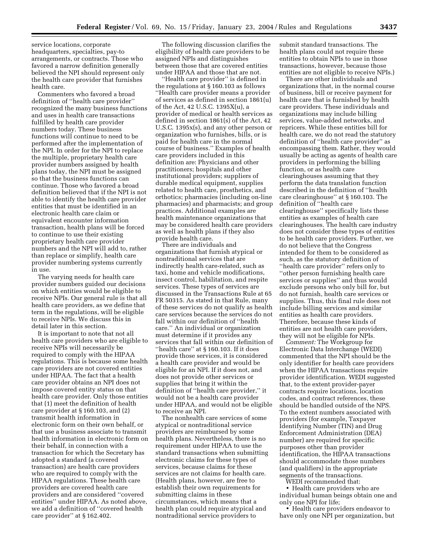service locations, corporate headquarters, specialties, pay-to arrangements, or contracts. Those who favored a narrow definition generally believed the NPI should represent only the health care provider that furnishes health care.

Commenters who favored a broad definition of ''health care provider'' recognized the many business functions and uses in health care transactions fulfilled by health care provider numbers today. These business functions will continue to need to be performed after the implementation of the NPI. In order for the NPI to replace the multiple, proprietary health care provider numbers assigned by health plans today, the NPI must be assigned so that the business functions can continue. Those who favored a broad definition believed that if the NPI is not able to identify the health care provider entities that must be identified in an electronic health care claim or equivalent encounter information transaction, health plans will be forced to continue to use their existing proprietary health care provider numbers and the NPI will add to, rather than replace or simplify, health care provider numbering systems currently in use.

The varying needs for health care provider numbers guided our decisions on which entities would be eligible to receive NPIs. Our general rule is that all health care providers, as we define that term in the regulations, will be eligible to receive NPIs. We discuss this in detail later in this section.

It is important to note that not all health care providers who are eligible to receive NPIs will necessarily be required to comply with the HIPAA regulations. This is because some health care providers are not covered entities under HIPAA. The fact that a health care provider obtains an NPI does not impose covered entity status on that health care provider. Only those entities that (1) meet the definition of health care provider at § 160.103, and (2) transmit health information in electronic form on their own behalf, or that use a business associate to transmit health information in electronic form on their behalf, in connection with a transaction for which the Secretary has adopted a standard (a covered transaction) are health care providers who are required to comply with the HIPAA regulations. These health care providers are covered health care providers and are considered ''covered entities'' under HIPAA. As noted above, we add a definition of ''covered health care provider'' at § 162.402.

The following discussion clarifies the eligibility of health care providers to be assigned NPIs and distinguishes between those that are covered entities under HIPAA and those that are not.

'Health care provider'' is defined in the regulations at § 160.103 as follows ''Health care provider means a provider of services as defined in section 1861(u) of the Act, 42 U.S.C. 1395X(u), a provider of medical or health services as defined in section 1861(s) of the Act, 42 U.S.C. 1395x(s), and any other person or organization who furnishes, bills, or is paid for health care in the normal course of business.'' Examples of health care providers included in this definition are: Physicians and other practitioners; hospitals and other institutional providers; suppliers of durable medical equipment, supplies related to health care, prosthetics, and orthotics; pharmacies (including on-line pharmacies) and pharmacists; and group practices. Additional examples are health maintenance organizations that may be considered health care providers as well as health plans if they also provide health care.

There are individuals and organizations that furnish atypical or nontraditional services that are indirectly health care-related, such as taxi, home and vehicle modifications, insect control, habilitation, and respite services. These types of services are discussed in the Transactions Rule at 65 FR 50315. As stated in that Rule, many of these services do not qualify as health care services because the services do not fall within our definition of ''health care.'' An individual or organization must determine if it provides any services that fall within our definition of ''health care'' at § 160.103. If it does provide those services, it is considered a health care provider and would be eligible for an NPI. If it does not, and does not provide other services or supplies that bring it within the definition of ''health care provider,'' it would not be a health care provider under HIPAA, and would not be eligible to receive an NPI.

The nonhealth care services of some atypical or nontraditional service providers are reimbursed by some health plans. Nevertheless, there is no requirement under HIPAA to use the standard transactions when submitting electronic claims for these types of services, because claims for these services are not claims for health care. (Health plans, however, are free to establish their own requirements for submitting claims in these circumstances, which means that a health plan could require atypical and nontraditional service providers to

submit standard transactions. The health plans could not require these entities to obtain NPIs to use in those transactions, however, because those entities are not eligible to receive NPIs.)

There are other individuals and organizations that, in the normal course of business, bill or receive payment for health care that is furnished by health care providers. These individuals and organizations may include billing services, value-added networks, and repricers. While these entities bill for health care, we do not read the statutory definition of ''health care provider'' as encompassing them. Rather, they would usually be acting as agents of health care providers in performing the billing function, or as health care clearinghouses assuming that they perform the data translation function described in the definition of ''health care clearinghouse'' at § 160.103. The definition of ''health care clearinghouse'' specifically lists these entities as examples of health care clearinghouses. The health care industry does not consider these types of entities to be health care providers. Further, we do not believe that the Congress intended for them to be considered as such, as the statutory definition of ''health care provider'' refers only to ''other person furnishing health care services or supplies'' and thus would exclude persons who only bill for, but do not furnish, health care services or supplies. Thus, this final rule does not include billing services and similar entities as health care providers. Therefore, because these kinds of entities are not health care providers, they will not be eligible for NPIs.

*Comment:* The Workgroup for Electronic Data Interchange (WEDI) commented that the NPI should be the only identifier for health care providers when the HIPAA transactions require provider identification. WEDI suggested that, to the extent provider-payer contracts require locations, location codes, and contract references, these should be handled outside of the NPS. To the extent numbers associated with providers (for example, Taxpayer Identifying Number (TIN) and Drug Enforcement Administration (DEA) number) are required for specific purposes other than provider identification, the HIPAA transactions should accommodate those numbers (and qualifiers) in the appropriate segments of the transactions.

WEDI recommended that:

• Health care providers who are individual human beings obtain one and only one NPI for life;

• Health care providers endeavor to have only one NPI per organization, but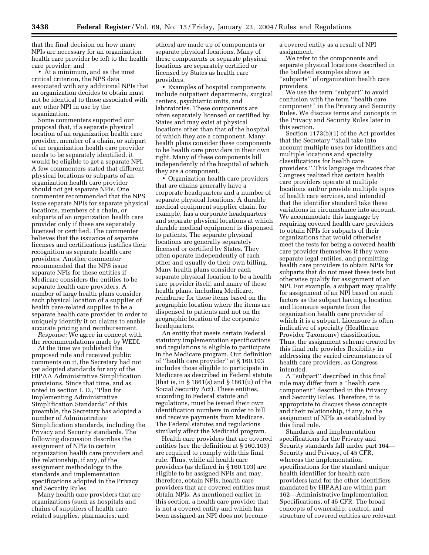that the final decision on how many NPIs are necessary for an organization health care provider be left to the health care provider; and

• At a minimum, and as the most critical criterion, the NPS data associated with any additional NPIs that an organization decides to obtain must not be identical to those associated with any other NPI in use by the organization.

Some commenters supported our proposal that, if a separate physical location of an organization health care provider, member of a chain, or subpart of an organization health care provider needs to be separately identified, it would be eligible to get a separate NPI. A few commenters stated that different physical locations or subparts of an organization health care provider should not get separate NPIs. One commenter recommended that the NPS issue separate NPIs for separate physical locations, members of a chain, or subparts of an organization health care provider only if these are separately licensed or certified. The commenter believes that the issuance of separate licenses and certifications justifies their recognition as separate health care providers. Another commenter recommended that the NPS issue separate NPIs for these entities if Medicare considers the entities to be separate health care providers. A number of large health plans consider each physical location of a supplier of health care-related supplies to be a separate health care provider in order to uniquely identify it on claims to enable accurate pricing and reimbursement.

*Response:* We agree in concept with the recommendations made by WEDI.

At the time we published the proposed rule and received public comments on it, the Secretary had not yet adopted standards for any of the HIPAA Administrative Simplification provisions. Since that time, and as noted in section I. D., ''Plan for Implementing Administrative Simplification Standards'' of this preamble, the Secretary has adopted a number of Administrative Simplification standards, including the Privacy and Security standards. The following discussion describes the assignment of NPIs to certain organization health care providers and the relationship, if any, of the assignment methodology to the standards and implementation specifications adopted in the Privacy and Security Rules.

Many health care providers that are organizations (such as hospitals and chains of suppliers of health carerelated supplies, pharmacies, and

others) are made up of components or separate physical locations. Many of these components or separate physical locations are separately certified or licensed by States as health care providers.

• Examples of hospital components include outpatient departments, surgical centers, psychiatric units, and laboratories. These components are often separately licensed or certified by States and may exist at physical locations other than that of the hospital of which they are a component. Many health plans consider these components to be health care providers in their own right. Many of these components bill independently of the hospital of which they are a component.

• Organization health care providers that are chains generally have a corporate headquarters and a number of separate physical locations. A durable medical equipment supplier chain, for example, has a corporate headquarters and separate physical locations at which durable medical equipment is dispensed to patients. The separate physical locations are generally separately licensed or certified by States. They often operate independently of each other and usually do their own billing. Many health plans consider each separate physical location to be a health care provider itself; and many of these health plans, including Medicare, reimburse for these items based on the geographic location where the items are dispensed to patients and not on the geographic location of the corporate headquarters.

An entity that meets certain Federal statutory implementation specifications and regulations is eligible to participate in the Medicare program. Our definition of ''health care provider'' at § 160.103 includes those eligible to participate in Medicare as described in Federal statute (that is, in § 1861(s) and § 1861(u) of the Social Security Act). These entities, according to Federal statute and regulations, must be issued their own identification numbers in order to bill and receive payments from Medicare. The Federal statutes and regulations similarly affect the Medicaid program.

Health care providers that are covered entities (see the definition at § 160.103) are required to comply with this final rule. Thus, while all health care providers (as defined in § 160.103) are eligible to be assigned NPIs and may, therefore, obtain NPIs, health care providers that are covered entities must obtain NPIs. As mentioned earlier in this section, a health care provider that is not a covered entity and which has been assigned an NPI does not become

a covered entity as a result of NPI assignment.

We refer to the components and separate physical locations described in the bulleted examples above as ''subparts'' of organization health care providers.

We use the term ''subpart'' to avoid confusion with the term ''health care component'' in the Privacy and Security Rules. We discuss terms and concepts in the Privacy and Security Rules later in this section.

Section 1173(b)(1) of the Act provides that the Secretary ''shall take into account multiple uses for identifiers and multiple locations and specialty classifications for health care providers.'' This language indicates that Congress realized that certain health care providers operate at multiple locations and/or provide multiple types of health care services, and intended that the identifier standard take these variations in circumstance into account. We accommodate this language by requiring covered health care providers to obtain NPIs for subparts of their organizations that would otherwise meet the tests for being a covered health care provider themselves if they were separate legal entities, and permitting health care providers to obtain NPIs for subparts that do not meet these tests but otherwise qualify for assignment of an NPI. For example, a subpart may qualify for assignment of an NPI based on such factors as the subpart having a location and licensure separate from the organization health care provider of which it is a subpart. Licensure is often indicative of specialty (Healthcare Provider Taxonomy) classification. Thus, the assignment scheme created by this final rule provides flexibility in addressing the varied circumstances of health care providers, as Congress intended.

A ''subpart'' described in this final rule may differ from a ''health care component'' described in the Privacy and Security Rules. Therefore, it is appropriate to discuss these concepts and their relationship, if any, to the assignment of NPIs as established by this final rule.

Standards and implementation specifications for the Privacy and Security standards fall under part 164— Security and Privacy, of 45 CFR, whereas the implementation specifications for the standard unique health identifier for health care providers (and for the other identifiers mandated by HIPAA) are within part 162—Administrative Implementation Specifications, of 45 CFR. The broad concepts of ownership, control, and structure of covered entities are relevant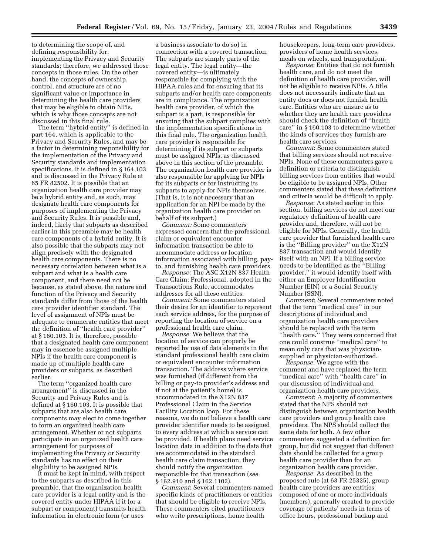to determining the scope of, and defining responsibility for, implementing the Privacy and Security standards; therefore, we addressed those concepts in those rules. On the other hand, the concepts of ownership, control, and structure are of no significant value or importance in determining the health care providers that may be eligible to obtain NPIs, which is why those concepts are not discussed in this final rule.

The term ''hybrid entity'' is defined in part 164, which is applicable to the Privacy and Security Rules, and may be a factor in determining responsibility for the implementation of the Privacy and Security standards and implementation specifications. It is defined in § 164.103 and is discussed in the Privacy Rule at 65 FR 82502. It is possible that an organization health care provider may be a hybrid entity and, as such, may designate health care components for purposes of implementing the Privacy and Security Rules. It is possible and, indeed, likely that subparts as described earlier in this preamble may be health care components of a hybrid entity. It is also possible that the subparts may not align precisely with the designated health care components. There is no necessary correlation between what is a subpart and what is a health care component, and there need not be because, as stated above, the nature and function of the Privacy and Security standards differ from those of the health care provider identifier standard. The level of assignment of NPIs must be adequate to enumerate entities that meet the definition of ''health care provider'' at § 160.103. It is, therefore, possible that a designated health care component may in essence be assigned multiple NPIs if the health care component is made up of multiple health care providers or subparts, as described earlier.

The term ''organized health care arrangement'' is discussed in the Security and Privacy Rules and is defined at § 160.103. It is possible that subparts that are also health care components may elect to come together to form an organized health care arrangement. Whether or not subparts participate in an organized health care arrangement for purposes of implementing the Privacy or Security standards has no effect on their eligibility to be assigned NPIs.

It must be kept in mind, with respect to the subparts as described in this preamble, that the organization health care provider is a legal entity and is the covered entity under HIPAA if it (or a subpart or component) transmits health information in electronic form (or uses

a business associate to do so) in connection with a covered transaction. The subparts are simply parts of the legal entity. The legal entity—the covered entity—is ultimately responsible for complying with the HIPAA rules and for ensuring that its subparts and/or health care components are in compliance. The organization health care provider, of which the subpart is a part, is responsible for ensuring that the subpart complies with the implementation specifications in this final rule. The organization health care provider is responsible for determining if its subpart or subparts must be assigned NPIs, as discussed above in this section of the preamble. The organization health care provider is also responsible for applying for NPIs for its subparts or for instructing its subparts to apply for NPIs themselves. (That is, it is not necessary that an application for an NPI be made by the organization health care provider on behalf of its subpart.)

*Comment:* Some commenters expressed concern that the professional claim or equivalent encounter information transaction be able to accommodate address or location information associated with billing, payto, and furnishing health care providers.

*Response:* The ASC X12N 837 Health Care Claim: Professional, adopted in the Transactions Rule, accommodates addresses for all these entities.

*Comment:* Some commenters stated their desire for an identifier to represent each service address, for the purpose of reporting the location of service on a professional health care claim.

*Response*: We believe that the location of service can properly be reported by use of data elements in the standard professional health care claim or equivalent encounter information transaction. The address where service was furnished (if different from the billing or pay-to provider's address and if not at the patient's home) is accommodated in the X12N 837 Professional Claim in the Service Facility Location loop. For these reasons, we do not believe a health care provider identifier needs to be assigned to every address at which a service can be provided. If health plans need service location data in addition to the data that are accommodated in the standard health care claim transaction, they should notify the organization responsible for that transaction (*see* § 162.910 and § 162.1102).

*Comment*: Several commenters named specific kinds of practitioners or entities that should be eligible to receive NPIs. These commenters cited practitioners who write prescriptions, home health

housekeepers, long-term care providers, providers of home health services, meals on wheels, and transportation.

*Response*: Entities that do not furnish health care, and do not meet the definition of health care provider, will not be eligible to receive NPIs. A title does not necessarily indicate that an entity does or does not furnish health care. Entities who are unsure as to whether they are health care providers should check the definition of ''health care'' in § 160.103 to determine whether the kinds of services they furnish are health care services.

*Comment*: Some commenters stated that billing services should not receive NPIs. None of these commenters gave a definition or criteria to distinguish billing services from entities that would be eligible to be assigned NPIs. Other commenters stated that these definitions and criteria would be difficult to apply.

*Response*: As stated earlier in this section, billing services do not meet our regulatory definition of health care provider and, therefore, will not be eligible for NPIs. Generally, the health care provider that furnished health care is the ''Billing provider'' on the X12N 837 transaction and would identify itself with an NPI. If a billing service needs to be identified as the ''Billing provider,'' it would identify itself with either an Employer Identification Number (EIN) or a Social Security Number (SSN).

*Comment*: Several commenters noted that the term ''medical care'' in our descriptions of individual and organization health care providers should be replaced with the term ''health care.'' They were concerned that one could construe ''medical care'' to mean only care that was physiciansupplied or physician-authorized.

*Response*: We agree with the comment and have replaced the term ''medical care'' with ''health care'' in our discussion of individual and organization health care providers.

*Comment*: A majority of commenters stated that the NPS should not distinguish between organization health care providers and group health care providers. The NPS should collect the same data for both. A few other commenters suggested a definition for group, but did not suggest that different data should be collected for a group health care provider than for an organization health care provider.

*Response*: As described in the proposed rule (at 63 FR 25325), group health care providers are entities composed of one or more individuals (members), generally created to provide coverage of patients' needs in terms of office hours, professional backup and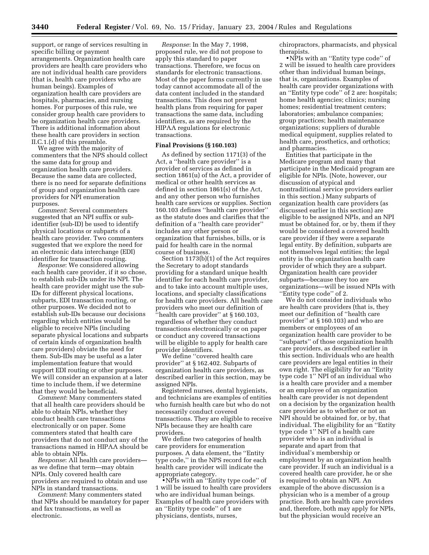support, or range of services resulting in specific billing or payment arrangements. Organization health care providers are health care providers who are not individual health care providers (that is, health care providers who are human beings). Examples of organization health care providers are hospitals, pharmacies, and nursing homes. For purposes of this rule, we consider group health care providers to be organization health care providers. There is additional information about these health care providers in section II.C.1.(d) of this preamble.

We agree with the majority of commenters that the NPS should collect the same data for group and organization health care providers. Because the same data are collected, there is no need for separate definitions of group and organization health care providers for NPI enumeration purposes.

*Comment*: Several commenters suggested that an NPI suffix or subidentifier (sub-ID) be used to identify physical locations or subparts of a health care provider. Two commenters suggested that we explore the need for an electronic data interchange (EDI) identifier for transaction routing.

*Response*: We considered allowing each health care provider, if it so chose, to establish sub-IDs under its NPI. The health care provider might use the sub-IDs for different physical locations, subparts, EDI transaction routing, or other purposes. We decided not to establish sub-IDs because our decisions regarding which entities would be eligible to receive NPIs (including separate physical locations and subparts of certain kinds of organization health care providers) obviate the need for them. Sub-IDs may be useful as a later implementation feature that would support EDI routing or other purposes. We will consider an expansion at a later time to include them, if we determine that they would be beneficial.

*Comment*: Many commenters stated that all health care providers should be able to obtain NPIs, whether they conduct health care transactions electronically or on paper. Some commenters stated that health care providers that do not conduct any of the transactions named in HIPAA should be able to obtain NPIs.

*Response*: All health care providers as we define that term—may obtain NPIs. Only covered health care providers are required to obtain and use NPIs in standard transactions.

*Comment*: Many commenters stated that NPIs should be mandatory for paper and fax transactions, as well as electronic.

*Response*: In the May 7, 1998, proposed rule, we did not propose to apply this standard to paper transactions. Therefore, we focus on standards for electronic transactions. Most of the paper forms currently in use today cannot accommodate all of the data content included in the standard transactions. This does not prevent health plans from requiring for paper transactions the same data, including identifiers, as are required by the HIPAA regulations for electronic transactions.

#### **Final Provisions (§ 160.103)**

As defined by section 1171(3) of the Act, a ''health care provider'' is a provider of services as defined in section 1861(u) of the Act, a provider of medical or other health services as defined in section 1861(s) of the Act, and any other person who furnishes health care services or supplies. Section 160.103 defines ''health care provider'' as the statute does and clarifies that the definition of a ''health care provider'' includes any other person or organization that furnishes, bills, or is paid for health care in the normal course of business.

Section 1173(b)(1) of the Act requires the Secretary to adopt standards providing for a standard unique health identifier for each health care provider, and to take into account multiple uses, locations, and specialty classifications for health care providers. All health care providers who meet our definition of ''health care provider'' at § 160.103, regardless of whether they conduct transactions electronically or on paper or conduct any covered transactions will be eligible to apply for health care provider identifiers.

We define ''covered health care provider'' at § 162.402. Subparts of organization health care providers, as described earlier in this section, may be assigned NPIs.

Registered nurses, dental hygienists, and technicians are examples of entities who furnish health care but who do not necessarily conduct covered transactions. They are eligible to receive NPIs because they are health care providers.

We define two categories of health care providers for enumeration purposes. A data element, the ''Entity type code,'' in the NPS record for each health care provider will indicate the appropriate category.

• NPIs with an ''Entity type code'' of 1 will be issued to health care providers who are individual human beings. Examples of health care providers with an ''Entity type code'' of 1 are physicians, dentists, nurses,

chiropractors, pharmacists, and physical therapists.

• NPIs with an ''Entity type code'' of 2 will be issued to health care providers other than individual human beings, that is, organizations. Examples of health care provider organizations with an ''Entity type code'' of 2 are: hospitals; home health agencies; clinics; nursing homes; residential treatment centers; laboratories; ambulance companies; group practices; health maintenance organizations; suppliers of durable medical equipment, supplies related to health care, prosthetics, and orthotics; and pharmacies.

Entities that participate in the Medicare program and many that participate in the Medicaid program are eligible for NPIs. (Note, however, our discussion of atypical and nontraditional service providers earlier in this section.) Many subparts of organization health care providers (as discussed earlier in this section) are eligible to be assigned NPIs, and an NPI must be obtained for, or by, them if they would be considered a covered health care provider if they were a separate legal entity. By definition, subparts are not themselves legal entities; the legal entity is the organization health care provider of which they are a subpart. Organization health care provider subparts—because they too are organizations—will be issued NPIs with ''Entity type code'' of 2.

We do not consider individuals who are health care providers (that is, they meet our definition of ''health care provider'' at § 160.103) and who are members or employees of an organization health care provider to be ''subparts'' of those organization health care providers, as described earlier in this section. Individuals who are health care providers are legal entities in their own right. The eligibility for an ''Entity type code 1'' NPI of an individual who is a health care provider and a member or an employee of an organization health care provider is not dependent on a decision by the organization health care provider as to whether or not an NPI should be obtained for, or by, that individual. The eligibility for an ''Entity type code 1'' NPI of a health care provider who is an individual is separate and apart from that individual's membership or employment by an organization health care provider. If such an individual is a covered health care provider, he or she is required to obtain an NPI. An example of the above discussion is a physician who is a member of a group practice. Both are health care providers and, therefore, both may apply for NPIs, but the physician would receive an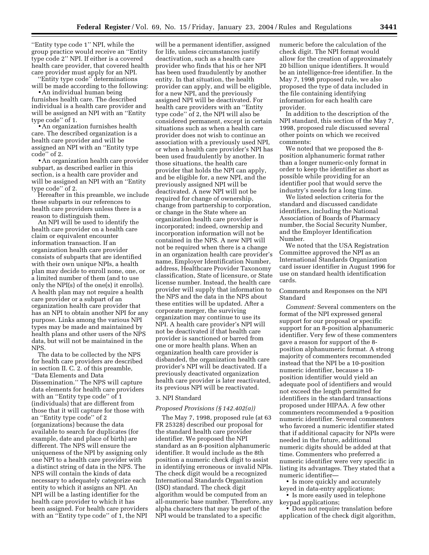''Entity type code 1'' NPI, while the group practice would receive an ''Entity type code 2'' NPI. If either is a covered health care provider, that covered health care provider must apply for an NPI.

''Entity type code'' determinations will be made according to the following:

• An individual human being furnishes health care. The described individual is a health care provider and will be assigned an NPI with an ''Entity type code'' of 1.

• An organization furnishes health care. The described organization is a health care provider and will be assigned an NPI with an ''Entity type code'' of 2.

• An organization health care provider subpart, as described earlier in this section, is a health care provider and will be assigned an NPI with an ''Entity type code'' of 2.

Hereafter in this preamble, we include these subparts in our references to health care providers unless there is a reason to distinguish them.

An NPI will be used to identify the health care provider on a health care claim or equivalent encounter information transaction. If an organization health care provider consists of subparts that are identified with their own unique NPIs, a health plan may decide to enroll none, one, or a limited number of them (and to use only the NPI(s) of the one(s) it enrolls). A health plan may not require a health care provider or a subpart of an organization health care provider that has an NPI to obtain another NPI for any purpose. Links among the various NPI types may be made and maintained by health plans and other users of the NPS data, but will not be maintained in the NPS.

The data to be collected by the NPS for health care providers are described in section II. C. 2. of this preamble, ''Data Elements and Data Dissemination.'' The NPS will capture data elements for health care providers with an ''Entity type code'' of 1 (individuals) that are different from those that it will capture for those with an ''Entity type code'' of 2 (organizations) because the data available to search for duplicates (for example, date and place of birth) are different. The NPS will ensure the uniqueness of the NPI by assigning only one NPI to a health care provider with a distinct string of data in the NPS. The NPS will contain the kinds of data necessary to adequately categorize each entity to which it assigns an NPI. An NPI will be a lasting identifier for the health care provider to which it has been assigned. For health care providers with an ''Entity type code'' of 1, the NPI

will be a permanent identifier, assigned for life, unless circumstances justify deactivation, such as a health care provider who finds that his or her NPI has been used fraudulently by another entity. In that situation, the health provider can apply, and will be eligible, for a new NPI, and the previously assigned NPI will be deactivated. For health care providers with an ''Entity type code'' of 2, the NPI will also be considered permanent, except in certain situations such as when a health care provider does not wish to continue an association with a previously used NPI, or when a health care provider's NPI has been used fraudulently by another. In those situations, the health care provider that holds the NPI can apply, and be eligible for, a new NPI, and the previously assigned NPI will be deactivated. A new NPI will not be required for change of ownership, change from partnership to corporation, or change in the State where an organization health care provider is incorporated; indeed, ownership and incorporation information will not be contained in the NPS. A new NPI will not be required when there is a change in an organization health care provider's name, Employer Identification Number, address, Healthcare Provider Taxonomy classification, State of licensure, or State license number. Instead, the health care provider will supply that information to the NPS and the data in the NPS about these entities will be updated. After a corporate merger, the surviving organization may continue to use its NPI. A health care provider's NPI will not be deactivated if that health care provider is sanctioned or barred from one or more health plans. When an organization health care provider is disbanded, the organization health care provider's NPI will be deactivated. If a previously deactivated organization health care provider is later reactivated, its previous NPI will be reactivated.

#### 3. NPI Standard

#### *Proposed Provisions (§ 142.402(a))*

The May 7, 1998, proposed rule (at 63 FR 25328) described our proposal for the standard health care provider identifier. We proposed the NPI standard as an 8-position alphanumeric identifier. It would include as the 8th position a numeric check digit to assist in identifying erroneous or invalid NPIs. The check digit would be a recognized International Standards Organization (ISO) standard. The check digit algorithm would be computed from an all-numeric base number. Therefore, any alpha characters that may be part of the NPI would be translated to a specific

numeric before the calculation of the check digit. The NPI format would allow for the creation of approximately 20 billion unique identifiers. It would be an intelligence-free identifier. In the May 7, 1998 proposed rule, we also proposed the type of data included in the file containing identifying information for each health care provider.

In addition to the description of the NPI standard, this section of the May 7, 1998, proposed rule discussed several other points on which we received comments:

We noted that we proposed the 8 position alphanumeric format rather than a longer numeric-only format in order to keep the identifier as short as possible while providing for an identifier pool that would serve the industry's needs for a long time.

We listed selection criteria for the standard and discussed candidate identifiers, including the National Association of Boards of Pharmacy number, the Social Security Number, and the Employer Identification Number.

We noted that the USA Registration Committee approved the NPI as an International Standards Organization card issuer identifier in August 1996 for use on standard health identification cards.

#### Comments and Responses on the NPI Standard

*Comment:* Several commenters on the format of the NPI expressed general support for our proposal or specific support for an 8-position alphanumeric identifier. Very few of these commenters gave a reason for support of the 8 position alphanumeric format. A strong majority of commenters recommended instead that the NPI be a 10-position numeric identifier, because a 10 position identifier would yield an adequate pool of identifiers and would not exceed the length permitted for identifiers in the standard transactions proposed under HIPAA. A few other commenters recommended a 9-position numeric identifier. Several commenters who favored a numeric identifier stated that if additional capacity for NPIs were needed in the future, additional numeric digits should be added at that time. Commenters who preferred a numeric identifier were very specific in listing its advantages. They stated that a numeric identifier—

• Is more quickly and accurately keyed in data-entry applications;

• Is more easily used in telephone keypad applications;

• Does not require translation before application of the check digit algorithm,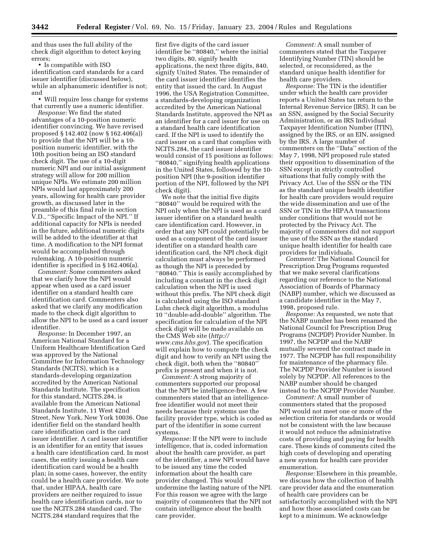and thus uses the full ability of the check digit algorithm to detect keying errors;

• Is compatible with ISO identification card standards for a card issuer identifier (discussed below), while an alphanumeric identifier is not; and

• Will require less change for systems that currently use a numeric identifier.

*Response:* We find the stated advantages of a 10-position numeric identifier convincing. We have revised proposed § 142.402 (now § 162.406(a)) to provide that the NPI will be a 10 position numeric identifier, with the 10th position being an ISO standard check digit. The use of a 10-digit numeric NPI and our initial assignment strategy will allow for 200 million unique NPIs. We estimate 200 million NPIs would last approximately 200 years, allowing for health care provider growth, as discussed later in the preamble of this final rule in section V.D., ''Specific Impact of the NPI.'' If additional capacity for NPIs is needed in the future, additional numeric digits will be added to the identifier at that time. A modification to the NPI format would be accomplished through rulemaking. A 10-position numeric identifier is specified in § 162.406(a).

*Comment:* Some commenters asked that we clarify how the NPI would appear when used as a card issuer identifier on a standard health care identification card. Commenters also asked that we clarify any modification made to the check digit algorithm to allow the NPI to be used as a card issuer identifier.

*Response:* In December 1997, an American National Standard for a Uniform Healthcare Identification Card was approved by the National Committee for Information Technology Standards (NCITS), which is a standards-developing organization accredited by the American National Standards Institute. The specification for this standard, NCITS.284, is available from the American National Standards Institute, 11 West 42nd Street, New York, New York 10036. One identifier field on the standard health care identification card is the card issuer identifier. A card issuer identifier is an identifier for an entity that issues a health care identification card. In most cases, the entity issuing a health care identification card would be a health plan; in some cases, however, the entity could be a health care provider. We note that, under HIPAA, health care providers are neither required to issue health care identification cards, nor to use the NCITS.284 standard card. The NCITS.284 standard requires that the

first five digits of the card issuer identifier be "80840," where the initial two digits, 80, signify health applications, the next three digits, 840, signify United States. The remainder of the card issuer identifier identifies the entity that issued the card. In August 1996, the USA Registration Committee, a standards-developing organization accredited by the American National Standards Institute, approved the NPI as an identifier for a card issuer for use on a standard health care identification card. If the NPI is used to identify the card issuer on a card that complies with NCITS.284, the card issuer identifier would consist of 15 positions as follows: ''80840,'' signifying health applications in the United States, followed by the 10 position NPI (the 9-position identifier portion of the NPI, followed by the NPI check digit).

We note that the initial five digits ''80840'' would be required with the NPI only when the NPI is used as a card issuer identifier on a standard health care identification card. However, in order that any NPI could potentially be used as a component of the card issuer identifier on a standard health care identification card, the NPI check digit calculation must always be performed as though the NPI is preceded by ''80840.'' This is easily accomplished by including a constant in the check digit calculation when the NPI is used without this prefix. The NPI check digit is calculated using the ISO standard Luhn check digit algorithm, a modulus 10 ''double-add-double'' algorithm. The specification for calculation of the NPI check digit will be made available on the CMS Web site (*http:// www.cms.hhs.gov*[\). The specification](http://www.cms.hhs.gov)  will explain how to compute the check digit and how to verify an NPI using the check digit, both when the ''80840'' prefix is present and when it is not.

*Comment:* A strong majority of commenters supported our proposal that the NPI be intelligence-free. A few commenters stated that an intelligencefree identifier would not meet their needs because their systems use the facility provider type, which is coded as part of the identifier in some current systems.

*Response:* If the NPI were to include intelligence, that is, coded information about the health care provider, as part of the identifier, a new NPI would have to be issued any time the coded information about the health care provider changed. This would undermine the lasting nature of the NPI. For this reason we agree with the large majority of commenters that the NPI not contain intelligence about the health care provider.

*Comment:* A small number of commenters stated that the Taxpayer Identifying Number (TIN) should be selected, or reconsidered, as the standard unique health identifier for health care providers.

*Response:* The TIN is the identifier under which the health care provider reports a United States tax return to the Internal Revenue Service (IRS). It can be an SSN, assigned by the Social Security Administration, or an IRS Individual Taxpayer Identification Number (ITIN), assigned by the IRS, or an EIN, assigned by the IRS. A large number of commenters on the ''Data'' section of the May 7, 1998, NPI proposed rule stated their opposition to dissemination of the SSN except in strictly controlled situations that fully comply with the Privacy Act. Use of the SSN or the TIN as the standard unique health identifier for health care providers would require the wide dissemination and use of the SSN or TIN in the HIPAA transactions under conditions that would not be protected by the Privacy Act. The majority of commenters did not support the use of the SSN as the standard unique health identifier for health care providers for individuals.

*Comment:* The National Council for Prescription Drug Programs requested that we make several clarifications regarding our reference to the National Association of Boards of Pharmacy (NABP) number, which we discussed as a candidate identifier in the May 7, 1998, proposed rule.

*Response:* As requested, we note that the NABP number has been renamed the National Council for Prescription Drug Programs (NCPDP) Provider Number. In 1997, the NCPDP and the NABP mutually severed the contract made in 1977. The NCPDP has full responsibility for maintenance of the pharmacy file. The NCPDP Provider Number is issued solely by NCPDP. All references to the NABP number should be changed instead to the NCPDP Provider Number.

*Comment:* A small number of commenters stated that the proposed NPI would not meet one or more of the selection criteria for standards or would not be consistent with the law because it would not reduce the administrative costs of providing and paying for health care. These kinds of comments cited the high costs of developing and operating a new system for health care provider enumeration.

*Response:* Elsewhere in this preamble, we discuss how the collection of health care provider data and the enumeration of health care providers can be satisfactorily accomplished with the NPI and how those associated costs can be kept to a minimum. We acknowledge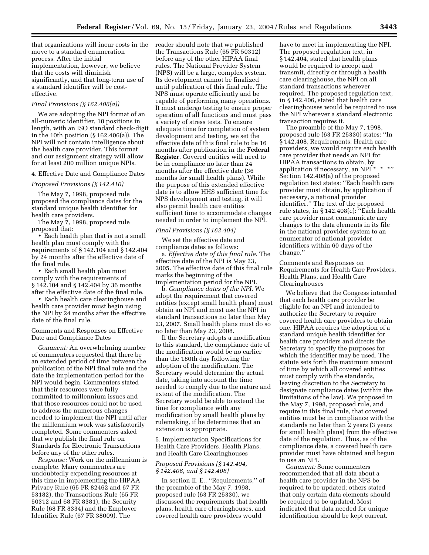that organizations will incur costs in the move to a standard enumeration process. After the initial implementation, however, we believe that the costs will diminish significantly, and that long-term use of a standard identifier will be costeffective.

#### *Final Provisions (§ 162.406(a))*

We are adopting the NPI format of an all-numeric identifier, 10 positions in length, with an ISO standard check-digit in the 10th position (§ 162.406(a)). The NPI will not contain intelligence about the health care provider. This format and our assignment strategy will allow for at least 200 million unique NPIs.

#### 4. Effective Date and Compliance Dates

#### *Proposed Provisions (§ 142.410)*

The May 7, 1998, proposed rule proposed the compliance dates for the standard unique health identifier for health care providers.

The May 7, 1998, proposed rule proposed that:

• Each health plan that is not a small health plan must comply with the requirements of § 142.104 and § 142.404 by 24 months after the effective date of the final rule.

• Each small health plan must comply with the requirements of § 142.104 and § 142.404 by 36 months after the effective date of the final rule.

• Each health care clearinghouse and health care provider must begin using the NPI by 24 months after the effective date of the final rule.

Comments and Responses on Effective Date and Compliance Dates

*Comment:* An overwhelming number of commenters requested that there be an extended period of time between the publication of the NPI final rule and the date the implementation period for the NPI would begin. Commenters stated that their resources were fully committed to millennium issues and that those resources could not be used to address the numerous changes needed to implement the NPI until after the millennium work was satisfactorily completed. Some commenters asked that we publish the final rule on Standards for Electronic Transactions before any of the other rules.

*Response:* Work on the millennium is complete. Many commenters are undoubtedly expending resources at this time in implementing the HIPAA Privacy Rule (65 FR 82462 and 67 FR 53182), the Transactions Rule (65 FR 50312 and 68 FR 8381), the Security Rule (68 FR 8334) and the Employer Identifier Rule (67 FR 38009). The

reader should note that we published the Transactions Rule (65 FR 50312) before any of the other HIPAA final rules. The National Provider System (NPS) will be a large, complex system. Its development cannot be finalized until publication of this final rule. The NPS must operate efficiently and be capable of performing many operations. It must undergo testing to ensure proper operation of all functions and must pass a variety of stress tests. To ensure adequate time for completion of system development and testing, we set the effective date of this final rule to be 16 months after publication in the **Federal Register**. Covered entities will need to be in compliance no later than 24 months after the effective date (36 months for small health plans). While the purpose of this extended effective date is to allow HHS sufficient time for NPS development and testing, it will also permit health care entities sufficient time to accommodate changes needed in order to implement the NPI.

#### *Final Provisions (§ 162.404)*

We set the effective date and compliance dates as follows:

a. *Effective date of this final rule.* The effective date of the NPI is May 23, 2005. The effective date of this final rule marks the beginning of the implementation period for the NPI.

b. *Compliance dates of the NPI.* We adopt the requirement that covered entities (except small health plans) must obtain an NPI and must use the NPI in standard transactions no later than May 23, 2007. Small health plans must do so no later than May 23, 2008.

If the Secretary adopts a modification to this standard, the compliance date of the modification would be no earlier than the 180th day following the adoption of the modification. The Secretary would determine the actual date, taking into account the time needed to comply due to the nature and extent of the modification. The Secretary would be able to extend the time for compliance with any modification by small health plans by rulemaking, if he determines that an extension is appropriate.

5. Implementation Specifications for Health Care Providers, Health Plans, and Health Care Clearinghouses

#### *Proposed Provisions (§ 142.404, § 142.406, and § 142.408)*

In section II. E., ''Requirements,'' of the preamble of the May 7, 1998, proposed rule (63 FR 25330), we discussed the requirements that health plans, health care clearinghouses, and covered health care providers would

have to meet in implementing the NPI. The proposed regulation text, in § 142.404, stated that health plans would be required to accept and transmit, directly or through a health care clearinghouse, the NPI on all standard transactions wherever required. The proposed regulation text, in § 142.406, stated that health care clearinghouses would be required to use the NPI wherever a standard electronic transaction requires it.

The preamble of the May 7, 1998, proposed rule (63 FR 25330) states: ''In § 142.408, Requirements: Health care providers, we would require each health care provider that needs an NPI for HIPAA transactions to obtain, by application if necessary, an NPI \* \* \*'' Section 142.408(a) of the proposed regulation text states: ''Each health care provider must obtain, by application if necessary, a national provider identifier.'' The text of the proposed rule states, in § 142.408(c): ''Each health care provider must communicate any changes to the data elements in its file in the national provider system to an enumerator of national provider identifiers within 60 days of the change.''

Comments and Responses on Requirements for Health Care Providers, Health Plans, and Health Care Clearinghouses

We believe that the Congress intended that each health care provider be eligible for an NPI and intended to authorize the Secretary to require covered health care providers to obtain one. HIPAA requires the adoption of a standard unique health identifier for health care providers and directs the Secretary to specify the purposes for which the identifier may be used. The statute sets forth the maximum amount of time by which all covered entities must comply with the standards, leaving discretion to the Secretary to designate compliance dates (within the limitations of the law). We proposed in the May 7, 1998, proposed rule, and require in this final rule, that covered entities must be in compliance with the standards no later than 2 years (3 years for small health plans) from the effective date of the regulation. Thus, as of the compliance date, a covered health care provider must have obtained and begun to use an NPI.

*Comment:* Some commenters recommended that all data about a health care provider in the NPS be required to be updated; others stated that only certain data elements should be required to be updated. Most indicated that data needed for unique identification should be kept current.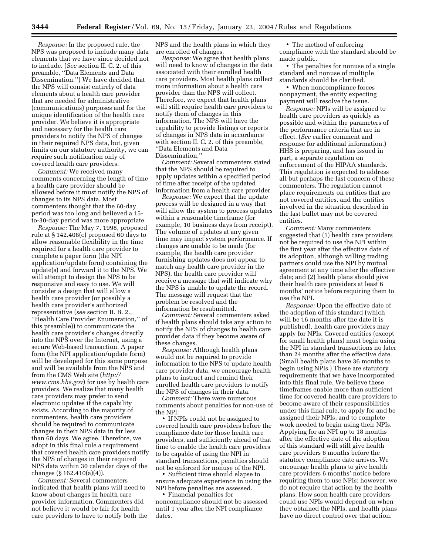*Response:* In the proposed rule, the NPS was proposed to include many data elements that we have since decided not to include. (*See* section II. C. 2. of this preamble, ''Data Elements and Data Dissemination.'') We have decided that the NPS will consist entirely of data elements about a health care provider that are needed for administrative (communications) purposes and for the unique identification of the health care provider. We believe it is appropriate and necessary for the health care providers to notify the NPS of changes in their required NPS data, but, given limits on our statutory authority, we can require such notification only of covered health care providers.

*Comment:* We received many comments concerning the length of time a health care provider should be allowed before it must notify the NPS of changes to its NPS data. Most commenters thought that the 60-day period was too long and believed a 15 to-30-day period was more appropriate.

*Response:* The May 7, 1998, proposed rule at § 142.408(c) proposed 60 days to allow reasonable flexibility in the time required for a health care provider to complete a paper form (the NPI application/update form) containing the update(s) and forward it to the NPS. We will attempt to design the NPS to be responsive and easy to use. We will consider a design that will allow a health care provider (or possibly a health care provider's authorized representative (*see* section II. B. 2., ''Health Care Provider Enumeration,'' of this preamble)) to communicate the health care provider's changes directly into the NPS over the Internet, using a secure Web-based transaction. A paper form (the NPI application/update form) will be developed for this same purpose and will be available from the NPS and [from the CMS Web site \(](http://www.cms.hhs.gov)*http:// www.cms.hhs.gov*) for use by health care providers. We realize that many health care providers may prefer to send electronic updates if the capability exists. According to the majority of commenters, health care providers should be required to communicate changes in their NPS data in far less than 60 days. We agree. Therefore, we adopt in this final rule a requirement that covered health care providers notify the NPS of changes in their required NPS data within 30 calendar days of the changes (§ 162.410(a)(4)).

*Comment:* Several commenters indicated that health plans will need to know about changes in health care provider information. Commenters did not believe it would be fair for health care providers to have to notify both the NPS and the health plans in which they are enrolled of changes.

*Response:* We agree that health plans will need to know of changes in the data associated with their enrolled health care providers. Most health plans collect more information about a health care provider than the NPS will collect. Therefore, we expect that health plans will still require health care providers to notify them of changes in this information. The NPS will have the capability to provide listings or reports of changes in NPS data in accordance with section II. C. 2. of this preamble, ''Data Elements and Data Dissemination.''

*Comment:* Several commenters stated that the NPS should be required to apply updates within a specified period of time after receipt of the updated information from a health care provider.

*Response:* We expect that the update process will be designed in a way that will allow the system to process updates within a reasonable timeframe (for example, 10 business days from receipt). The volume of updates at any given time may impact system performance. If changes are unable to be made (for example, the health care provider furnishing updates does not appear to match any health care provider in the NPS), the health care provider will receive a message that will indicate why the NPS is unable to update the record. The message will request that the problem be resolved and the information be resubmitted.

*Comment:* Several commenters asked if health plans should take any action to notify the NPS of changes to health care provider data if they become aware of these changes.

*Response:* Although health plans would not be required to provide information to the NPS to update health care provider data, we encourage health plans to instruct and remind their enrolled health care providers to notify the NPS of changes in their data.

*Comment:* There were numerous comments about penalties for non-use of the NPI:

• If NPIs could not be assigned to covered health care providers before the compliance date for those health care providers, and sufficiently ahead of that time to enable the health care providers to be capable of using the NPI in standard transactions, penalties should not be enforced for nonuse of the NPI.

• Sufficient time should elapse to ensure adequate experience in using the NPI before penalties are assessed.

• Financial penalties for noncompliance should not be assessed until 1 year after the NPI compliance dates.

• The method of enforcing compliance with the standard should be made public.

• The penalties for nonuse of a single standard and nonuse of multiple standards should be clarified.

• When noncompliance forces nonpayment, the entity expecting payment will resolve the issue.

*Response:* NPIs will be assigned to health care providers as quickly as possible and within the parameters of the performance criteria that are in effect. (*See* earlier comment and response for additional information.) HHS is preparing, and has issued in part, a separate regulation on enforcement of the HIPAA standards. This regulation is expected to address all but perhaps the last concern of these commenters. The regulation cannot place requirements on entities that are not covered entities, and the entities involved in the situation described in the last bullet may not be covered entities.

*Comment:* Many commenters suggested that (1) health care providers not be required to use the NPI within the first year after the effective date of its adoption, although willing trading partners could use the NPI by mutual agreement at any time after the effective date; and (2) health plans should give their health care providers at least 6 months' notice before requiring them to use the NPI.

*Response:* Upon the effective date of the adoption of this standard (which will be 16 months after the date it is published), health care providers may apply for NPIs. Covered entities (except for small health plans) must begin using the NPI in standard transactions no later than 24 months after the effective date. (Small health plans have 36 months to begin using NPIs.) These are statutory requirements that we have incorporated into this final rule. We believe these timeframes enable more than sufficient time for covered health care providers to become aware of their responsibilities under this final rule, to apply for and be assigned their NPIs, and to complete work needed to begin using their NPIs. Applying for an NPI up to 18 months after the effective date of the adoption of this standard will still give health care providers 6 months before the statutory compliance date arrives. We encourage health plans to give health care providers 6 months' notice before requiring them to use NPIs; however, we do not require that action by the health plans. How soon health care providers could use NPIs would depend on when they obtained the NPIs, and health plans have no direct control over that action.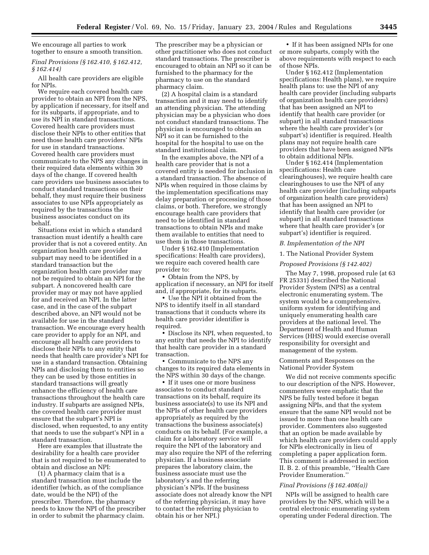We encourage all parties to work together to ensure a smooth transition.

*Final Provisions (§ 162.410, § 162.412, § 162.414)* 

All health care providers are eligible for NPIs.

We require each covered health care provider to obtain an NPI from the NPS, by application if necessary, for itself and for its subparts, if appropriate, and to use its NPI in standard transactions. Covered health care providers must disclose their NPIs to other entities that need those health care providers' NPIs for use in standard transactions. Covered health care providers must communicate to the NPS any changes in their required data elements within 30 days of the change. If covered health care providers use business associates to conduct standard transactions on their behalf, they must require their business associates to use NPIs appropriately as required by the transactions the business associates conduct on its behalf.

Situations exist in which a standard transaction must identify a health care provider that is not a covered entity. An organization health care provider subpart may need to be identified in a standard transaction but the organization health care provider may not be required to obtain an NPI for the subpart. A noncovered health care provider may or may not have applied for and received an NPI. In the latter case, and in the case of the subpart described above, an NPI would not be available for use in the standard transaction. We encourage every health care provider to apply for an NPI, and encourage all health care providers to disclose their NPIs to any entity that needs that health care provider's NPI for use in a standard transaction. Obtaining NPIs and disclosing them to entities so they can be used by those entities in standard transactions will greatly enhance the efficiency of health care transactions throughout the health care industry. If subparts are assigned NPIs, the covered health care provider must ensure that the subpart's NPI is disclosed, when requested, to any entity that needs to use the subpart's NPI in a standard transaction.

Here are examples that illustrate the desirability for a health care provider that is not required to be enumerated to obtain and disclose an NPI:

(1) A pharmacy claim that is a standard transaction must include the identifier (which, as of the compliance date, would be the NPI) of the prescriber. Therefore, the pharmacy needs to know the NPI of the prescriber in order to submit the pharmacy claim.

The prescriber may be a physician or other practitioner who does not conduct standard transactions. The prescriber is encouraged to obtain an NPI so it can be furnished to the pharmacy for the pharmacy to use on the standard pharmacy claim.

(2) A hospital claim is a standard transaction and it may need to identify an attending physician. The attending physician may be a physician who does not conduct standard transactions. The physician is encouraged to obtain an NPI so it can be furnished to the hospital for the hospital to use on the standard institutional claim.

In the examples above, the NPI of a health care provider that is not a covered entity is needed for inclusion in a standard transaction. The absence of NPIs when required in those claims by the implementation specifications may delay preparation or processing of those claims, or both. Therefore, we strongly encourage health care providers that need to be identified in standard transactions to obtain NPIs and make them available to entities that need to use them in those transactions.

Under § 162.410 (Implementation specifications: Health care providers), we require each covered health care provider to:

• Obtain from the NPS, by application if necessary, an NPI for itself and, if appropriate, for its subparts.

• Use the NPI it obtained from the NPS to identify itself in all standard transactions that it conducts where its health care provider identifier is required.

• Disclose its NPI, when requested, to any entity that needs the NPI to identify that health care provider in a standard transaction.

• Communicate to the NPS any changes to its required data elements in the NPS within 30 days of the change.

• If it uses one or more business associates to conduct standard transactions on its behalf, require its business associate(s) to use its NPI and the NPIs of other health care providers appropriately as required by the transactions the business associate(s) conducts on its behalf. (For example, a claim for a laboratory service will require the NPI of the laboratory and may also require the NPI of the referring physician. If a business associate prepares the laboratory claim, the business associate must use the laboratory's and the referring physician's NPIs. If the business associate does not already know the NPI of the referring physician, it may have to contact the referring physician to obtain his or her NPI.)

• If it has been assigned NPIs for one or more subparts, comply with the above requirements with respect to each of those NPIs.

Under § 162.412 (Implementation specifications: Health plans), we require health plans to: use the NPI of any health care provider (including subparts of organization health care providers) that has been assigned an NPI to identify that health care provider (or subpart) in all standard transactions where the health care provider's (or subpart's) identifier is required. Health plans may not require health care providers that have been assigned NPIs to obtain additional NPIs.

Under § 162.414 (Implementation specifications: Health care clearinghouses), we require health care clearinghouses to use the NPI of any health care provider (including subparts of organization health care providers) that has been assigned an NPI to identify that health care provider (or subpart) in all standard transactions where that health care provider's (or subpart's) identifier is required.

#### *B. Implementation of the NPI*

#### 1. The National Provider System

#### *Proposed Provisions (§ 142.402)*

The May 7, 1998, proposed rule (at 63 FR 25331) described the National Provider System (NPS) as a central electronic enumerating system. The system would be a comprehensive, uniform system for identifying and uniquely enumerating health care providers at the national level. The Department of Health and Human Services (HHS) would exercise overall responsibility for oversight and management of the system.

#### Comments and Responses on the National Provider System

We did not receive comments specific to our description of the NPS. However, commenters were emphatic that the NPS be fully tested before it began assigning NPIs, and that the system ensure that the same NPI would not be issued to more than one health care provider. Commenters also suggested that an option be made available by which health care providers could apply for NPIs electronically in lieu of completing a paper application form. This comment is addressed in section II. B. 2. of this preamble, ''Health Care Provider Enumeration.''

#### *Final Provisions (§ 162.408(a))*

NPIs will be assigned to health care providers by the NPS, which will be a central electronic enumerating system operating under Federal direction. The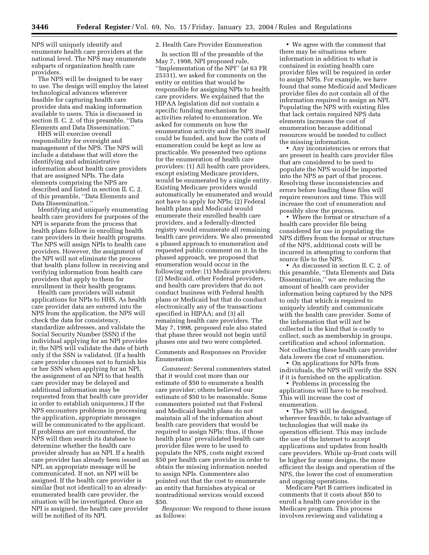NPS will uniquely identify and enumerate health care providers at the national level. The NPS may enumerate subparts of organization health care providers.

The NPS will be designed to be easy to use. The design will employ the latest technological advances wherever feasible for capturing health care provider data and making information available to users. This is discussed in section II. C. 2. of this preamble, ''Data Elements and Data Dissemination.''

HHS will exercise overall responsibility for oversight and management of the NPS. The NPS will include a database that will store the identifying and administrative information about health care providers that are assigned NPIs. The data elements comprising the NPS are described and listed in section II. C. 2. of this preamble, ''Data Elements and Data Dissemination.''

Identifying and uniquely enumerating health care providers for purposes of the NPI is separate from the process that health plans follow in enrolling health care providers in their health programs. The NPS will assign NPIs to health care providers. However, the assignment of the NPI will not eliminate the process that health plans follow in receiving and verifying information from health care providers that apply to them for enrollment in their health programs.

Health care providers will submit applications for NPIs to HHS. As health care provider data are entered into the NPS from the application, the NPS will check the data for consistency, standardize addresses, and validate the Social Security Number (SSN) if the individual applying for an NPI provides it; the NPS will validate the date of birth only if the SSN is validated. (If a health care provider chooses not to furnish his or her SSN when applying for an NPI, the assignment of an NPI to that health care provider may be delayed and additional information may be requested from that health care provider in order to establish uniqueness.) If the NPS encounters problems in processing the application, appropriate messages will be communicated to the applicant. If problems are not encountered, the NPS will then search its database to determine whether the health care provider already has an NPI. If a health care provider has already been issued an NPI, an appropriate message will be communicated. If not, an NPI will be assigned. If the health care provider is similar (but not identical) to an alreadyenumerated health care provider, the situation will be investigated. Once an NPI is assigned, the health care provider will be notified of its NPI.

#### 2. Health Care Provider Enumeration

In section III of the preamble of the May 7, 1998, NPI proposed rule, ''Implementation of the NPI'' (at 63 FR 25331), we asked for comments on the entity or entities that would be responsible for assigning NPIs to health care providers. We explained that the HIPAA legislation did not contain a specific funding mechanism for activities related to enumeration. We asked for comments on how the enumeration activity and the NPS itself could be funded, and how the costs of enumeration could be kept as low as practicable. We presented two options for the enumeration of health care providers: (1) All health care providers, except existing Medicare providers, would be enumerated by a single entity. Existing Medicare providers would automatically be enumerated and would not have to apply for NPIs; (2) Federal health plans and Medicaid would enumerate their enrolled health care providers, and a federally-directed registry would enumerate all remaining health care providers. We also presented a phased approach to enumeration and requested public comment on it. In the phased approach, we proposed that enumeration would occur in the following order: (1) Medicare providers; (2) Medicaid, other Federal providers, and health care providers that do not conduct business with Federal health plans or Medicaid but that do conduct electronically any of the transactions specified in HIPAA; and (3) all remaining health care providers. The May 7, 1998, proposed rule also stated that phase three would not begin until phases one and two were completed.

Comments and Responses on Provider Enumeration

*Comment:* Several commenters stated that it would cost more than our estimate of \$50 to enumerate a health care provider; others believed our estimate of \$50 to be reasonable. Some commenters pointed out that Federal and Medicaid health plans do not maintain all of the information about health care providers that would be required to assign NPIs; thus, if those health plans' prevalidated health care provider files were to be used to populate the NPS, costs might exceed \$50 per health care provider in order to obtain the missing information needed to assign NPIs. Commenters also pointed out that the cost to enumerate an entity that furnishes atypical or nontraditional services would exceed \$50.

*Response:* We respond to these issues as follows:

• We agree with the comment that there may be situations where information in addition to what is contained in existing health care provider files will be required in order to assign NPIs. For example, we have found that some Medicaid and Medicare provider files do not contain all of the information required to assign an NPI. Populating the NPS with existing files that lack certain required NPS data elements increases the cost of enumeration because additional resources would be needed to collect the missing information.

• Any inconsistencies or errors that are present in health care provider files that are considered to be used to populate the NPS would be imported into the NPS as part of that process. Resolving these inconsistencies and errors before loading these files will require resources and time. This will increase the cost of enumeration and possibly slow the process.

• Where the format or structure of a health care provider file being considered for use in populating the NPS differs from the format or structure of the NPS, additional costs will be incurred in attempting to conform that source file to the NPS.

• As discussed in section II. C. 2. of this preamble, ''Data Elements and Data Dissemination,'' we are reducing the amount of health care provider information being captured by the NPS to only that which is required to uniquely identify and communicate with the health care provider. Some of the information that will not be collected is the kind that is costly to collect, such as membership in groups, certification and school information. Not collecting these health care provider data lowers the cost of enumeration.

• On applications for NPIs from individuals, the NPS will verify the SSN if it is furnished on the application.

• Problems in processing the applications will have to be resolved. This will increase the cost of enumeration.

• The NPS will be designed, wherever feasible, to take advantage of technologies that will make its operation efficient. This may include the use of the Internet to accept applications and updates from health care providers. While up-front costs will be higher for some designs, the more efficient the design and operation of the NPS, the lower the cost of enumeration and ongoing operations.

Medicare Part B carriers indicated in comments that it costs about \$50 to enroll a health care provider in the Medicare program. This process involves reviewing and validating a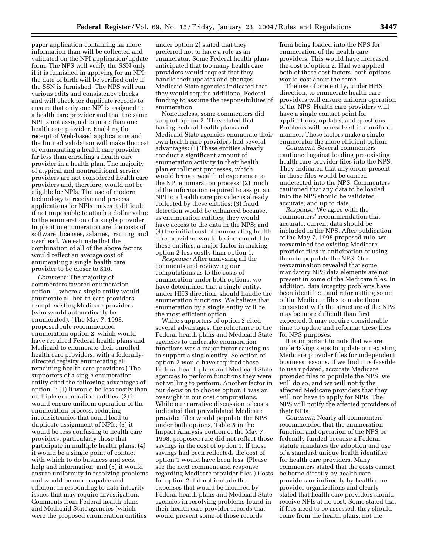paper application containing far more information than will be collected and validated on the NPI application/update form. The NPS will verify the SSN only if it is furnished in applying for an NPI; the date of birth will be verified only if the SSN is furnished. The NPS will run various edits and consistency checks and will check for duplicate records to ensure that only one NPI is assigned to a health care provider and that the same NPI is not assigned to more than one health care provider. Enabling the receipt of Web-based applications and the limited validation will make the cost of enumerating a health care provider far less than enrolling a health care provider in a health plan. The majority of atypical and nontraditional service providers are not considered health care providers and, therefore, would not be eligible for NPIs. The use of modern technology to receive and process applications for NPIs makes it difficult if not impossible to attach a dollar value to the enumeration of a single provider. Implicit in enumeration are the costs of software, licenses, salaries, training, and overhead. We estimate that the combination of all of the above factors would reflect an average cost of enumerating a single health care provider to be closer to \$10.

*Comment:* The majority of commenters favored enumeration option 1, where a single entity would enumerate all health care providers except existing Medicare providers (who would automatically be enumerated). (The May 7, 1998, proposed rule recommended enumeration option 2, which would have required Federal health plans and Medicaid to enumerate their enrolled health care providers, with a federallydirected registry enumerating all remaining health care providers.) The supporters of a single enumeration entity cited the following advantages of option 1: (1) It would be less costly than multiple enumeration entities; (2) it would ensure uniform operation of the enumeration process, reducing inconsistencies that could lead to duplicate assignment of NPIs; (3) it would be less confusing to health care providers, particularly those that participate in multiple health plans; (4) it would be a single point of contact with which to do business and seek help and information; and (5) it would ensure uniformity in resolving problems and would be more capable and efficient in responding to data integrity issues that may require investigation. Comments from Federal health plans and Medicaid State agencies (which were the proposed enumeration entities

under option 2) stated that they preferred not to have a role as an enumerator. Some Federal health plans anticipated that too many health care providers would request that they handle their updates and changes. Medicaid State agencies indicated that they would require additional Federal funding to assume the responsibilities of enumeration.

Nonetheless, some commenters did support option 2. They stated that having Federal health plans and Medicaid State agencies enumerate their own health care providers had several advantages: (1) These entities already conduct a significant amount of enumeration activity in their health plan enrollment processes, which would bring a wealth of experience to the NPI enumeration process; (2) much of the information required to assign an NPI to a health care provider is already collected by these entities; (3) fraud detection would be enhanced because, as enumeration entities, they would have access to the data in the NPS; and (4) the initial cost of enumerating health care providers would be incremental to these entities, a major factor in making option 2 less costly than option 1.

*Response:* After analyzing all the comments and reviewing our computations as to the costs of enumeration under both options, we have determined that a single entity, under HHS direction, should handle the enumeration functions. We believe that enumeration by a single entity will be the most efficient option.

While supporters of option 2 cited several advantages, the reluctance of the Federal health plans and Medicaid State agencies to undertake enumeration functions was a major factor causing us to support a single entity. Selection of option 2 would have required those Federal health plans and Medicaid State agencies to perform functions they were not willing to perform. Another factor in our decision to choose option 1 was an oversight in our cost computations. While our narrative discussion of costs indicated that prevalidated Medicare provider files would populate the NPS under both options, Table 5 in the Impact Analysis portion of the May 7, 1998, proposed rule did not reflect those savings in the cost of option 1. If those savings had been reflected, the cost of option 1 would have been less. (Please see the next comment and response regarding Medicare provider files.) Costs for option 2 did not include the expenses that would be incurred by Federal health plans and Medicaid State agencies in resolving problems found in their health care provider records that would prevent some of those records

from being loaded into the NPS for enumeration of the health care providers. This would have increased the cost of option 2. Had we applied both of these cost factors, both options would cost about the same.

The use of one entity, under HHS direction, to enumerate health care providers will ensure uniform operation of the NPS. Health care providers will have a single contact point for applications, updates, and questions. Problems will be resolved in a uniform manner. These factors make a single enumerator the more efficient option.

*Comment:* Several commenters cautioned against loading pre-existing health care provider files into the NPS. They indicated that any errors present in those files would be carried undetected into the NPS. Commenters cautioned that any data to be loaded into the NPS should be validated, accurate, and up to date.

*Response:* We agree with the commenters' recommendation that accurate, current data should be included in the NPS. After publication of the May 7, 1998 proposed rule, we reexamined the existing Medicare provider files in anticipation of using them to populate the NPS. Our reexamination revealed that some mandatory NPS data elements are not present in some of the Medicare files. In addition, data integrity problems have been identified, and reformatting some of the Medicare files to make them consistent with the structure of the NPS may be more difficult than first expected. It may require considerable time to update and reformat these files for NPS purposes.

It is important to note that we are undertaking steps to update our existing Medicare provider files for independent business reasons. If we find it is feasible to use updated, accurate Medicare provider files to populate the NPS, we will do so, and we will notify the affected Medicare providers that they will not have to apply for NPIs. The NPS will notify the affected providers of their NPIs.

*Comment*: Nearly all commenters recommended that the enumeration function and operation of the NPS be federally funded because a Federal statute mandates the adoption and use of a standard unique health identifier for health care providers. Many commenters stated that the costs cannot be borne directly by health care providers or indirectly by health care provider organizations and clearly stated that health care providers should receive NPIs at no cost. Some stated that if fees need to be assessed, they should come from the health plans, not the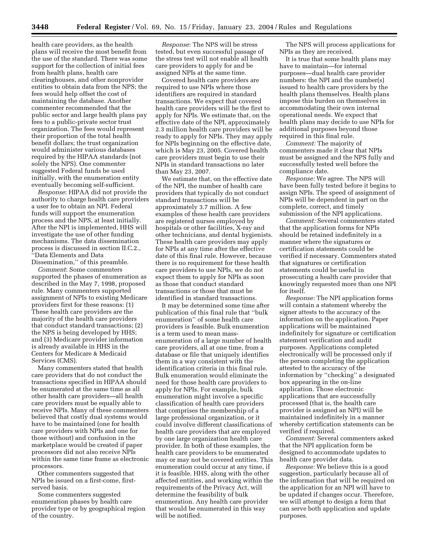health care providers, as the health plans will receive the most benefit from the use of the standard. There was some support for the collection of initial fees from health plans, health care clearinghouses, and other nonprovider entities to obtain data from the NPS; the fees would help offset the cost of maintaining the database. Another commenter recommended that the public sector and large health plans pay fees to a public-private sector trust organization. The fees would represent their proportion of the total health benefit dollars; the trust organization would administer various databases required by the HIPAA standards (not solely the NPS). One commenter suggested Federal funds be used initially, with the enumeration entity eventually becoming self-sufficient.

*Response*: HIPAA did not provide the authority to charge health care providers a user fee to obtain an NPI. Federal funds will support the enumeration process and the NPS, at least initially. After the NPI is implemented, HHS will investigate the use of other funding mechanisms. The data dissemination process is discussed in section II.C.2., ''Data Elements and Data Dissemination,'' of this preamble.

*Comment*: Some commenters supported the phases of enumeration as described in the May 7, 1998, proposed rule. Many commenters supported assignment of NPIs to existing Medicare providers first for these reasons: (1) These health care providers are the majority of the health care providers that conduct standard transactions; (2) the NPS is being developed by HHS; and (3) Medicare provider information is already available in HHS in the Centers for Medicare & Medicaid Services (CMS).

Many commenters stated that health care providers that do not conduct the transactions specified in HIPAA should be enumerated at the same time as all other health care providers—all health care providers must be equally able to receive NPIs. Many of these commenters believed that costly dual systems would have to be maintained (one for health care providers with NPIs and one for those without) and confusion in the marketplace would be created if paper processors did not also receive NPIs within the same time frame as electronic processors.

Other commenters suggested that NPIs be issued on a first-come, firstserved basis.

Some commenters suggested enumeration phases by health care provider type or by geographical region of the country.

*Response*: The NPS will be stress tested, but even successful passage of the stress test will not enable all health care providers to apply for and be assigned NPIs at the same time.

Covered health care providers are required to use NPIs where those identifiers are required in standard transactions. We expect that covered health care providers will be the first to apply for NPIs. We estimate that, on the effective date of the NPI, approximately 2.3 million health care providers will be ready to apply for NPIs. They may apply for NPIs beginning on the effective date, which is May 23, 2005. Covered health care providers must begin to use their NPIs in standard transactions no later than May 23, 2007.

We estimate that, on the effective date of the NPI, the number of health care providers that typically do not conduct standard transactions will be approximately 3.7 million. A few examples of these health care providers are registered nurses employed by hospitals or other facilities, X-ray and other technicians, and dental hygienists. These health care providers may apply for NPIs at any time after the effective date of this final rule. However, because there is no requirement for these health care providers to use NPIs, we do not expect them to apply for NPIs as soon as those that conduct standard transactions or those that must be identified in standard transactions.

It may be determined some time after publication of this final rule that ''bulk enumeration'' of some health care providers is feasible. Bulk enumeration is a term used to mean massenumeration of a large number of health care providers, all at one time, from a database or file that uniquely identifies them in a way consistent with the identification criteria in this final rule. Bulk enumeration would eliminate the need for those health care providers to apply for NPIs. For example, bulk enumeration might involve a specific classification of health care providers that comprises the membership of a large professional organization, or it could involve different classifications of health care providers that are employed by one large organization health care provider. In both of these examples, the health care providers to be enumerated may or may not be covered entities. This enumeration could occur at any time, if it is feasible. HHS, along with the other affected entities, and working within the requirements of the Privacy Act, will determine the feasibility of bulk enumeration. Any health care provider that would be enumerated in this way will be notified.

The NPS will process applications for NPIs as they are received.

It is true that some health plans may have to maintain—for internal purposes—dual health care provider numbers: the NPI and the number(s) issued to health care providers by the health plans themselves. Health plans impose this burden on themselves in accommodating their own internal operational needs. We expect that health plans may decide to use NPIs for additional purposes beyond those required in this final rule.

*Comment:* The majority of commenters made it clear that NPIs must be assigned and the NPS fully and successfully tested well before the compliance date.

*Response:* We agree. The NPS will have been fully tested before it begins to assign NPIs. The speed of assignment of NPIs will be dependent in part on the complete, correct, and timely submission of the NPI applications.

*Comment:* Several commenters stated that the application forms for NPIs should be retained indefinitely in a manner where the signatures or certification statements could be verified if necessary. Commenters stated that signatures or certification statements could be useful in prosecuting a health care provider that knowingly requested more than one NPI for itself.

*Response:* The NPI application forms will contain a statement whereby the signer attests to the accuracy of the information on the application. Paper applications will be maintained indefinitely for signature or certification statement verification and audit purposes. Applications completed electronically will be processed only if the person completing the application attested to the accuracy of the information by ''checking'' a designated box appearing in the on-line application. Those electronic applications that are successfully processed (that is, the health care provider is assigned an NPI) will be maintained indefinitely in a manner whereby certification statements can be verified if required.

*Comment:* Several commenters asked that the NPI application form be designed to accommodate updates to health care provider data.

*Response:* We believe this is a good suggestion, particularly because all of the information that will be required on the application for an NPI will have to be updated if changes occur. Therefore, we will attempt to design a form that can serve both application and update purposes.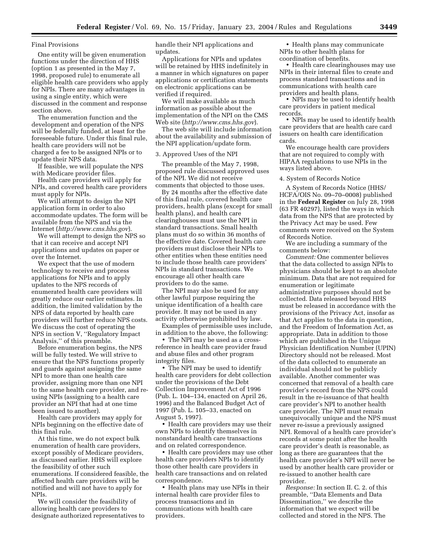#### Final Provisions

One entity will be given enumeration functions under the direction of HHS (option 1 as presented in the May 7, 1998, proposed rule) to enumerate all eligible health care providers who apply for NPIs. There are many advantages in using a single entity, which were discussed in the comment and response section above.

The enumeration function and the development and operation of the NPS will be federally funded, at least for the foreseeable future. Under this final rule, health care providers will not be charged a fee to be assigned NPIs or to update their NPS data.

If feasible, we will populate the NPS with Medicare provider files.

Health care providers will apply for NPIs, and covered health care providers must apply for NPIs.

We will attempt to design the NPI application form in order to also accommodate updates. The form will be available from the NPS and via the Internet (*<http://www.cms.hhs.gov>*).

We will attempt to design the NPS so that it can receive and accept NPI applications and updates on paper or over the Internet.

We expect that the use of modern technology to receive and process applications for NPIs and to apply updates to the NPS records of enumerated health care providers will greatly reduce our earlier estimates. In addition, the limited validation by the NPS of data reported by health care providers will further reduce NPS costs. We discuss the cost of operating the NPS in section V, ''Regulatory Impact Analysis,'' of this preamble.

Before enumeration begins, the NPS will be fully tested. We will strive to ensure that the NPS functions properly and guards against assigning the same NPI to more than one health care provider, assigning more than one NPI to the same health care provider, and reusing NPIs (assigning to a health care provider an NPI that had at one time been issued to another).

Health care providers may apply for NPIs beginning on the effective date of this final rule.

At this time, we do not expect bulk enumeration of health care providers, except possibly of Medicare providers, as discussed earlier. HHS will explore the feasibility of other such enumerations. If considered feasible, the affected health care providers will be notified and will not have to apply for NPIs.

We will consider the feasibility of allowing health care providers to designate authorized representatives to handle their NPI applications and updates.

Applications for NPIs and updates will be retained by HHS indefinitely in a manner in which signatures on paper applications or certification statements on electronic applications can be verified if required.

We will make available as much information as possible about the implementation of the NPI on the CMS Web site (*<http://www.cms.hhs.gov>*).

The web site will include information about the availability and submission of the NPI application/update form.

#### 3. Approved Uses of the NPI

The preamble of the May 7, 1998, proposed rule discussed approved uses of the NPI. We did not receive comments that objected to those uses.

By 24 months after the effective date of this final rule, covered health care providers, health plans (except for small health plans), and health care clearinghouses must use the NPI in standard transactions. Small health plans must do so within 36 months of the effective date. Covered health care providers must disclose their NPIs to other entities when these entities need to include those health care providers' NPIs in standard transactions. We encourage all other health care providers to do the same.

The NPI may also be used for any other lawful purpose requiring the unique identification of a health care provider. It may not be used in any activity otherwise prohibited by law.

Examples of permissible uses include, in addition to the above, the following:

• The NPI may be used as a crossreference in health care provider fraud and abuse files and other program integrity files.

• The NPI may be used to identify health care providers for debt collection under the provisions of the Debt Collection Improvement Act of 1996 (Pub. L. 104–134, enacted on April 26, 1996) and the Balanced Budget Act of 1997 (Pub. L. 105–33, enacted on August 5, 1997).

• Health care providers may use their own NPIs to identify themselves in nonstandard health care transactions and on related correspondence.

• Health care providers may use other health care providers NPIs to identify those other health care providers in health care transactions and on related correspondence.

• Health plans may use NPIs in their internal health care provider files to process transactions and in communications with health care providers.

• Health plans may communicate NPIs to other health plans for coordination of benefits.

• Health care clearinghouses may use NPIs in their internal files to create and process standard transactions and in communications with health care providers and health plans.

• NPIs may be used to identify health care providers in patient medical records.

• NPIs may be used to identify health care providers that are health care card issuers on health care identification cards.

We encourage health care providers that are not required to comply with HIPAA regulations to use NPIs in the ways listed above.

#### 4. System of Records Notice

A System of Records Notice (HHS/ HCFA/OIS No. 09–70–0008) published in the **Federal Register** on July 28, 1998 (63 FR 40297), listed the ways in which data from the NPS that are protected by the Privacy Act may be used. Few comments were received on the System of Records Notice.

We are including a summary of the comments below:

*Comment:* One commenter believes that the data collected to assign NPIs to physicians should be kept to an absolute minimum. Data that are not required for enumeration or legitimate administrative purposes should not be collected. Data released beyond HHS must be released in accordance with the provisions of the Privacy Act, insofar as that Act applies to the data in question, and the Freedom of Information Act, as appropriate. Data in addition to those which are published in the Unique Physician Identification Number (UPIN) Directory should not be released. Most of the data collected to enumerate an individual should not be publicly available. Another commenter was concerned that removal of a health care provider's record from the NPS could result in the re-issuance of that health care provider's NPI to another health care provider. The NPI must remain unequivocally unique and the NPS must never re-issue a previously assigned NPI. Removal of a health care provider's records at some point after the health care provider's death is reasonable, as long as there are guarantees that the health care provider's NPI will never be used by another health care provider or re-issued to another health care provider.

*Response:* In section II. C. 2. of this preamble, ''Data Elements and Data Dissemination,'' we describe the information that we expect will be collected and stored in the NPS. The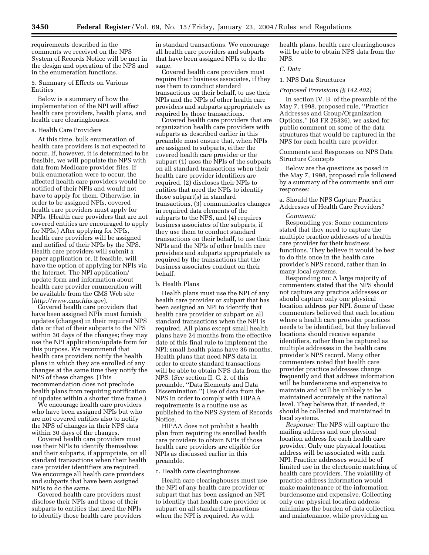requirements described in the comments we received on the NPS System of Records Notice will be met in the design and operation of the NPS and in the enumeration functions.

#### 5. Summary of Effects on Various Entities

Below is a summary of how the implementation of the NPI will affect health care providers, health plans, and health care clearinghouses.

#### a. Health Care Providers

At this time, bulk enumeration of health care providers is not expected to occur. If, however, it is determined to be feasible, we will populate the NPS with data from Medicare provider files. If bulk enumeration were to occur, the affected health care providers would be notified of their NPIs and would not have to apply for them. Otherwise, in order to be assigned NPIs, covered health care providers must apply for NPIs. (Health care providers that are not covered entities are encouraged to apply for NPIs.) After applying for NPIs, health care providers will be assigned and notified of their NPIs by the NPS. Health care providers will submit a paper application or, if feasible, will have the option of applying for NPIs via the Internet. The NPI application/ update form and information about health care provider enumeration will be available from the CMS Web site (*<http://www.cms.hhs.gov>*).

Covered health care providers that have been assigned NPIs must furnish updates (changes) in their required NPS data or that of their subparts to the NPS within 30 days of the changes; they may use the NPI application/update form for this purpose. We recommend that health care providers notify the health plans in which they are enrolled of any changes at the same time they notify the NPS of these changes. (This recommendation does not preclude health plans from requiring notification of updates within a shorter time frame.)

We encourage health care providers who have been assigned NPIs but who are not covered entities also to notify the NPS of changes in their NPS data within 30 days of the changes.

Covered health care providers must use their NPIs to identify themselves and their subparts, if appropriate, on all standard transactions when their health care provider identifiers are required. We encourage all health care providers and subparts that have been assigned NPIs to do the same.

Covered health care providers must disclose their NPIs and those of their subparts to entities that need the NPIs to identify those health care providers

in standard transactions. We encourage all health care providers and subparts that have been assigned NPIs to do the same.

Covered health care providers must require their business associates, if they use them to conduct standard transactions on their behalf, to use their NPIs and the NPIs of other health care providers and subparts appropriately as required by those transactions.

Covered health care providers that are organization health care providers with subparts as described earlier in this preamble must ensure that, when NPIs are assigned to subparts, either the covered health care provider or the subpart (1) uses the NPIs of the subparts on all standard transactions when their health care provider identifiers are required, (2) discloses their NPIs to entities that need the NPIs to identify those subpart(s) in standard transactions, (3) communicates changes in required data elements of the subparts to the NPS, and (4) requires business associates of the subparts, if they use them to conduct standard transactions on their behalf, to use their NPIs and the NPIs of other health care providers and subparts appropriately as required by the transactions that the business associates conduct on their behalf.

#### b. Health Plans

Health plans must use the NPI of any health care provider or subpart that has been assigned an NPI to identify that health care provider or subpart on all standard transactions when the NPI is required. All plans except small health plans have 24 months from the effective date of this final rule to implement the NPI; small health plans have 36 months. Health plans that need NPS data in order to create standard transactions will be able to obtain NPS data from the NPS. (*See* section II. C. 2. of this preamble, ''Data Elements and Data Dissemination.'') Use of data from the NPS in order to comply with HIPAA requirements is a routine use as published in the NPS System of Records Notice.

HIPAA does not prohibit a health plan from requiring its enrolled health care providers to obtain NPIs if those health care providers are eligible for NPIs as discussed earlier in this preamble.

#### c. Health care clearinghouses

Health care clearinghouses must use the NPI of any health care provider or subpart that has been assigned an NPI to identify that health care provider or subpart on all standard transactions when the NPI is required. As with

health plans, health care clearinghouses will be able to obtain NPS data from the NPS.

## *C. Data*

### 1. NPS Data Structures

#### *Proposed Provisions (§ 142.402)*

In section IV. B. of the preamble of the May 7, 1998, proposed rule, ''Practice Addresses and Group/Organization Options,'' (63 FR 25336), we asked for public comment on some of the data structures that would be captured in the NPS for each health care provider.

#### Comments and Responses on NPS Data Structure Concepts

Below are the questions as posed in the May 7, 1998, proposed rule followed by a summary of the comments and our responses:

#### a. Should the NPS Capture Practice Addresses of Health Care Providers?

#### *Comment:*

Responding yes: Some commenters stated that they need to capture the multiple practice addresses of a health care provider for their business functions. They believe it would be best to do this once in the health care provider's NPS record, rather than in many local systems.

Responding no: A large majority of commenters stated that the NPS should not capture any practice addresses or should capture only one physical location address per NPI. Some of these commenters believed that each location where a health care provider practices needs to be identified, but they believed locations should receive separate identifiers, rather than be captured as multiple addresses in the health care provider's NPS record. Many other commenters noted that health care provider practice addresses change frequently and that address information will be burdensome and expensive to maintain and will be unlikely to be maintained accurately at the national level. They believe that, if needed, it should be collected and maintained in local systems.

*Response:* The NPS will capture the mailing address and one physical location address for each health care provider. Only one physical location address will be associated with each NPI. Practice addresses would be of limited use in the electronic matching of health care providers. The volatility of practice address information would make maintenance of the information burdensome and expensive. Collecting only one physical location address minimizes the burden of data collection and maintenance, while providing an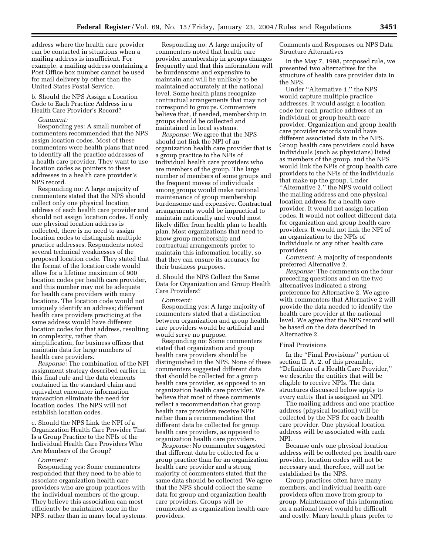address where the health care provider can be contacted in situations when a mailing address is insufficient. For example, a mailing address containing a Post Office box number cannot be used for mail delivery by other than the United States Postal Service.

b. Should the NPS Assign a Location Code to Each Practice Address in a Health Care Provider's Record?

#### *Comment:*

Responding yes: A small number of commenters recommended that the NPS assign location codes. Most of these commenters were health plans that need to identify all the practice addresses of a health care provider. They want to use location codes as pointers to these addresses in a health care provider's NPS record.

Responding no: A large majority of commenters stated that the NPS should collect only one physical location address of each health care provider and should not assign location codes. If only one physical location address is collected, there is no need to assign location codes to distinguish multiple practice addresses. Respondents noted several technical weaknesses of the proposed location code. They stated that the format of the location code would allow for a lifetime maximum of 900 location codes per health care provider, and this number may not be adequate for health care providers with many locations. The location code would not uniquely identify an address; different health care providers practicing at the same address would have different location codes for that address, resulting in complexity, rather than simplification, for business offices that maintain data for large numbers of health care providers.

*Response:* The combination of the NPI assignment strategy described earlier in this final rule and the data elements contained in the standard claim and equivalent encounter information transaction eliminate the need for location codes. The NPS will not establish location codes.

c. Should the NPS Link the NPI of a Organization Health Care Provider That Is a Group Practice to the NPIs of the Individual Health Care Providers Who Are Members of the Group?

#### *Comment:*

Responding yes: Some commenters responded that they need to be able to associate organization health care providers who are group practices with the individual members of the group. They believe this association can most efficiently be maintained once in the NPS, rather than in many local systems.

Responding no: A large majority of commenters noted that health care provider membership in groups changes frequently and that this information will be burdensome and expensive to maintain and will be unlikely to be maintained accurately at the national level. Some health plans recognize contractual arrangements that may not correspond to groups. Commenters believe that, if needed, membership in groups should be collected and maintained in local systems.

*Response:* We agree that the NPS should not link the NPI of an organization health care provider that is a group practice to the NPIs of individual health care providers who are members of the group. The large number of members of some groups and the frequent moves of individuals among groups would make national maintenance of group membership burdensome and expensive. Contractual arrangements would be impractical to maintain nationally and would most likely differ from health plan to health plan. Most organizations that need to know group membership and contractual arrangements prefer to maintain this information locally, so that they can ensure its accuracy for their business purposes.

d. Should the NPS Collect the Same Data for Organization and Group Health Care Providers?

#### *Comment:*

Responding yes: A large majority of commenters stated that a distinction between organization and group health care providers would be artificial and would serve no purpose.

Responding no: Some commenters stated that organization and group health care providers should be distinguished in the NPS. None of these commenters suggested different data that should be collected for a group health care provider, as opposed to an organization health care provider. We believe that most of these comments reflect a recommendation that group health care providers receive NPIs rather than a recommendation that different data be collected for group health care providers, as opposed to organization health care providers.

*Response:* No commenter suggested that different data be collected for a group practice than for an organization health care provider and a strong majority of commenters stated that the same data should be collected. We agree that the NPS should collect the same data for group and organization health care providers. Groups will be enumerated as organization health care providers.

Comments and Responses on NPS Data Structure Alternatives

In the May 7, 1998, proposed rule, we presented two alternatives for the structure of health care provider data in the NPS.

Under ''Alternative 1,'' the NPS would capture multiple practice addresses. It would assign a location code for each practice address of an individual or group health care provider. Organization and group health care provider records would have different associated data in the NPS. Group health care providers could have individuals (such as physicians) listed as members of the group, and the NPS would link the NPIs of group health care providers to the NPIs of the individuals that make up the group. Under ''Alternative 2,'' the NPS would collect the mailing address and one physical location address for a health care provider. It would not assign location codes. It would not collect different data for organization and group health care providers. It would not link the NPI of an organization to the NPIs of individuals or any other health care providers.

*Comment:* A majority of respondents preferred Alternative 2.

*Response:* The comments on the four preceding questions and on the two alternatives indicated a strong preference for Alternative 2. We agree with commenters that Alternative 2 will provide the data needed to identify the health care provider at the national level. We agree that the NPS record will be based on the data described in Alternative 2.

#### Final Provisions

In the ''Final Provisions'' portion of section II. A. 2. of this preamble, ''Definition of a Health Care Provider,'' we describe the entities that will be eligible to receive NPIs. The data structures discussed below apply to every entity that is assigned an NPI.

The mailing address and one practice address (physical location) will be collected by the NPS for each health care provider. One physical location address will be associated with each NPI.

Because only one physical location address will be collected per health care provider, location codes will not be necessary and, therefore, will not be established by the NPS.

Group practices often have many members, and individual health care providers often move from group to group. Maintenance of this information on a national level would be difficult and costly. Many health plans prefer to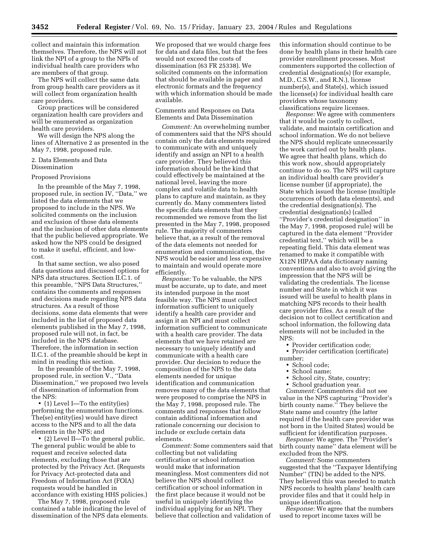collect and maintain this information themselves. Therefore, the NPS will not link the NPI of a group to the NPIs of individual health care providers who are members of that group.

The NPS will collect the same data from group health care providers as it will collect from organization health care providers.

Group practices will be considered organization health care providers and will be enumerated as organization health care providers.

We will design the NPS along the lines of Alternative 2 as presented in the May 7, 1998, proposed rule.

#### 2. Data Elements and Data Dissemination

#### Proposed Provisions

In the preamble of the May 7, 1998, proposed rule, in section IV, ''Data,'' we listed the data elements that we proposed to include in the NPS. We solicited comments on the inclusion and exclusion of those data elements and the inclusion of other data elements that the public believed appropriate. We asked how the NPS could be designed to make it useful, efficient, and lowcost.

In that same section, we also posed data questions and discussed options for NPS data structures. Section II.C.1. of this preamble, ''NPS Data Structures,'' contains the comments and responses and decisions made regarding NPS data structures. As a result of those decisions, some data elements that were included in the list of proposed data elements published in the May 7, 1998, proposed rule will not, in fact, be included in the NPS database. Therefore, the information in section II.C.1. of the preamble should be kept in mind in reading this section.

In the preamble of the May 7, 1998, proposed rule, in section V., ''Data Dissemination,'' we proposed two levels of dissemination of information from the NPS:

• (1) Level I—To the entity(ies) performing the enumeration functions. The(se) entity(ies) would have direct access to the NPS and to all the data elements in the NPS; and

• (2) Level II—To the general public. The general public would be able to request and receive selected data elements, excluding those that are protected by the Privacy Act. (Requests for Privacy Act-protected data and Freedom of Information Act (FOIA) requests would be handled in accordance with existing HHS policies.)

The May 7, 1998, proposed rule contained a table indicating the level of dissemination of the NPS data elements. We proposed that we would charge fees for data and data files, but that the fees would not exceed the costs of dissemination (63 FR 25338). We solicited comments on the information that should be available in paper and electronic formats and the frequency with which information should be made available.

Comments and Responses on Data Elements and Data Dissemination

*Comment:* An overwhelming number of commenters said that the NPS should contain only the data elements required to communicate with and uniquely identify and assign an NPI to a health care provider. They believed this information should be the kind that could effectively be maintained at the national level, leaving the more complex and volatile data to health plans to capture and maintain, as they currently do. Many commenters listed the specific data elements that they recommended we remove from the list presented in the May 7, 1998, proposed rule. The majority of commenters believe that, as a result of the removal of the data elements not needed for enumeration and communication, the NPS would be easier and less expensive to maintain and would operate more efficiently.

*Response:* To be valuable, the NPS must be accurate, up to date, and meet its intended purpose in the most feasible way. The NPS must collect information sufficient to uniquely identify a health care provider and assign it an NPI and must collect information sufficient to communicate with a health care provider. The data elements that we have retained are necessary to uniquely identify and communicate with a health care provider. Our decision to reduce the composition of the NPS to the data elements needed for unique identification and communication removes many of the data elements that were proposed to comprise the NPS in the May 7, 1998, proposed rule. The comments and responses that follow contain additional information and rationale concerning our decision to include or exclude certain data elements.

*Comment:* Some commenters said that collecting but not validating certification or school information would make that information meaningless. Most commenters did not believe the NPS should collect certification or school information in the first place because it would not be useful in uniquely identifying the individual applying for an NPI. They believe that collection and validation of

this information should continue to be done by health plans in their health care provider enrollment processes. Most commenters supported the collection of credential designation(s) (for example, M.D., C.S.W., and R.N.), license number(s), and State(s), which issued the license(s) for individual health care providers whose taxonomy classifications require licenses.

*Response:* We agree with commenters that it would be costly to collect, validate, and maintain certification and school information. We do not believe the NPS should replicate unnecessarily the work carried out by health plans. We agree that health plans, which do this work now, should appropriately continue to do so. The NPS will capture an individual health care provider's license number (if appropriate), the State which issued the license (multiple occurrences of both data elements), and the credential designation(s). The credential designation(s) (called ''Provider's credential designation'' in the May 7, 1998, proposed rule) will be captured in the data element ''Provider credential text,'' which will be a repeating field. This data element was renamed to make it compatible with X12N HIPAA data dictionary naming conventions and also to avoid giving the impression that the NPS will be validating the credentials. The license number and State in which it was issued will be useful to health plans in matching NPS records to their health care provider files. As a result of the decision not to collect certification and school information, the following data elements will not be included in the NPS:

• Provider certification code;

• Provider certification (certificate) number;

- School code;
- School name;
- School city, State, country;
- School graduation year.

*Comment:* Commenters did not see value in the NPS capturing ''Provider's birth county name.'' They believe the State name and country (the latter required if the health care provider was not born in the United States) would be sufficient for identification purposes.

*Response:* We agree. The ''Provider's birth county name'' data element will be excluded from the NPS.

*Comment:* Some commenters suggested that the ''Taxpayer Identifying Number'' (TIN) be added to the NPS. They believed this was needed to match NPS records to health plans' health care provider files and that it could help in unique identification.

*Response:* We agree that the numbers used to report income taxes will be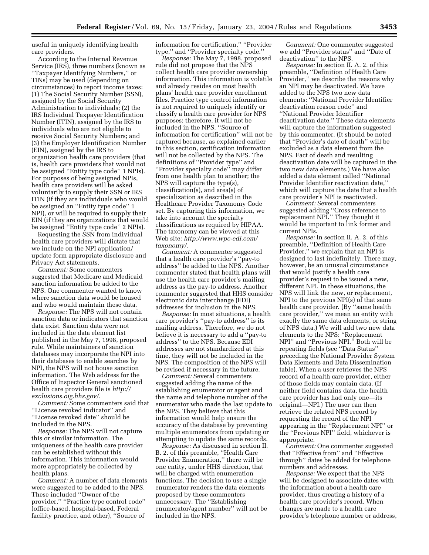useful in uniquely identifying health care providers.

According to the Internal Revenue Service (IRS), three numbers (known as ''Taxpayer Identifying Numbers,'' or TINs) may be used (depending on circumstances) to report income taxes: (1) The Social Security Number (SSN), assigned by the Social Security Administration to individuals; (2) the IRS Individual Taxpayer Identification Number (ITIN), assigned by the IRS to individuals who are not eligible to receive Social Security Numbers; and (3) the Employer Identification Number (EIN), assigned by the IRS to organization health care providers (that is, health care providers that would not be assigned ''Entity type code'' 1 NPIs). For purposes of being assigned NPIs, health care providers will be asked voluntarily to supply their SSN or IRS ITIN (if they are individuals who would be assigned an ''Entity type code'' 1 NPI), or will be required to supply their EIN (if they are organizations that would be assigned ''Entity type code'' 2 NPIs).

Requesting the SSN from individual health care providers will dictate that we include on the NPI application/ update form appropriate disclosure and Privacy Act statements.

*Comment:* Some commenters suggested that Medicare and Medicaid sanction information be added to the NPS. One commenter wanted to know where sanction data would be housed and who would maintain these data.

*Response:* The NPS will not contain sanction data or indicators that sanction data exist. Sanction data were not included in the data element list published in the May 7, 1998, proposed rule. While maintainers of sanction databases may incorporate the NPI into their databases to enable searches by NPI, the NPS will not house sanction information. The Web address for the Office of Inspector General sanctioned [health care providers file is](http://exclusions.oig.hhs.gov/) *http:// exclusions.oig.hhs.gov/.*

*Comment:* Some commenters said that ''License revoked indicator'' and ''License revoked date'' should be included in the NPS.

*Response:* The NPS will not capture this or similar information. The uniqueness of the health care provider can be established without this information. This information would more appropriately be collected by health plans.

*Comment:* A number of data elements were suggested to be added to the NPS. These included ''Owner of the provider,'' ''Practice type control code'' (office-based, hospital-based, Federal facility practice, and other), ''Source of

information for certification,'' ''Provider type,'' and ''Provider specialty code.''

*Response:* The May 7, 1998, proposed rule did not propose that the NPS collect health care provider ownership information. This information is volatile and already resides on most health plans' health care provider enrollment files. Practice type control information is not required to uniquely identify or classify a health care provider for NPS purposes; therefore, it will not be included in the NPS. ''Source of information for certification'' will not be captured because, as explained earlier in this section, certification information will not be collected by the NPS. The definitions of ''Provider type'' and ''Provider specialty code'' may differ from one health plan to another; the NPS will capture the type(s), classification(s), and area(s) of specialization as described in the Healthcare Provider Taxonomy Code set. By capturing this information, we take into account the specialty classifications as required by HIPAA. The taxonomy can be viewed at this Web site: *[http://www.wpc-edi.com/](http://www.wpc-edi.com/taxonomy) taxonomy/.*

*Comment:* A commenter suggested that a health care provider's ''pay-to address'' be added to the NPS. Another commenter stated that health plans will use the health care provider's mailing address as the pay-to address. Another commenter suggested that HHS consider electronic data interchange (EDI) addresses for inclusion in the NPS.

*Response:* In most situations, a health care provider's ''pay-to address'' is its mailing address. Therefore, we do not believe it is necessary to add a ''pay-to address'' to the NPS. Because EDI addresses are not standardized at this time, they will not be included in the NPS. The composition of the NPS will be revised if necessary in the future.

*Comment:* Several commenters suggested adding the name of the establishing enumerator or agent and the name and telephone number of the enumerator who made the last update to the NPS. They believe that this information would help ensure the accuracy of the database by preventing multiple enumerators from updating or attempting to update the same records.

*Response:* As discussed in section II. B. 2. of this preamble, ''Health Care Provider Enumeration,'' there will be one entity, under HHS direction, that will be charged with enumeration functions. The decision to use a single enumerator renders the data elements proposed by these commenters unnecessary. The ''Establishing enumerator/agent number'' will not be included in the NPS.

*Comment:* One commenter suggested we add ''Provider status'' and ''Date of deactivation'' to the NPS.

*Response:* In section II. A. 2. of this preamble, ''Definition of Health Care Provider,'' we describe the reasons why an NPI may be deactivated. We have added to the NPS two new data elements: ''National Provider Identifier deactivation reason code'' and ''National Provider Identifier deactivation date.'' These data elements will capture the information suggested by this commenter. (It should be noted that ''Provider's date of death'' will be excluded as a data element from the NPS. Fact of death and resulting deactivation date will be captured in the two new data elements.) We have also added a data element called ''National Provider Identifier reactivation date,'' which will capture the date that a health care provider's NPI is reactivated.

*Comment:* Several commenters suggested adding ''Cross reference to replacement NPI.'' They thought it would be important to link former and current NPIs.

*Response:* In section II. A. 2. of this preamble, ''Definition of Health Care Provider,'' we explain that an NPI is designed to last indefinitely. There may, however, be an unusual circumstance that would justify a health care provider's request to be issued a new, different NPI. In these situations, the NPS will link the new, or replacement, NPI to the previous NPI(s) of that same health care provider. (By ''same health care provider,'' we mean an entity with exactly the same data elements, or string of NPS data.) We will add two new data elements to the NPS: ''Replacement NPI'' and ''Previous NPI.'' Both will be repeating fields (see ''Data Status'' preceding the National Provider System Data Elements and Data Dissemination table). When a user retrieves the NPS record of a health care provider, either of those fields may contain data. (If neither field contains data, the health care provider has had only one—its original—NPI.) The user can then retrieve the related NPS record by requesting the record of the NPI appearing in the ''Replacement NPI'' or the ''Previous NPI'' field, whichever is appropriate.

*Comment:* One commenter suggested that ''Effective from'' and ''Effective through'' dates be added for telephone numbers and addresses.

*Response:* We expect that the NPS will be designed to associate dates with the information about a health care provider, thus creating a history of a health care provider's record. When changes are made to a health care provider's telephone number or address,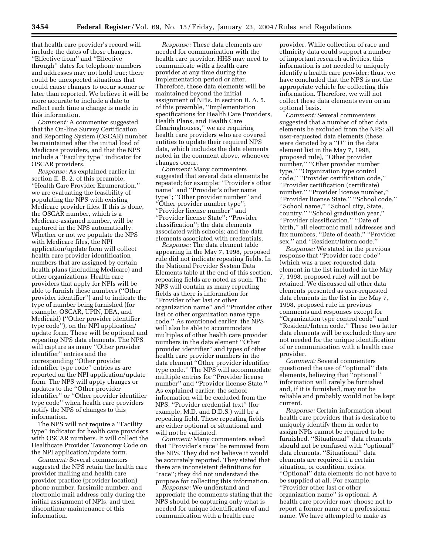that health care provider's record will include the dates of those changes. ''Effective from'' and ''Effective through'' dates for telephone numbers and addresses may not hold true; there could be unexpected situations that could cause changes to occur sooner or later than reported. We believe it will be more accurate to include a date to reflect each time a change is made in this information.

*Comment:* A commenter suggested that the On-line Survey Certification and Reporting System (OSCAR) number be maintained after the initial load of Medicare providers, and that the NPS include a ''Facility type'' indicator for OSCAR providers.

*Response:* As explained earlier in section II. B. 2. of this preamble, ''Health Care Provider Enumeration,'' we are evaluating the feasibility of populating the NPS with existing Medicare provider files. If this is done, the OSCAR number, which is a Medicare-assigned number, will be captured in the NPS automatically. Whether or not we populate the NPS with Medicare files, the NPI application/update form will collect health care provider identification numbers that are assigned by certain health plans (including Medicare) and other organizations. Health care providers that apply for NPIs will be able to furnish these numbers (''Other provider identifier'') and to indicate the type of number being furnished (for example, OSCAR, UPIN, DEA, and Medicaid) (''Other provider identifier type code''), on the NPI application/ update form. These will be optional and repeating NPS data elements. The NPS will capture as many "Other provider identifier'' entries and the corresponding ''Other provider identifier type code'' entries as are reported on the NPI application/update form. The NPS will apply changes or updates to the ''Other provider identifier'' or ''Other provider identifier type code'' when health care providers notify the NPS of changes to this information.

The NPS will not require a ''Facility type'' indicator for health care providers with OSCAR numbers. It will collect the Healthcare Provider Taxonomy Code on the NPI application/update form.

*Comment:* Several commenters suggested the NPS retain the health care provider mailing and health care provider practice (provider location) phone number, facsimile number, and electronic mail address only during the initial assignment of NPIs, and then discontinue maintenance of this information.

*Response:* These data elements are needed for communication with the health care provider. HHS may need to communicate with a health care provider at any time during the implementation period or after. Therefore, these data elements will be maintained beyond the initial assignment of NPIs. In section II. A. 5. of this preamble, ''Implementation specifications for Health Care Providers, Health Plans, and Health Care Clearinghouses,'' we are requiring health care providers who are covered entities to update their required NPS data, which includes the data elements noted in the comment above, whenever changes occur.

*Comment:* Many commenters suggested that several data elements be repeated; for example: ''Provider's other name'' and ''Provider's other name type''; ''Other provider number'' and ''Other provider number type''; ''Provider license number'' and ''Provider license State''; ''Provider classification''; the data elements associated with schools; and the data elements associated with credentials.

*Response:* The data element table appearing in the May 7, 1998, proposed rule did not indicate repeating fields. In the National Provider System Data Elements table at the end of this section, repeating fields are noted as such. The NPS will contain as many repeating fields as there is information for ''Provider other last or other organization name'' and ''Provider other last or other organization name type code.'' As mentioned earlier, the NPS will also be able to accommodate multiples of other health care provider numbers in the data element ''Other provider identifier'' and types of other health care provider numbers in the data element ''Other provider identifier type code.'' The NPS will accommodate multiple entries for ''Provider license number'' and ''Provider license State.'' As explained earlier, the school information will be excluded from the NPS. ''Provider credential text'' (for example, M.D. and D.D.S.) will be a repeating field. These repeating fields are either optional or situational and will not be validated.

*Comment:* Many commenters asked that ''Provider's race'' be removed from the NPS. They did not believe it would be accurately reported. They stated that there are inconsistent definitions for ''race''; they did not understand the purpose for collecting this information.

*Response:* We understand and appreciate the comments stating that the NPS should be capturing only what is needed for unique identification of and communication with a health care

provider. While collection of race and ethnicity data could support a number of important research activities, this information is not needed to uniquely identify a health care provider; thus, we have concluded that the NPS is not the appropriate vehicle for collecting this information. Therefore, we will not collect these data elements even on an optional basis.

*Comment:* Several commenters suggested that a number of other data elements be excluded from the NPS: all user-requested data elements (these were denoted by a ''U'' in the data element list in the May 7, 1998, proposed rule), ''Other provider number," "Other provider number type,'' ''Organization type control code,'' ''Provider certification code,'' ''Provider certification (certificate) number,'' ''Provider license number,'' ''Provider license State,'' ''School code,'' ''School name,'' ''School city, State, country,'' ''School graduation year,'' ''Provider classification,'' ''Date of birth,'' all electronic mail addresses and fax numbers, ''Date of death,'' ''Provider sex,'' and ''Resident/Intern code.''

*Response:* We stated in the previous response that ''Provider race code'' (which was a user-requested data element in the list included in the May 7, 1998, proposed rule) will not be retained. We discussed all other data elements presented as user-requested data elements in the list in the May 7, 1998, proposed rule in previous comments and responses except for ''Organization type control code'' and ''Resident/Intern code.'' These two latter data elements will be excluded; they are not needed for the unique identification of or communication with a health care provider.

*Comment:* Several commenters questioned the use of ''optional'' data elements, believing that ''optional'' information will rarely be furnished and, if it is furnished, may not be reliable and probably would not be kept current.

*Response:* Certain information about health care providers that is desirable to uniquely identify them in order to assign NPIs cannot be required to be furnished. ''Situational'' data elements should not be confused with ''optional'' data elements. ''Situational'' data elements are required if a certain situation, or condition, exists. ''Optional'' data elements do not have to be supplied at all. For example, ''Provider other last or other organization name'' is optional. A health care provider may choose not to report a former name or a professional name. We have attempted to make as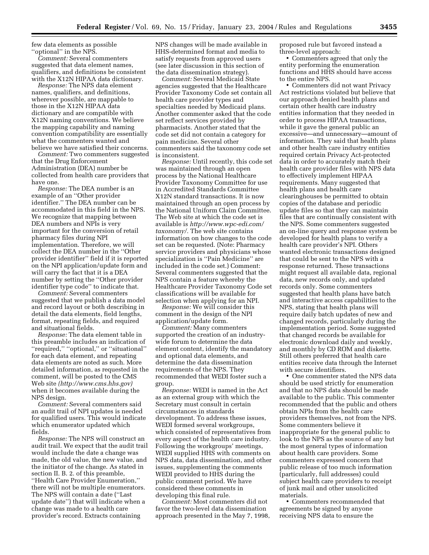few data elements as possible ''optional'' in the NPS.

*Comment:* Several commenters suggested that data element names, qualifiers, and definitions be consistent with the X12N HIPAA data dictionary.

*Response:* The NPS data element names, qualifiers, and definitions, wherever possible, are mappable to those in the X12N HIPAA data dictionary and are compatible with X12N naming conventions. We believe the mapping capability and naming convention compatibility are essentially what the commenters wanted and believe we have satisfied their concerns.

*Comment:* Two commenters suggested that the Drug Enforcement Administration (DEA) number be collected from health care providers that have one.

*Response:* The DEA number is an example of an ''Other provider identifier.'' The DEA number can be accommodated in this field in the NPS. We recognize that mapping between DEA numbers and NPIs is very important for the conversion of retail pharmacy files during NPI implementation. Therefore, we will collect the DEA number in the ''Other provider identifier'' field if it is reported on the NPI application/update form and will carry the fact that it is a DEA number by setting the ''Other provider identifier type code'' to indicate that.

*Comment:* Several commenters suggested that we publish a data model and record layout or both describing in detail the data elements, field lengths, format, repeating fields, and required and situational fields.

*Response:* The data element table in this preamble includes an indication of ''required,'' ''optional,'' or ''situational'' for each data element, and repeating data elements are noted as such. More detailed information, as requested in the comment, will be posted to the CMS Web site *([http://www.cms.hhs.gov\)](http://www.cms.hhs.gov)* when it becomes available during the NPS design.

*Comment:* Several commenters said an audit trail of NPI updates is needed for qualified users. This would indicate which enumerator updated which fields.

*Response:* The NPS will construct an audit trail. We expect that the audit trail would include the date a change was made, the old value, the new value, and the initiator of the change. As stated in section II. B. 2. of this preamble, ''Health Care Provider Enumeration,'' there will not be multiple enumerators. The NPS will contain a date (''Last update date'') that will indicate when a change was made to a health care provider's record. Extracts containing

NPS changes will be made available in HHS-determined format and media to satisfy requests from approved users (see later discussion in this section of the data dissemination strategy).

*Comment:* Several Medicaid State agencies suggested that the Healthcare Provider Taxonomy Code set contain all health care provider types and specialties needed by Medicaid plans. Another commenter asked that the code set reflect services provided by pharmacists. Another stated that the code set did not contain a category for pain medicine. Several other commenters said the taxonomy code set is inconsistent.

*Response:* Until recently, this code set was maintained through an open process by the National Healthcare Provider Taxonomy Committee for use in Accredited Standards Committee X12N standard transactions. It is now maintained through an open process by the National Uniform Claim Committee. The Web site at which the code set is available is *[http://www.wpc-edi.com/](http://www.wpc-edi.com/taxonomy/) taxonomy/.* The web site contains information on how changes to the code set can be requested. (Note: Pharmacy service providers and physicians whose specialization is ''Pain Medicine'' are included in the code set.) Comment: Several commenters suggested that the NPS contain a feature whereby the Healthcare Provider Taxonomy Code set classifications will be available for selection when applying for an NPI.

*Response:* We will consider this comment in the design of the NPI application/update form.

*Comment:* Many commenters supported the creation of an industrywide forum to determine the data element content, identify the mandatory and optional data elements, and determine the data dissemination requirements of the NPS. They recommended that WEDI foster such a group.

*Response:* WEDI is named in the Act as an external group with which the Secretary must consult in certain circumstances in standards development. To address these issues, WEDI formed several workgroups, which consisted of representatives from every aspect of the health care industry. Following the workgroups' meetings, WEDI supplied HHS with comments on NPS data, data dissemination, and other issues, supplementing the comments WEDI provided to HHS during the public comment period. We have considered these comments in developing this final rule.

*Comment:* Most commenters did not favor the two-level data dissemination approach presented in the May 7, 1998, proposed rule but favored instead a three-level approach:

• Commenters agreed that only the entity performing the enumeration functions and HHS should have access to the entire NPS.

• Commenters did not want Privacy Act restrictions violated but believe that our approach denied health plans and certain other health care industry entities information that they needed in order to process HIPAA transactions, while it gave the general public an excessive—and unnecessary—amount of information. They said that health plans and other health care industry entities required certain Privacy Act-protected data in order to accurately match their health care provider files with NPS data to effectively implement HIPAA requirements. Many suggested that health plans and health care clearinghouses be permitted to obtain copies of the database and periodic update files so that they can maintain files that are continually consistent with the NPS. Some commenters suggested an on-line query and response system be developed for health plans to verify a health care provider's NPI. Others wanted electronic transactions designed that could be sent to the NPS with a response returned. These transactions might request all available data, regional data, new records only, and updated records only. Some commenters suggested that health plans have batch and interactive access capabilities to the NPS, stating that health plans will require daily batch updates of new and changed records, particularly during the implementation period. Some suggested that changed records be available for electronic download daily and weekly, and monthly by CD ROM and diskette. Still others preferred that health care entities receive data through the Internet with secure identifiers.

• One commenter stated the NPS data should be used strictly for enumeration and that no NPS data should be made available to the public. This commenter recommended that the public and others obtain NPIs from the health care providers themselves, not from the NPS. Some commenters believe it inappropriate for the general public to look to the NPS as the source of any but the most general types of information about health care providers. Some commenters expressed concern that public release of too much information (particularly, full addresses) could subject health care providers to receipt of junk mail and other unsolicited materials.

• Commenters recommended that agreements be signed by anyone receiving NPS data to ensure the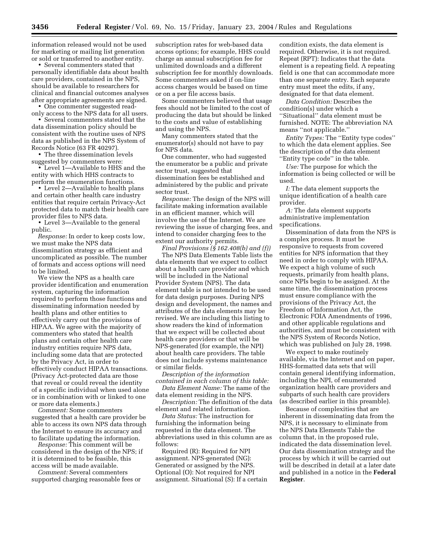information released would not be used for marketing or mailing list generation or sold or transferred to another entity.

• Several commenters stated that personally identifiable data about health care providers, contained in the NPS, should be available to researchers for clinical and financial outcomes analyses after appropriate agreements are signed.

• One commenter suggested readonly access to the NPS data for all users.

• Several commenters stated that the data dissemination policy should be consistent with the routine uses of NPS data as published in the NPS System of Records Notice (63 FR 40297).

• The three dissemination levels suggested by commenters were:

• Level 1—Available to HHS and the entity with which HHS contracts to perform the enumeration functions.

• Level 2—Available to health plans and certain other health care industry entities that require certain Privacy-Act protected data to match their health care provider files to NPS data.

• Level 3—Available to the general public.

*Response:* In order to keep costs low, we must make the NPS data dissemination strategy as efficient and uncomplicated as possible. The number of formats and access options will need to be limited.

We view the NPS as a health care provider identification and enumeration system, capturing the information required to perform those functions and disseminating information needed by health plans and other entities to effectively carry out the provisions of HIPAA. We agree with the majority of commenters who stated that health plans and certain other health care industry entities require NPS data, including some data that are protected by the Privacy Act, in order to effectively conduct HIPAA transactions. (Privacy Act-protected data are those that reveal or could reveal the identity of a specific individual when used alone or in combination with or linked to one or more data elements.)

*Comment:* Some commenters suggested that a health care provider be able to access its own NPS data through the Internet to ensure its accuracy and to facilitate updating the information.

*Response:* This comment will be considered in the design of the NPS; if it is determined to be feasible, this access will be made available.

*Comment:* Several commenters supported charging reasonable fees or

subscription rates for web-based data access options; for example, HHS could charge an annual subscription fee for unlimited downloads and a different subscription fee for monthly downloads. Some commenters asked if on-line access charges would be based on time or on a per file access basis.

Some commenters believed that usage fees should not be limited to the cost of producing the data but should be linked to the costs and value of establishing and using the NPS.

Many commenters stated that the enumerator(s) should not have to pay for NPS data.

One commenter, who had suggested the enumerator be a public and private sector trust, suggested that dissemination fees be established and administered by the public and private sector trust.

*Response:* The design of the NPS will facilitate making information available in an efficient manner, which will involve the use of the Internet. We are reviewing the issue of charging fees, and intend to consider charging fees to the extent our authority permits.

*Final Provisions (§ 162.408(b) and (f))* The NPS Data Elements Table lists the data elements that we expect to collect about a health care provider and which will be included in the National Provider System (NPS). The data element table is not intended to be used for data design purposes. During NPS design and development, the names and attributes of the data elements may be revised. We are including this listing to show readers the kind of information that we expect will be collected about health care providers or that will be NPS-generated (for example, the NPI) about health care providers. The table does not include systems maintenance or similar fields.

*Description of the information contained in each column of this table:*

*Data Element Name:* The name of the data element residing in the NPS.

*Description:* The definition of the data element and related information.

*Data Status:* The instruction for furnishing the information being requested in the data element. The abbreviations used in this column are as follows:

Required (R): Required for NPI assignment. NPS-generated (NG): Generated or assigned by the NPS. Optional (O): Not required for NPI assignment. Situational (S): If a certain

condition exists, the data element is required. Otherwise, it is not required. Repeat (RPT): Indicates that the data element is a repeating field. A repeating field is one that can accommodate more than one separate entry. Each separate entry must meet the edits, if any, designated for that data element.

*Data Condition:* Describes the condition(s) under which a ''Situational'' data element must be furnished. NOTE: The abbreviation NA means ''not applicable.''

*Entity Types:* The ''Entity type codes'' to which the data element applies. See the description of the data element ''Entity type code'' in the table.

*Use:* The purpose for which the information is being collected or will be used.

*I:* The data element supports the unique identification of a health care provider.

*A:* The data element supports administrative implementation specifications.

Dissemination of data from the NPS is a complex process. It must be responsive to requests from covered entities for NPS information that they need in order to comply with HIPAA. We expect a high volume of such requests, primarily from health plans, once NPIs begin to be assigned. At the same time, the dissemination process must ensure compliance with the provisions of the Privacy Act, the Freedom of Information Act, the Electronic FOIA Amendments of 1996, and other applicable regulations and authorities, and must be consistent with the NPS System of Records Notice, which was published on July 28, 1998.

We expect to make routinely available, via the Internet and on paper, HHS-formatted data sets that will contain general identifying information, including the NPI, of enumerated organization health care providers and subparts of such health care providers (as described earlier in this preamble).

Because of complexities that are inherent in disseminating data from the NPS, it is necessary to eliminate from the NPS Data Elements Table the column that, in the proposed rule, indicated the data dissemination level. Our data dissemination strategy and the process by which it will be carried out will be described in detail at a later date and published in a notice in the **Federal Register**.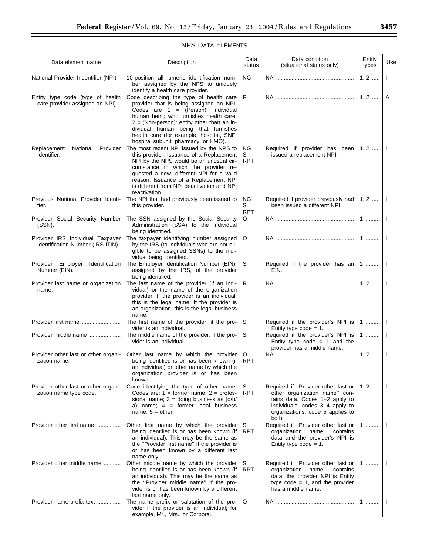## NPS DATA ELEMENTS

| Data element name                                                     | Description                                                                                                                                                                                                                                                                                                                                       |                       | Data condition<br>(situational status only)                                                                                                                                            | Entity<br>types   | Use          |
|-----------------------------------------------------------------------|---------------------------------------------------------------------------------------------------------------------------------------------------------------------------------------------------------------------------------------------------------------------------------------------------------------------------------------------------|-----------------------|----------------------------------------------------------------------------------------------------------------------------------------------------------------------------------------|-------------------|--------------|
| National Provider Indentifier (NPI)                                   | 10-position all-numeric identification num-<br>ΝG<br>ber assigned by the NPS to uniquely<br>identify a health care provider.                                                                                                                                                                                                                      |                       |                                                                                                                                                                                        | $1, 2, \ldots$    | $\mathbf{I}$ |
| Entity type code (type of health<br>care provider assigned an NPI).   | Code describing the type of health care<br>provider that is being assigned an NPI.<br>Codes are $1 = (Person)$ : individual<br>human being who furnishes health care;<br>$2 = (Non-person)$ : entity other than an in-<br>dividual human being that furnishes<br>health care (for example, hospital, SNF,<br>hospital subunit, pharmacy, or HMO). | R                     |                                                                                                                                                                                        | $1, 2, \ldots$    | A            |
| Replacement<br>National<br>Provider<br>Identifier.                    | The most recent NPI issued by the NPS to<br>this provider. Issuance of a Replacement<br>NPI by the NPS would be an unusual cir-<br>cumstance in which the provider re-<br>quested a new, different NPI for a valid<br>reason. Issuance of a Replacement NPI<br>is different from NPI deactivation and NPI<br>reactivation.                        | ΝG<br>S<br><b>RPT</b> | Required if provider has been $ 1, 2,  $<br>issued a replacement NPI.                                                                                                                  |                   |              |
| Previous National Provider Identi-<br>fier.                           | The NPI that had previously been issued to<br>this provider.                                                                                                                                                                                                                                                                                      | ΝG<br>S<br><b>RPT</b> | Required if provider previously had   1, 2<br>been issued a different NPI.                                                                                                             |                   |              |
| Provider Social Security Number<br>(SSN).                             | The SSN assigned by the Social Security<br>Administration (SSA) to the individual<br>being identified.                                                                                                                                                                                                                                            | O                     |                                                                                                                                                                                        | 1                 |              |
| Provider IRS Individual Taxpayer<br>Identification Number (IRS ITIN). | The taxpayer identifying number assigned<br>by the IRS (to individuals who are not eli-<br>gible to be assigned SSNs) to the indi-<br>vidual being identified.                                                                                                                                                                                    | $\circ$               |                                                                                                                                                                                        | $1$               |              |
| Provider Employer Identification<br>Number (EIN).                     | The Employer Identification Number (EIN),<br>assigned by the IRS, of the provider<br>being identified.                                                                                                                                                                                                                                            | S                     | Required if the provider has an $ 2$<br>EIN.                                                                                                                                           |                   |              |
| Provider last name or organization<br>name.                           | The last name of the provider (if an indi-<br>vidual) or the name of the organization<br>provider. If the provider is an individual,<br>this is the legal name. If the provider is<br>an organization, this is the legal business<br>name.                                                                                                        | R                     |                                                                                                                                                                                        |                   |              |
| Provider first name                                                   | The first name of the provider, if the pro-<br>vider is an individual.                                                                                                                                                                                                                                                                            | S                     | Required if the provider's NPI is<br>Entity type $code = 1$ .                                                                                                                          | $1$               |              |
| Provider middle name                                                  | The middle name of the provider, if the pro-<br>vider is an individual.                                                                                                                                                                                                                                                                           | S                     | Required if the provider's NPI is<br>Entity type $code = 1$ and the<br>provider has a middle name.                                                                                     | 1    1            |              |
| Provider other last or other organi-<br>zation name.                  | Other last name by which the provider<br>being identified is or has been known (if<br>an individual) or other name by which the<br>organization provider is or has been<br>known.                                                                                                                                                                 | O<br>RPT              |                                                                                                                                                                                        | $1, 2, \dots$   1 |              |
| Provider other last or other organi-<br>zation name type code.        | Code identifying the type of other name.<br>Codes are: $1 =$ former name; $2 =$ profes-<br>sional name; $3 =$ doing business as $\frac{d}{b}$<br>a) name; $4 =$ former legal business<br>name; $5 =$ other.                                                                                                                                       | S<br>RPT              | Required if "Provider other last or<br>other organization name" con-<br>tains data. Codes 1-2 apply to<br>individuals; codes 3-4 apply to<br>organizations; code 5 applies to<br>both. | $1, 2, \ldots$    |              |
| Provider other first name                                             | Other first name by which the provider<br>being identified is or has been known (if<br>an individual). This may be the same as<br>the "Provider first name" if the provider is<br>or has been known by a different last<br>name only.                                                                                                             | S<br>RPT              | Required if "Provider other last or<br>organization name"<br>contains<br>data and the provider's NPI is<br>Entity type code = $1$ .                                                    | 1                 |              |
| Provider other middle name                                            | Other middle name by which the provider<br>being identified is or has been known (if<br>an individual). This may be the same as<br>the "Provider middle name" if the pro-<br>vider is or has been known by a different<br>last name only.                                                                                                         | S<br>RPT              | Required if "Provider other last or<br>organization name"<br>contains<br>data, the provider NPI is Entity<br>type $code = 1$ , and the provider<br>has a middle name.                  | 1                 |              |
| Provider name prefix text                                             | The name prefix or salutation of the pro-<br>vider if the provider is an individual; for<br>example, Mr., Mrs., or Corporal.                                                                                                                                                                                                                      | $\circ$               |                                                                                                                                                                                        | $1$   1           |              |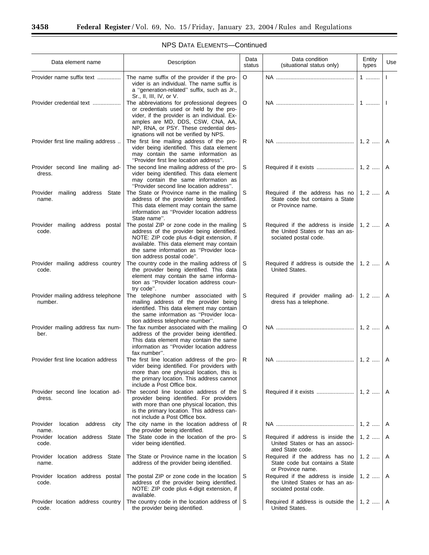$\equiv$ 

÷.

| Description<br>Data element name                 |                                                                                                                                                                                                                                                                                         | Data<br>status | Data condition<br>(situational status only)                                                   | Entity<br>types | Use |
|--------------------------------------------------|-----------------------------------------------------------------------------------------------------------------------------------------------------------------------------------------------------------------------------------------------------------------------------------------|----------------|-----------------------------------------------------------------------------------------------|-----------------|-----|
| Provider name suffix text                        | O<br>The name suffix of the provider if the pro-<br>vider is an individual. The name suffix is<br>a "generation-related" suffix, such as Jr.,<br>Sr., II, III, IV, or V.                                                                                                                |                |                                                                                               | $1$             |     |
| Provider credential text                         | The abbreviations for professional degrees<br>O<br>or credentials used or held by the pro-<br>vider, if the provider is an individual. Ex-<br>amples are MD, DDS, CSW, CNA, AA,<br>NP, RNA, or PSY. These credential des-<br>ignations will not be verified by NPS.                     |                | $1$                                                                                           |                 |     |
| Provider first line mailing address              | The first line mailing address of the pro-<br>R<br>vider being identified. This data element<br>may contain the same information as<br>"Provider first line location address".                                                                                                          |                |                                                                                               | A               |     |
| Provider second line mailing ad-<br>dress.       | The second line mailing address of the pro-<br>vider being identified. This data element<br>may contain the same information as<br>"Provider second line location address".                                                                                                             | S              |                                                                                               |                 | A   |
| Provider<br>mailing address State<br>name.       | The State or Province name in the mailing<br>address of the provider being identified.<br>This data element may contain the same<br>information as "Provider location address"<br>State name".                                                                                          | S              | Required if the address has no<br>State code but contains a State<br>or Province name.        | $1, 2, \ldots$  | A   |
| Provider mailing address postal<br>code.         | The postal ZIP or zone code in the mailing<br>S<br>address of the provider being identified.<br>NOTE: ZIP code plus 4-digit extension, if<br>sociated postal code.<br>available. This data element may contain<br>the same information as "Provider loca-<br>tion address postal code". |                | Required if the address is inside<br>the United States or has an as-                          | 1, 2    A       |     |
| Provider mailing address country<br>code.        | The country code in the mailing address of<br>the provider being identified. This data<br>element may contain the same informa-<br>tion as "Provider location address coun-<br>try code".                                                                                               | S              | Required if address is outside the $\vert$ 1, 2<br>United States.                             |                 | A   |
| Provider mailing address telephone<br>number.    | The telephone number associated with<br>mailing address of the provider being<br>identified. This data element may contain<br>the same information as "Provider loca-<br>tion address telephone number".                                                                                | S              | Required if provider mailing ad-<br>dress has a telephone.                                    | $1, 2, \ldots$  | A   |
| Provider mailing address fax num-<br>ber.        | The fax number associated with the mailing<br>address of the provider being identified.<br>This data element may contain the same<br>information as "Provider location address"<br>fax number".                                                                                         | O              |                                                                                               |                 | A   |
| Provider first line location address             | The first line location address of the pro-<br>vider being identified. For providers with<br>more than one physical location, this is<br>the primary location. This address cannot<br>include a Post Office box.                                                                        | R              |                                                                                               |                 | A   |
| Provider second line location ad-<br>dress.      | The second line location address of the<br>provider being identified. For providers<br>with more than one physical location, this<br>is the primary location. This address can-<br>not include a Post Office box.                                                                       | S              |                                                                                               | $1, 2, \ldots$  | A   |
| Provider<br>location<br>address<br>city<br>name. | The city name in the location address of<br>the provider being identified.                                                                                                                                                                                                              | R              |                                                                                               | $1, 2, \ldots$  | A   |
| Provider<br>location address State<br>code.      | The State code in the location of the pro-<br>vider being identified.                                                                                                                                                                                                                   | S              | Required if address is inside the<br>United States or has an associ-<br>ated State code.      | $1, 2, \ldots$  | A   |
| location address State<br>Provider<br>name.      | The State or Province name in the location<br>address of the provider being identified.                                                                                                                                                                                                 | S              | Required if the address has no<br>State code but contains a State<br>or Province name.        | $1, 2, \ldots$  | A   |
| Provider location address postal<br>code.        | The postal ZIP or zone code in the location<br>address of the provider being identified.<br>NOTE: ZIP code plus 4-digit extension, if<br>available.                                                                                                                                     | S              | Required if the address is inside<br>the United States or has an as-<br>sociated postal code. | $1, 2, \ldots$  | A   |
| Provider location address country<br>code.       | The country code in the location address of<br>the provider being identified.                                                                                                                                                                                                           | S              | Required if address is outside the<br>United States.                                          | $1, 2, \ldots$  | A   |

## NPS DATA ELEMENTS—Continued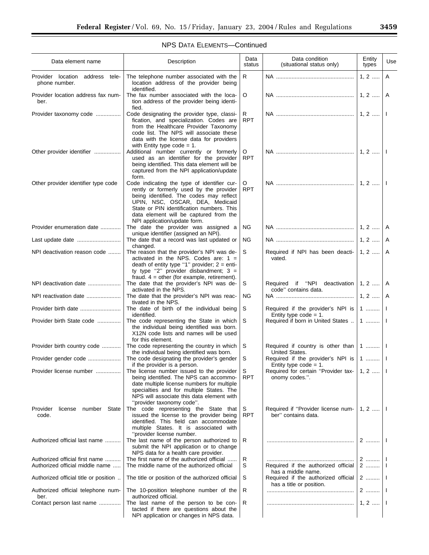| Description<br>Data element name                 |                                                                                                                                                                                                                                                                                             | Data<br>status  | Data condition<br>(situational status only)                            | Entity<br>types   | Us           |
|--------------------------------------------------|---------------------------------------------------------------------------------------------------------------------------------------------------------------------------------------------------------------------------------------------------------------------------------------------|-----------------|------------------------------------------------------------------------|-------------------|--------------|
| Provider location address tele-<br>phone number. | The telephone number associated with the<br>R<br>location address of the provider being<br>identified.                                                                                                                                                                                      |                 |                                                                        | $1, 2, \ldots$    | $\mathsf{A}$ |
| Provider location address fax num-<br>ber.       | The fax number associated with the loca-<br>tion address of the provider being identi-<br>fied.                                                                                                                                                                                             | O               |                                                                        | $1, 2, \dots$   A |              |
| Provider taxonomy code                           | Code designating the provider type, classi-<br>R<br><b>RPT</b><br>fication, and specialization. Codes are<br>from the Healthcare Provider Taxonomy<br>code list. The NPS will associate these<br>data with the license data for providers<br>with Entity type $code = 1$ .                  |                 |                                                                        |                   | $\perp$      |
| Other provider identifier                        | Additional number currently or formerly<br>used as an identifier for the provider<br>being identified. This data element will be<br>captured from the NPI application/update<br>form.                                                                                                       | O<br><b>RPT</b> |                                                                        |                   | $\perp$      |
| Other provider identifier type code              | Code indicating the type of identifier cur-<br>rently or formerly used by the provider<br>being identified. The codes may reflect<br>UPIN, NSC, OSCAR, DEA, Medicaid<br>State or PIN identification numbers. This<br>data element will be captured from the<br>NPI application/update form. | O<br><b>RPT</b> |                                                                        |                   |              |
| Provider enumeration date                        | The date the provider was assigned a<br>unique identifier (assigned an NPI).                                                                                                                                                                                                                | ΝG              |                                                                        |                   | A            |
| Last update date                                 | The date that a record was last updated or<br>changed.                                                                                                                                                                                                                                      | ΝG              |                                                                        | $1, 2, \ldots$    | A            |
| NPI deactivation reason code                     | The reason that the provider's NPI was de-<br>activated in the NPS. Codes are: $1 =$<br>death of entity type "1" provider; $2 = enti$ -<br>ty type "2" provider disbandment; $3 =$<br>fraud. $4 =$ other (for example, retirement).                                                         | S               | Required if NPI has been deacti- $\vert$ 1, 2 $\vert$ A<br>vated.      |                   |              |
| NPI deactivation date                            | The date that the provider's NPI was de-<br>activated in the NPS.                                                                                                                                                                                                                           | S               | Required if "NPI deactivation $ 1, 2,  $ A<br>code" contains data.     |                   |              |
| NPI reactivation date                            | The date that the provider's NPI was reac-<br>tivated in the NPS.                                                                                                                                                                                                                           | ΝG              |                                                                        | 1, 2,             | A            |
|                                                  | The date of birth of the individual being<br>identified.                                                                                                                                                                                                                                    | S               | Required if the provider's NPI is $ 1$   I<br>Entity type $code = 1$ . |                   |              |
| Provider birth State code                        | The code representing the State in which<br>the individual being identified was born.<br>X12N code lists and names will be used<br>for this element.                                                                                                                                        | S               | Required if born in United States    1    I                            |                   |              |
| Provider birth country code                      | The code representing the country in which<br>the individual being identified was born.                                                                                                                                                                                                     | S               | Required if country is other than $ 1$ $ 1 $<br>United States.         |                   |              |
| Provider gender code                             | The code designating the provider's gender<br>if the provider is a person.                                                                                                                                                                                                                  | S               | Required if the provider's NPI is $ 1$   I<br>Entity type code $= 1$ . |                   |              |
| Provider license number                          | The license number issued to the provider<br>being identified. The NPS can accommo-<br>date multiple license numbers for multiple<br>specialties and for multiple States. The<br>NPS will associate this data element with<br>"provider taxonomy code".                                     | S<br>RPT        | Required for certain "Provider tax-   1, 2    I<br>onomy codes.".      |                   |              |
| Provider<br>license number State<br>code.        | The code representing the State that<br>issued the license to the provider being<br>identified. This field can accommodate<br>multiple States. It is associated with<br>"provider license number.                                                                                           | S<br>RPT        | Required if "Provider license num-<br>ber" contains data.              | $1, 2, \ldots$    | $\mathbf{I}$ |
| Authorized official last name                    | The last name of the person authorized to<br>submit the NPI application or to change                                                                                                                                                                                                        | R               |                                                                        | 2                 |              |

NPS data for a health care provider.

The middle name of the authorized official

The 10-position telephone number of the

tacted if there are questions about the NPI application or changes in NPS data.

Authorized official title or position  $\ldots$  The title or position of the authorized official  $\mid$  S

Contact person last name .............. The last name of the person to be con-

authorized official.

Authorized official telephone num-

ber.

Authorized official first name .......... The first name of the authorized official ...... R ........................................................ 2 ......... I

has a middle name.<br>Required if the authorized official

R ........................................................ 2 ......... I

R ........................................................ 1, 2 ..... I

has a title or position.

2 ......... I

 $2$  ......... | 1

#### NPS DATA ELEMENTS—Continued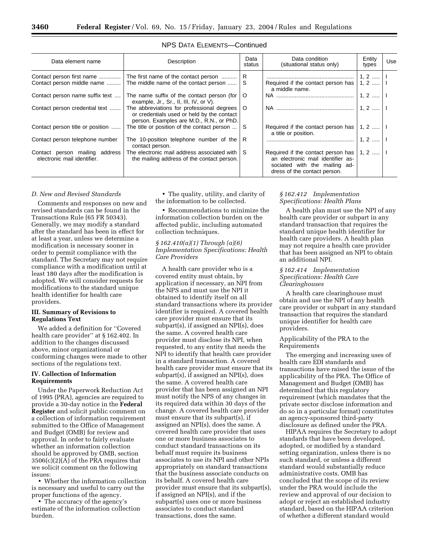| Data element name                                             | Description                                                                                                                          |         | Data condition<br>(situational status only)                                                                                              | Entity<br>types | Use |
|---------------------------------------------------------------|--------------------------------------------------------------------------------------------------------------------------------------|---------|------------------------------------------------------------------------------------------------------------------------------------------|-----------------|-----|
| Contact person first name                                     | R<br>The first name of the contact person                                                                                            |         |                                                                                                                                          | $1, 2, \ldots$  |     |
| Contact person middle name                                    | The middle name of the contact person                                                                                                | S       | Required if the contact person has<br>a middle name.                                                                                     | $1, 2, \ldots$  |     |
| Contact person name suffix text                               | The name suffix of the contact person (for<br>example, Jr., Sr., II, III, IV, or $V$ ).                                              | $\circ$ |                                                                                                                                          | $1, 2, \ldots$  |     |
| Contact person credential text                                | The abbreviations for professional degrees<br>or credentials used or held by the contact<br>person. Examples are M.D., R.N., or PhD. | $\circ$ |                                                                                                                                          | $1.2$           |     |
| Contact person title or position                              | The title or position of the contact person                                                                                          | -S      | Required if the contact person has<br>a title or position.                                                                               | $1, 2, \ldots$  |     |
| Contact person telephone number                               | The 10-position telephone number of the<br>contact person.                                                                           | R       |                                                                                                                                          | $1.2$           |     |
| Contact person mailing address<br>electronic mail identifier. | The electronic mail address associated with<br>the mailing address of the contact person.                                            | -S      | Required if the contact person has<br>an electronic mail identifier as-<br>sociated with the mailing ad-<br>dress of the contact person. | $1, 2, \ldots$  |     |

#### NPS DATA ELEMENTS—Continued

#### *D. New and Revised Standards*

Comments and responses on new and revised standards can be found in the Transactions Rule (65 FR 50343). Generally, we may modify a standard after the standard has been in effect for at least a year, unless we determine a modification is necessary sooner in order to permit compliance with the standard. The Secretary may not require compliance with a modification until at least 180 days after the modification is adopted. We will consider requests for modifications to the standard unique health identifier for health care providers.

#### **III. Summary of Revisions to Regulations Text**

We added a definition for ''Covered health care provider'' at § 162.402. In addition to the changes discussed above, minor organizational or conforming changes were made to other sections of the regulations text.

#### **IV. Collection of Information Requirements**

Under the Paperwork Reduction Act of 1995 (PRA), agencies are required to provide a 30-day notice in the **Federal Register** and solicit public comment on a collection of information requirement submitted to the Office of Management and Budget (OMB) for review and approval. In order to fairly evaluate whether an information collection should be approved by OMB, section 3506(c)(2)(A) of the PRA requires that we solicit comment on the following issues:

• Whether the information collection is necessary and useful to carry out the proper functions of the agency.

• The accuracy of the agency's estimate of the information collection burden.

• The quality, utility, and clarity of the information to be collected.

• Recommendations to minimize the information collection burden on the affected public, including automated collection techniques.

*§ 162.410(a)(1) Through (a)(6) Implementation Specifications: Health Care Providers* 

A health care provider who is a covered entity must obtain, by application if necessary, an NPI from the NPS and must use the NPI it obtained to identify itself on all standard transactions where its provider identifier is required. A covered health care provider must ensure that its subpart(s), if assigned an NPI(s), does the same. A covered health care provider must disclose its NPI, when requested, to any entity that needs the NPI to identify that health care provider in a standard transaction. A covered health care provider must ensure that its subpart(s), if assigned an NPI(s), does the same. A covered health care provider that has been assigned an NPI must notify the NPS of any changes in its required data within 30 days of the change. A covered health care provider must ensure that its subpart(s), if assigned an NPI(s), does the same. A covered health care provider that uses one or more business associates to conduct standard transactions on its behalf must require its business associates to use its NPI and other NPIs appropriately on standard transactions that the business associate conducts on its behalf. A covered health care provider must ensure that its subpart(s), if assigned an NPI(s), and if the subpart(s) uses one or more business associates to conduct standard transactions, does the same.

#### *§ 162.412 Implementation Specifications: Health Plans*

A health plan must use the NPI of any health care provider or subpart in any standard transaction that requires the standard unique health identifier for health care providers. A health plan may not require a health care provider that has been assigned an NPI to obtain an additional NPI.

#### *§ 162.414 Implementation Specifications: Health Care Clearinghouses*

A health care clearinghouse must obtain and use the NPI of any health care provider or subpart in any standard transaction that requires the standard unique identifier for health care providers.

#### Applicability of the PRA to the Requirements

The emerging and increasing uses of health care EDI standards and transactions have raised the issue of the applicability of the PRA. The Office of Management and Budget (OMB) has determined that this regulatory requirement (which mandates that the private sector disclose information and do so in a particular format) constitutes an agency-sponsored third-party disclosure as defined under the PRA.

HIPAA requires the Secretary to adopt standards that have been developed, adopted, or modified by a standard setting organization, unless there is no such standard, or unless a different standard would substantially reduce administrative costs. OMB has concluded that the scope of its review under the PRA would include the review and approval of our decision to adopt or reject an established industry standard, based on the HIPAA criterion of whether a different standard would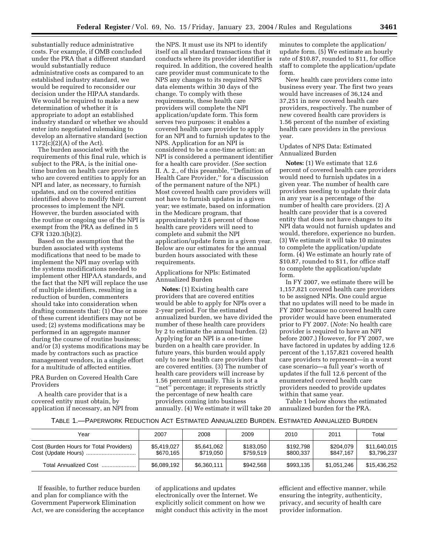substantially reduce administrative costs. For example, if OMB concluded under the PRA that a different standard would substantially reduce administrative costs as compared to an established industry standard, we would be required to reconsider our decision under the HIPAA standards. We would be required to make a new determination of whether it is appropriate to adopt an established industry standard or whether we should enter into negotiated rulemaking to develop an alternative standard (section 1172(c)(2)(A) of the Act).

The burden associated with the requirements of this final rule, which is subject to the PRA, is the initial onetime burden on health care providers who are covered entities to apply for an NPI and later, as necessary, to furnish updates, and on the covered entities identified above to modify their current processes to implement the NPI. However, the burden associated with the routine or ongoing use of the NPI is exempt from the PRA as defined in 5 CFR 1320.3(b)(2).

Based on the assumption that the burden associated with systems modifications that need to be made to implement the NPI may overlap with the systems modifications needed to implement other HIPAA standards, and the fact that the NPI will replace the use of multiple identifiers, resulting in a reduction of burden, commenters should take into consideration when drafting comments that: (1) One or more of these current identifiers may not be used; (2) systems modifications may be performed in an aggregate manner during the course of routine business; and/or (3) systems modifications may be made by contractors such as practice management vendors, in a single effort for a multitude of affected entities.

#### PRA Burden on Covered Health Care Providers

A health care provider that is a covered entity must obtain, by application if necessary, an NPI from

the NPS. It must use its NPI to identify itself on all standard transactions that it conducts where its provider identifier is required. In addition, the covered health care provider must communicate to the NPS any changes to its required NPS data elements within 30 days of the change. To comply with these requirements, these health care providers will complete the NPI application/update form. This form serves two purposes: it enables a covered health care provider to apply for an NPI and to furnish updates to the NPS. Application for an NPI is considered to be a one-time action: an NPI is considered a permanent identifier for a health care provider. (*See* section II. A. 2., of this preamble, ''Definition of Health Care Provider,'' for a discussion of the permanent nature of the NPI.) Most covered health care providers will not have to furnish updates in a given year; we estimate, based on information in the Medicare program, that approximately 12.6 percent of those health care providers will need to complete and submit the NPI application/update form in a given year. Below are our estimates for the annual burden hours associated with these requirements.

Applications for NPIs: Estimated Annualized Burden

**Notes:** (1) Existing health care providers that are covered entities would be able to apply for NPIs over a 2-year period. For the estimated annualized burden, we have divided the number of these health care providers by 2 to estimate the annual burden. (2) Applying for an NPI is a one-time burden on a health care provider. In future years, this burden would apply only to new health care providers that are covered entities. (3) The number of health care providers will increase by 1.56 percent annually. This is not a "net" percentage; it represents strictly the percentage of new health care providers coming into business annually. (4) We estimate it will take 20

minutes to complete the application/ update form. (5) We estimate an hourly rate of \$10.87, rounded to \$11, for office staff to complete the application/update form.

New health care providers come into business every year. The first two years would have increases of 36,124 and 37,251 in new covered health care providers, respectively. The number of new covered health care providers is 1.56 percent of the number of existing health care providers in the previous year.

#### Updates of NPS Data: Estimated Annualized Burden

**Notes:** (1) We estimate that 12.6 percent of covered health care providers would need to furnish updates in a given year. The number of health care providers needing to update their data in any year is a percentage of the number of health care providers. (2) A health care provider that is a covered entity that does not have changes to its NPI data would not furnish updates and would, therefore, experience no burden. (3) We estimate it will take 10 minutes to complete the application/update form. (4) We estimate an hourly rate of \$10.87, rounded to \$11, for office staff to complete the application/update form.

In FY 2007, we estimate there will be 1,157,821 covered health care providers to be assigned NPIs. One could argue that no updates will need to be made in FY 2007 because no covered health care provider would have been enumerated prior to FY 2007. (*Note:* No health care provider is required to have an NPI before 2007.) However, for FY 2007, we have factored in updates by adding 12.6 percent of the 1,157,821 covered health care providers to represent—in a worst case scenario—a full year's worth of updates if the full 12.6 percent of the enumerated covered health care providers needed to provide updates within that same year.

Table 1 below shows the estimated annualized burden for the PRA.

#### TABLE 1.—PAPERWORK REDUCTION ACT ESTIMATED ANNUALIZED BURDEN. ESTIMATED ANNUALIZED BURDEN

| Year                                    | 2007                     | 2008                     | 2009                   | 2010                   | 2011                   | Total                       |
|-----------------------------------------|--------------------------|--------------------------|------------------------|------------------------|------------------------|-----------------------------|
| Cost (Burden Hours for Total Providers) | \$5,419,027<br>\$670.165 | \$5.641.062<br>\$719.050 | \$183,050<br>\$759.519 | \$192.798<br>\$800,337 | \$204,079<br>\$847.167 | \$11,640,015<br>\$3,796,237 |
| Total Annualized Cost                   | \$6,089,192              | \$6,360,111              | \$942.568              | \$993.135              | \$1.051.246            | \$15.436.252                |

If feasible, to further reduce burden and plan for compliance with the Government Paperwork Elimination Act, we are considering the acceptance of applications and updates electronically over the Internet. We explicitly solicit comment on how we might conduct this activity in the most efficient and effective manner, while ensuring the integrity, authenticity, privacy, and security of health care provider information.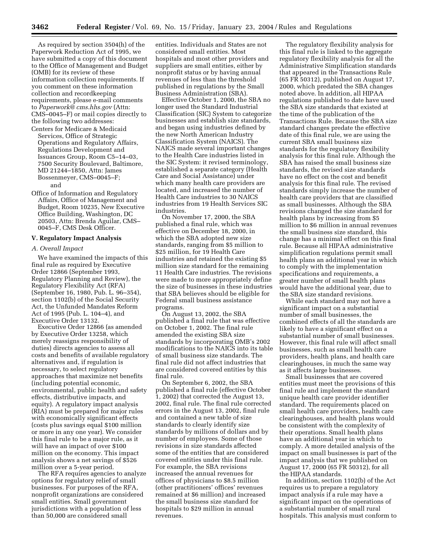As required by section 3504(h) of the Paperwork Reduction Act of 1995, we have submitted a copy of this document to the Office of Management and Budget (OMB) for its review of these information collection requirements. If you comment on these information collection and recordkeeping requirements, please e-mail comments to *[Paperwork@ cms.hhs.gov](mailto:Paperwork@cms.hhs.gov)* (Attn: CMS–0045–F) or mail copies directly to the following two addresses: Centers for Medicare & Medicaid

Services, Office of Strategic Operations and Regulatory Affairs, Regulations Development and Issuances Group, Room C5–14–03, 7500 Security Boulevard, Baltimore, MD 21244–1850, Attn: James Bossenmeyer, CMS–0045–F; and

Office of Information and Regulatory Affairs, Office of Management and Budget, Room 10235, New Executive Office Building, Washington, DC 20503, Attn: Brenda Aguilar, CMS– 0045–F, CMS Desk Officer.

#### **V. Regulatory Impact Analysis**

#### *A. Overall Impact*

We have examined the impacts of this final rule as required by Executive Order 12866 (September 1993, Regulatory Planning and Review), the Regulatory Flexibility Act (RFA) (September 16, 1980, Pub. L. 96–354), section 1102(b) of the Social Security Act, the Unfunded Mandates Reform Act of 1995 (Pub. L. 104–4), and Executive Order 13132.

Executive Order 12866 (as amended by Executive Order 13258, which merely reassigns responsibility of duties) directs agencies to assess all costs and benefits of available regulatory alternatives and, if regulation is necessary, to select regulatory approaches that maximize net benefits (including potential economic, environmental, public health and safety effects, distributive impacts, and equity). A regulatory impact analysis (RIA) must be prepared for major rules with economically significant effects (costs plus savings equal \$100 million or more in any one year). We consider this final rule to be a major rule, as it will have an impact of over \$100 million on the economy. This impact analysis shows a net savings of \$526 million over a 5-year period.

The RFA requires agencies to analyze options for regulatory relief of small businesses. For purposes of the RFA, nonprofit organizations are considered small entities. Small government jurisdictions with a population of less than 50,000 are considered small

entities. Individuals and States are not considered small entities. Most hospitals and most other providers and suppliers are small entities, either by nonprofit status or by having annual revenues of less than the threshold published in regulations by the Small Business Administration (SBA).

Effective October 1, 2000, the SBA no longer used the Standard Industrial Classification (SIC) System to categorize businesses and establish size standards, and began using industries defined by the new North American Industry Classification System (NAICS). The NAICS made several important changes to the Health Care industries listed in the SIC System: it revised terminology, established a separate category (Health Care and Social Assistance) under which many health care providers are located, and increased the number of Health Care industries to 30 NAICS industries from 19 Health Services SIC industries.

On November 17, 2000, the SBA published a final rule, which was effective on December 18, 2000, in which the SBA adopted new size standards, ranging from \$5 million to \$25 million, for 19 Health Care industries and retained the existing \$5 million size standard for the remaining 11 Health Care industries. The revisions were made to more appropriately define the size of businesses in these industries that SBA believes should be eligible for Federal small business assistance programs.

On August 13, 2002, the SBA published a final rule that was effective on October 1, 2002. The final rule amended the existing SBA size standards by incorporating OMB's 2002 modifications to the NAICS into its table of small business size standards. The final rule did not affect industries that are considered covered entities by this final rule.

On September 6, 2002, the SBA published a final rule (effective October 1, 2002) that corrected the August 13, 2002, final rule. The final rule corrected errors in the August 13, 2002, final rule and contained a new table of size standards to clearly identify size standards by millions of dollars and by number of employees. Some of those revisions in size standards affected some of the entities that are considered covered entities under this final rule. For example, the SBA revisions increased the annual revenues for offices of physicians to \$8.5 million (other practitioners' offices' revenues remained at \$6 million) and increased the small business size standard for hospitals to \$29 million in annual revenues.

The regulatory flexibility analysis for this final rule is linked to the aggregate regulatory flexibility analysis for all the Administrative Simplification standards that appeared in the Transactions Rule (65 FR 50312), published on August 17, 2000, which predated the SBA changes noted above. In addition, all HIPAA regulations published to date have used the SBA size standards that existed at the time of the publication of the Transactions Rule. Because the SBA size standard changes predate the effective date of this final rule, we are using the current SBA small business size standards for the regulatory flexibility analysis for this final rule. Although the SBA has raised the small business size standards, the revised size standards have no effect on the cost and benefit analysis for this final rule. The revised standards simply increase the number of health care providers that are classified as small businesses. Although the SBA revisions changed the size standard for health plans by increasing from \$5 million to \$6 million in annual revenues the small business size standard, this change has a minimal effect on this final rule. Because all HIPAA administrative simplification regulations permit small health plans an additional year in which to comply with the implementation specifications and requirements, a greater number of small health plans would have the additional year, due to the SBA size standard revisions.

While each standard may not have a significant impact on a substantial number of small businesses, the combined effects of all the standards are likely to have a significant effect on a substantial number of small businesses. However, this final rule will affect small businesses, such as small health care providers, health plans, and health care clearinghouses, in much the same way as it affects large businesses.

Small businesses that are covered entities must meet the provisions of this final rule and implement the standard unique health care provider identifier standard. The requirements placed on small health care providers, health care clearinghouses, and health plans would be consistent with the complexity of their operations. Small health plans have an additional year in which to comply. A more detailed analysis of the impact on small businesses is part of the impact analysis that we published on August 17, 2000 (65 FR 50312), for all the HIPAA standards.

In addition, section 1102(b) of the Act requires us to prepare a regulatory impact analysis if a rule may have a significant impact on the operations of a substantial number of small rural hospitals. This analysis must conform to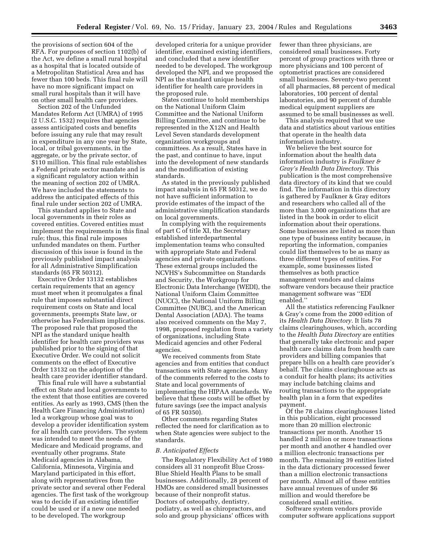the provisions of section 604 of the RFA. For purposes of section 1102(b) of the Act, we define a small rural hospital as a hospital that is located outside of a Metropolitan Statistical Area and has fewer than 100 beds. This final rule will have no more significant impact on small rural hospitals than it will have on other small health care providers.

Section 202 of the Unfunded Mandates Reform Act (UMRA) of 1995 (2 U.S.C. 1532) requires that agencies assess anticipated costs and benefits before issuing any rule that may result in expenditure in any one year by State, local, or tribal governments, in the aggregate, or by the private sector, of \$110 million. This final rule establishes a Federal private sector mandate and is a significant regulatory action within the meaning of section 202 of UMRA. We have included the statements to address the anticipated effects of this final rule under section 202 of UMRA.

This standard applies to State and local governments in their roles as covered entities. Covered entities must implement the requirements in this final rule; thus, this final rule imposes unfunded mandates on them. Further discussion of this issue is found in the previously published impact analysis for all Administrative Simplification standards (65 FR 50312).

Executive Order 13132 establishes certain requirements that an agency must meet when it promulgates a final rule that imposes substantial direct requirement costs on State and local governments, preempts State law, or otherwise has Federalism implications. The proposed rule that proposed the NPI as the standard unique health identifier for health care providers was published prior to the signing of that Executive Order. We could not solicit comments on the effect of Executive Order 13132 on the adoption of the health care provider identifier standard.

This final rule will have a substantial effect on State and local governments to the extent that those entities are covered entities. As early as 1993, CMS (then the Health Care Financing Administration) led a workgroup whose goal was to develop a provider identification system for all health care providers. The system was intended to meet the needs of the Medicare and Medicaid programs, and eventually other programs. State Medicaid agencies in Alabama, California, Minnesota, Virginia and Maryland participated in this effort, along with representatives from the private sector and several other Federal agencies. The first task of the workgroup was to decide if an existing identifier could be used or if a new one needed to be developed. The workgroup

developed criteria for a unique provider identifier, examined existing identifiers, and concluded that a new identifier needed to be developed. The workgroup developed the NPI, and we proposed the NPI as the standard unique health identifier for health care providers in the proposed rule.

States continue to hold memberships on the National Uniform Claim Committee and the National Uniform Billing Committee, and continue to be represented in the X12N and Health Level Seven standards development organization workgroups and committees. As a result, States have in the past, and continue to have, input into the development of new standards and the modification of existing standards.

As stated in the previously published impact analysis in 65 FR 50312, we do not have sufficient information to provide estimates of the impact of the administrative simplification standards on local governments.

In complying with the requirements of part C of title XI, the Secretary established interdepartmental implementation teams who consulted with appropriate State and Federal agencies and private organizations. These external groups included the NCVHS's Subcommittee on Standards and Security, the Workgroup for Electronic Data Interchange (WEDI), the National Uniform Claim Committee (NUCC), the National Uniform Billing Committee (NUBC), and the American Dental Association (ADA). The teams also received comments on the May 7, 1998, proposed regulation from a variety of organizations, including State Medicaid agencies and other Federal agencies.

We received comments from State agencies and from entities that conduct transactions with State agencies. Many of the comments referred to the costs to State and local governments of implementing the HIPAA standards. We believe that these costs will be offset by future savings (*see* the impact analysis of 65 FR 50350).

Other comments regarding States reflected the need for clarification as to when State agencies were subject to the standards.

#### *B. Anticipated Effects*

The Regulatory Flexibility Act of 1980 considers all 31 nonprofit Blue Cross-Blue Shield Health Plans to be small businesses. Additionally, 28 percent of HMOs are considered small businesses because of their nonprofit status. Doctors of osteopathy, dentistry, podiatry, as well as chiropractors, and solo and group physicians' offices with

fewer than three physicians, are considered small businesses. Forty percent of group practices with three or more physicians and 100 percent of optometrist practices are considered small businesses. Seventy-two percent of all pharmacies, 88 percent of medical laboratories, 100 percent of dental laboratories, and 90 percent of durable medical equipment suppliers are assumed to be small businesses as well.

This analysis required that we use data and statistics about various entities that operate in the health data information industry.

We believe the best source for information about the health data information industry is *Faulkner & Gray's Health Data Directory.* This publication is the most comprehensive data directory of its kind that we could find. The information in this directory is gathered by Faulkner & Gray editors and researchers who called all of the more than 3,000 organizations that are listed in the book in order to elicit information about their operations. Some businesses are listed as more than one type of business entity because, in reporting the information, companies could list themselves to be as many as three different types of entities. For example, some businesses listed themselves as both practice management vendors and claims software vendors because their practice management software was ''EDI enabled.''

All the statistics referencing Faulkner & Gray's come from the 2000 edition of its *Health Data Directory.* It lists 78 claims clearinghouses, which, according to the *Health Data Directory* are entities that generally take electronic and paper health care claims data from health care providers and billing companies that prepare bills on a health care provider's behalf. The claims clearinghouse acts as a conduit for health plans; its activities may include batching claims and routing transactions to the appropriate health plan in a form that expedites payment.

Of the 78 claims clearinghouses listed in this publication, eight processed more than 20 million electronic transactions per month. Another 15 handled 2 million or more transactions per month and another 4 handled over a million electronic transactions per month. The remaining 39 entities listed in the data dictionary processed fewer than a million electronic transactions per month. Almost all of these entities have annual revenues of under \$6 million and would therefore be considered small entities.

Software system vendors provide computer software applications support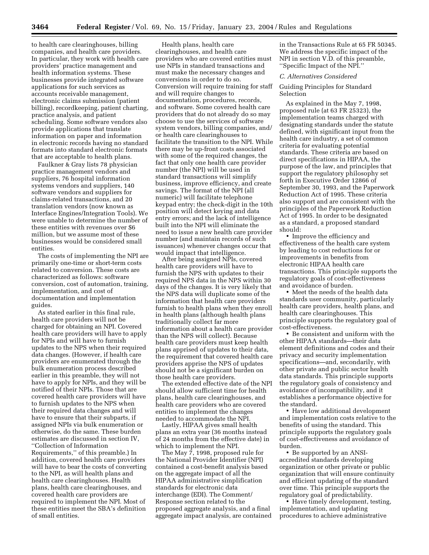to health care clearinghouses, billing companies, and health care providers. In particular, they work with health care providers' practice management and health information systems. These businesses provide integrated software applications for such services as accounts receivable management, electronic claims submission (patient billing), recordkeeping, patient charting, practice analysis, and patient scheduling. Some software vendors also provide applications that translate information on paper and information in electronic records having no standard formats into standard electronic formats that are acceptable to health plans.

Faulkner & Gray lists 78 physician practice management vendors and suppliers, 76 hospital information systems vendors and suppliers, 140 software vendors and suppliers for claims-related transactions, and 20 translation vendors (now known as Interface Engines/Integration Tools). We were unable to determine the number of these entities with revenues over \$6 million, but we assume most of these businesses would be considered small entities.

The costs of implementing the NPI are primarily one-time or short-term costs related to conversion. These costs are characterized as follows: software conversion, cost of automation, training, implementation, and cost of documentation and implementation guides.

As stated earlier in this final rule, health care providers will not be charged for obtaining an NPI. Covered health care providers will have to apply for NPIs and will have to furnish updates to the NPS when their required data changes. (However, if health care providers are enumerated through the bulk enumeration process described earlier in this preamble, they will not have to apply for NPIs, and they will be notified of their NPIs. Those that are covered health care providers will have to furnish updates to the NPS when their required data changes and will have to ensure that their subparts, if assigned NPIs via bulk enumeration or otherwise, do the same. These burden estimates are discussed in section IV, ''Collection of Information Requirements,'' of this preamble.) In addition, covered health care providers will have to bear the costs of converting to the NPI, as will health plans and health care clearinghouses. Health plans, health care clearinghouses, and covered health care providers are required to implement the NPI. Most of these entities meet the SBA's definition of small entities.

Health plans, health care clearinghouses, and health care providers who are covered entities must use NPIs in standard transactions and must make the necessary changes and conversions in order to do so. Conversion will require training for staff and will require changes to documentation, procedures, records, and software. Some covered health care providers that do not already do so may choose to use the services of software system vendors, billing companies, and/ or health care clearinghouses to facilitate the transition to the NPI. While there may be up-front costs associated with some of the required changes, the fact that only one health care provider number (the NPI) will be used in standard transactions will simplify business, improve efficiency, and create savings. The format of the NPI (all numeric) will facilitate telephone keypad entry; the check-digit in the 10th position will detect keying and data entry errors; and the lack of intelligence built into the NPI will eliminate the need to issue a new health care provider number (and maintain records of such issuances) whenever changes occur that would impact that intelligence.

After being assigned NPIs, covered health care providers will have to furnish the NPS with updates to their required NPS data in the NPS within 30 days of the changes. It is very likely that the NPS data will duplicate some of the information that health care providers furnish to health plans when they enroll in health plans (although health plans traditionally collect far more information about a health care provider than the NPS will collect). Because health care providers must keep health plans apprised of updates to their data, the requirement that covered health care providers apprise the NPS of updates should not be a significant burden on those health care providers.

The extended effective date of the NPI should allow sufficient time for health plans, health care clearinghouses, and health care providers who are covered entities to implement the changes needed to accommodate the NPI.

Lastly, HIPAA gives small health plans an extra year (36 months instead of 24 months from the effective date) in which to implement the NPI.

The May 7, 1998, proposed rule for the National Provider Identifier (NPI) contained a cost-benefit analysis based on the aggregate impact of all the HIPAA administrative simplification standards for electronic data interchange (EDI). The Comment/ Response section related to the proposed aggregate analysis, and a final aggregate impact analysis, are contained

in the Transactions Rule at 65 FR 50345. We address the specific impact of the NPI in section V.D. of this preamble, ''Specific Impact of the NPI.''

#### *C. Alternatives Considered*

#### Guiding Principles for Standard Selection

As explained in the May 7, 1998, proposed rule (at 63 FR 25323), the implementation teams charged with designating standards under the statute defined, with significant input from the health care industry, a set of common criteria for evaluating potential standards. These criteria are based on direct specifications in HIPAA, the purpose of the law, and principles that support the regulatory philosophy set forth in Executive Order 12866 of September 30, 1993, and the Paperwork Reduction Act of 1995. These criteria also support and are consistent with the principles of the Paperwork Reduction Act of 1995. In order to be designated as a standard, a proposed standard should:

• Improve the efficiency and effectiveness of the health care system by leading to cost reductions for or improvements in benefits from electronic HIPAA health care transactions. This principle supports the regulatory goals of cost-effectiveness and avoidance of burden.

• Meet the needs of the health data standards user community, particularly health care providers, health plans, and health care clearinghouses. This principle supports the regulatory goal of cost-effectiveness.

• Be consistent and uniform with the other HIPAA standards—their data element definitions and codes and their privacy and security implementation specifications—and, secondarily, with other private and public sector health data standards. This principle supports the regulatory goals of consistency and avoidance of incompatibility, and it establishes a performance objective for the standard.

• Have low additional development and implementation costs relative to the benefits of using the standard. This principle supports the regulatory goals of cost-effectiveness and avoidance of burden.

• Be supported by an ANSIaccredited standards developing organization or other private or public organization that will ensure continuity and efficient updating of the standard over time. This principle supports the regulatory goal of predictability.

• Have timely development, testing, implementation, and updating procedures to achieve administrative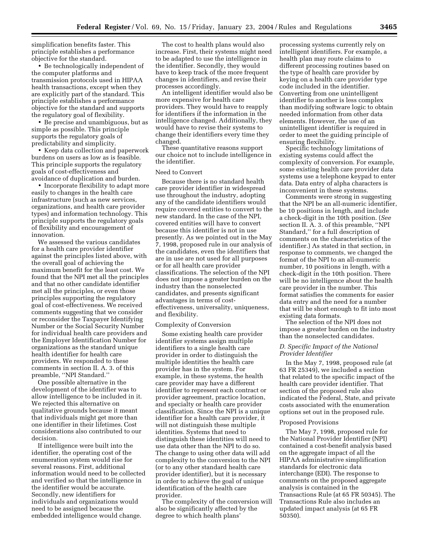simplification benefits faster. This principle establishes a performance objective for the standard.

• Be technologically independent of the computer platforms and transmission protocols used in HIPAA health transactions, except when they are explicitly part of the standard. This principle establishes a performance objective for the standard and supports the regulatory goal of flexibility.

• Be precise and unambiguous, but as simple as possible. This principle supports the regulatory goals of predictability and simplicity.

• Keep data collection and paperwork burdens on users as low as is feasible. This principle supports the regulatory goals of cost-effectiveness and avoidance of duplication and burden.

• Incorporate flexibility to adapt more easily to changes in the health care infrastructure (such as new services, organizations, and health care provider types) and information technology. This principle supports the regulatory goals of flexibility and encouragement of innovation.

We assessed the various candidates for a health care provider identifier against the principles listed above, with the overall goal of achieving the maximum benefit for the least cost. We found that the NPI met all the principles and that no other candidate identifier met all the principles, or even those principles supporting the regulatory goal of cost-effectiveness. We received comments suggesting that we consider or reconsider the Taxpayer Identifying Number or the Social Security Number for individual health care providers and the Employer Identification Number for organizations as the standard unique health identifier for health care providers. We responded to these comments in section II. A. 3. of this preamble, ''NPI Standard.''

One possible alternative in the development of the identifier was to allow intelligence to be included in it. We rejected this alternative on qualitative grounds because it meant that individuals might get more than one identifier in their lifetimes. Cost considerations also contributed to our decision.

If intelligence were built into the identifier, the operating cost of the enumeration system would rise for several reasons. First, additional information would need to be collected and verified so that the intelligence in the identifier would be accurate. Secondly, new identifiers for individuals and organizations would need to be assigned because the embedded intelligence would change.

The cost to health plans would also increase. First, their systems might need to be adapted to use the intelligence in the identifier. Secondly, they would have to keep track of the more frequent changes in identifiers, and revise their processes accordingly.

An intelligent identifier would also be more expensive for health care providers. They would have to reapply for identifiers if the information in the intelligence changed. Additionally, they would have to revise their systems to change their identifiers every time they changed.

These quantitative reasons support our choice not to include intelligence in the identifier.

#### Need to Convert

Because there is no standard health care provider identifier in widespread use throughout the industry, adopting any of the candidate identifiers would require covered entities to convert to the new standard. In the case of the NPI, covered entities will have to convert because this identifier is not in use presently. As we pointed out in the May 7, 1998, proposed rule in our analysis of the candidates, even the identifiers that are in use are not used for all purposes or for all health care provider classifications. The selection of the NPI does not impose a greater burden on the industry than the nonselected candidates, and presents significant advantages in terms of costeffectiveness, universality, uniqueness, and flexibility.

#### Complexity of Conversion

Some existing health care provider identifier systems assign multiple identifiers to a single health care provider in order to distinguish the multiple identities the health care provider has in the system. For example, in these systems, the health care provider may have a different identifier to represent each contract or provider agreement, practice location, and specialty or health care provider classification. Since the NPI is a unique identifier for a health care provider, it will not distinguish these multiple identities. Systems that need to distinguish these identities will need to use data other than the NPI to do so. The change to using other data will add complexity to the conversion to the NPI (or to any other standard health care provider identifier), but it is necessary in order to achieve the goal of unique identification of the health care provider.

The complexity of the conversion will also be significantly affected by the degree to which health plans'

processing systems currently rely on intelligent identifiers. For example, a health plan may route claims to different processing routines based on the type of health care provider by keying on a health care provider type code included in the identifier. Converting from one unintelligent identifier to another is less complex than modifying software logic to obtain needed information from other data elements. However, the use of an unintelligent identifier is required in order to meet the guiding principle of ensuring flexibility.

Specific technology limitations of existing systems could affect the complexity of conversion. For example, some existing health care provider data systems use a telephone keypad to enter data. Data entry of alpha characters is inconvenient in these systems.

Comments were strong in suggesting that the NPI be an all-numeric identifier, be 10 positions in length, and include a check-digit in the 10th position. (*See* section II. A. 3. of this preamble, ''NPI Standard,'' for a full description of comments on the characteristics of the identifier.) As stated in that section, in response to comments, we changed the format of the NPI to an all-numeric number, 10 positions in length, with a check-digit in the 10th position. There will be no intelligence about the health care provider in the number. This format satisfies the comments for easier data entry and the need for a number that will be short enough to fit into most existing data formats.

The selection of the NPI does not impose a greater burden on the industry than the nonselected candidates.

#### *D. Specific Impact of the National Provider Identifier*

In the May 7, 1998, proposed rule (at 63 FR 25349), we included a section that related to the specific impact of the health care provider identifier. That section of the proposed rule also indicated the Federal, State, and private costs associated with the enumeration options set out in the proposed rule.

#### Proposed Provisions

The May 7, 1998, proposed rule for the National Provider Identifier (NPI) contained a cost-benefit analysis based on the aggregate impact of all the HIPAA administrative simplification standards for electronic data interchange (EDI). The response to comments on the proposed aggregate analysis is contained in the Transactions Rule (at 65 FR 50345). The Transactions Rule also includes an updated impact analysis (at 65 FR 50350).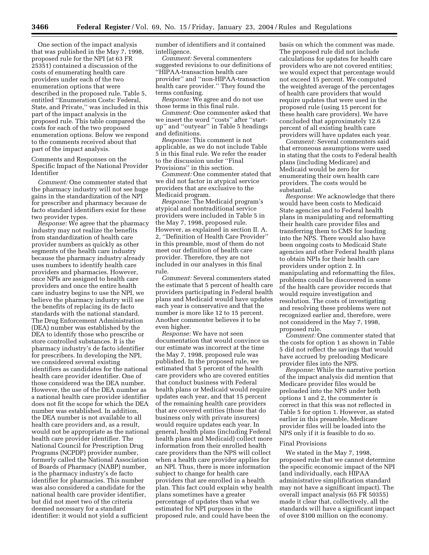One section of the impact analysis that was published in the May 7, 1998, proposed rule for the NPI (at 63 FR 25351) contained a discussion of the costs of enumerating health care providers under each of the two enumeration options that were described in the proposed rule. Table 5, entitled ''Enumeration Costs: Federal, State, and Private,'' was included in this part of the impact analysis in the proposed rule. This table compared the costs for each of the two proposed enumeration options. Below we respond to the comments received about that part of the impact analysis.

Comments and Responses on the Specific Impact of the National Provider Identifier

*Comment:* One commenter stated that the pharmacy industry will not see huge gains in the standardization of the NPI for prescriber and pharmacy because de facto standard identifiers exist for these two provider types.

*Response:* We agree that the pharmacy industry may not realize the benefits from standardization of health care provider numbers as quickly as other segments of the health care industry because the pharmacy industry already uses numbers to identify health care providers and pharmacies. However, once NPIs are assigned to health care providers and once the entire health care industry begins to use the NPI, we believe the pharmacy industry will see the benefits of replacing its de facto standards with the national standard. The Drug Enforcement Administration (DEA) number was established by the DEA to identify those who prescribe or store controlled substances. It is the pharmacy industry's de facto identifier for prescribers. In developing the NPI, we considered several existing identifiers as candidates for the national health care provider identifier. One of those considered was the DEA number. However, the use of the DEA number as a national health care provider identifier does not fit the scope for which the DEA number was established. In addition, the DEA number is not available to all health care providers and, as a result, would not be appropriate as the national health care provider identifier. The National Council for Prescription Drug Programs (NCPDP) provider number, formerly called the National Association of Boards of Pharmacy (NABP) number, is the pharmacy industry's de facto identifier for pharmacies. This number was also considered a candidate for the national health care provider identifier, but did not meet two of the criteria deemed necessary for a standard identifier: it would not yield a sufficient

number of identifiers and it contained intelligence.

*Comment:* Several commenters suggested revisions to our definitions of ''HIPAA-transaction health care provider'' and ''non-HIPAA-transaction health care provider.'' They found the terms confusing.

*Response:* We agree and do not use those terms in this final rule.

*Comment:* One commenter asked that we insert the word ''costs'' after ''startup'' and ''outyear'' in Table 5 headings and definitions.

*Response:* This comment is not applicable, as we do not include Table 5 in this final rule. We refer the reader to the discussion under ''Final Provisions'' in this section.

*Comment:* One commenter stated that we did not factor in atypical service providers that are exclusive to the Medicaid program.

*Response:* The Medicaid program's atypical and nontraditional service providers were included in Table 5 in the May 7, 1998, proposed rule. However, as explained in section II. A. 2, ''Definition of Health Care Provider'' in this preamble, most of them do not meet our definition of health care provider. Therefore, they are not included in our analyses in this final rule.

*Comment:* Several commenters stated the estimate that 5 percent of health care providers participating in Federal health plans and Medicaid would have updates each year is conservative and that the number is more like 12 to 15 percent. Another commenter believes it to be even higher.

*Response:* We have not seen documentation that would convince us our estimate was incorrect at the time the May 7, 1998, proposed rule was published. In the proposed rule, we estimated that 5 percent of the health care providers who are covered entities that conduct business with Federal health plans or Medicaid would require updates each year, and that 15 percent of the remaining health care providers that are covered entities (those that do business only with private insurers) would require updates each year. In general, health plans (including Federal health plans and Medicaid) collect more information from their enrolled health care providers than the NPS will collect when a health care provider applies for an NPI. Thus, there is more information subject to change for health care providers that are enrolled in a health plan. This fact could explain why health plans sometimes have a greater percentage of updates than what we estimated for NPI purposes in the proposed rule, and could have been the

basis on which the comment was made. The proposed rule did not include calculations for updates for health care providers who are not covered entities; we would expect that percentage would not exceed 15 percent. We computed the weighted average of the percentages of health care providers that would require updates that were used in the proposed rule (using 15 percent for these health care providers). We have concluded that approximately 12.6 percent of all existing health care providers will have updates each year.

*Comment:* Several commenters said that erroneous assumptions were used in stating that the costs to Federal health plans (including Medicare) and Medicaid would be zero for enumerating their own health care providers. The costs would be substantial.

*Response:* We acknowledge that there would have been costs to Medicaid State agencies and to Federal health plans in manipulating and reformatting their health care provider files and transferring them to CMS for loading into the NPS. There would also have been ongoing costs to Medicaid State agencies and other Federal health plans to obtain NPIs for their health care providers under option 2. In manipulating and reformatting the files, problems could be discovered in some of the health care provider records that would require investigation and resolution. The costs of investigating and resolving these problems were not recognized earlier and, therefore, were not considered in the May 7, 1998, proposed rule.

*Comment:* One commenter stated that the costs for option 1 as shown in Table 5 did not reflect the savings that would have accrued by preloading Medicare provider files into the NPS.

*Response:* While the narrative portion of the impact analysis did mention that Medicare provider files would be preloaded into the NPS under both options 1 and 2, the commenter is correct in that this was not reflected in Table 5 for option 1. However, as stated earlier in this preamble, Medicare provider files will be loaded into the NPS only if it is feasible to do so.

#### Final Provisions

We stated in the May 7, 1998, proposed rule that we cannot determine the specific economic impact of the NPI (and individually, each HIPAA administrative simplification standard may not have a significant impact). The overall impact analysis (65 FR 50355) made it clear that, collectively, all the standards will have a significant impact of over \$100 million on the economy.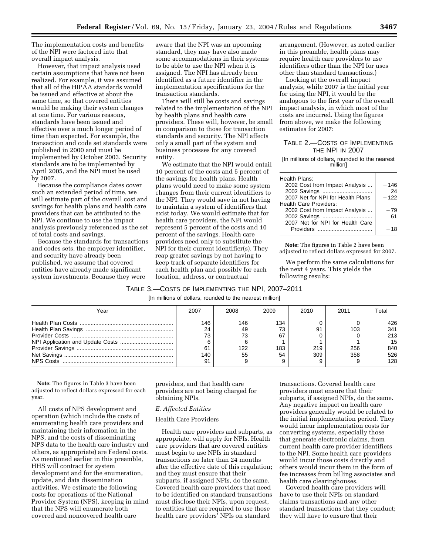The implementation costs and benefits of the NPI were factored into that overall impact analysis.

However, that impact analysis used certain assumptions that have not been realized. For example, it was assumed that all of the HIPAA standards would be issued and effective at about the same time, so that covered entities would be making their system changes at one time. For various reasons, standards have been issued and effective over a much longer period of time than expected. For example, the transaction and code set standards were published in 2000 and must be implemented by October 2003. Security standards are to be implemented by April 2005, and the NPI must be used by 2007.

Because the compliance dates cover such an extended period of time, we will estimate part of the overall cost and savings for health plans and health care providers that can be attributed to the NPI. We continue to use the impact analysis previously referenced as the set of total costs and savings.

Because the standards for transactions and codes sets, the employer identifier, and security have already been published, we assume that covered entities have already made significant system investments. Because they were

aware that the NPI was an upcoming standard, they may have also made some accommodations in their systems to be able to use the NPI when it is assigned. The NPI has already been identified as a future identifier in the implementation specifications for the transaction standards.

There will still be costs and savings related to the implementation of the NPI by health plans and health care providers. These will, however, be small in comparison to those for transaction standards and security. The NPI affects only a small part of the system and business processes for any covered entity.

We estimate that the NPI would entail 10 percent of the costs and 5 percent of the savings for health plans. Health plans would need to make some system changes from their current identifiers to the NPI. They would save in not having to maintain a system of identifiers that exist today. We would estimate that for health care providers, the NPI would represent 5 percent of the costs and 10 percent of the savings. Health care providers need only to substitute the NPI for their current identifier(s). They reap greater savings by not having to keep track of separate identifiers for each health plan and possibly for each location, address, or contractual

arrangement. (However, as noted earlier in this preamble, health plans may require health care providers to use identifiers other than the NPI for uses other than standard transactions.)

Looking at the overall impact analysis, while 2007 is the initial year for using the NPI, it would be the analogous to the first year of the overall impact analysis, in which most of the costs are incurred. Using the figures from above, we make the following estimates for 2007:

#### TABLE 2.—COSTS OF IMPLEMENTING THE NPI IN 2007

#### [In millions of dollars, rounded to the nearest million]

| Health Plans:                     |        |
|-----------------------------------|--------|
| 2002 Cost from Impact Analysis    | $-146$ |
| 2002 Savings                      | 24     |
| 2007 Net for NPI for Health Plans | $-122$ |
| <b>Health Care Providers:</b>     |        |
| 2002 Cost from Impact Analysis    | $-79$  |
| 2002 Savings                      | 61     |
| 2007 Net for NPI for Health Care  |        |
|                                   | $-18$  |
|                                   |        |

**Note:** The figures in Table 2 have been adjusted to reflect dollars expressed for 2007.

We perform the same calculations for the next 4 years. This yields the following results:

## TABLE 3.—COSTS OF IMPLEMENTING THE NPI, 2007–2011

[In millions of dollars, rounded to the nearest million]

| Year | 2007         | 2008        | 2009      | 2010       | 2011       | Total      |
|------|--------------|-------------|-----------|------------|------------|------------|
|      | 146          | 146         | 134<br>ᢇ  |            |            | 426        |
|      | 24<br>73     | 49<br>73    | 67        | 91         | 103        | 341<br>213 |
|      |              |             |           |            |            | 15         |
|      | 61<br>$-140$ | 122<br>- 55 | 183<br>54 | 219<br>309 | 256<br>358 | 840<br>526 |
|      |              |             |           |            |            | 128        |

**Note:** The figures in Table 3 have been adjusted to reflect dollars expressed for each year.

All costs of NPS development and operation (which include the costs of enumerating health care providers and maintaining their information in the NPS, and the costs of disseminating NPS data to the health care industry and others, as appropriate) are Federal costs. As mentioned earlier in this preamble, HHS will contract for system development and for the enumeration, update, and data dissemination activities. We estimate the following costs for operations of the National Provider System (NPS), keeping in mind that the NPS will enumerate both covered and noncovered health care

providers, and that health care providers are not being charged for obtaining NPIs.

#### *E. Affected Entities*

#### Health Care Providers

Health care providers and subparts, as appropriate, will apply for NPIs. Health care providers that are covered entities must begin to use NPIs in standard transactions no later than 24 months after the effective date of this regulation; and they must ensure that their subparts, if assigned NPIs, do the same. Covered health care providers that need to be identified on standard transactions must disclose their NPIs, upon request, to entities that are required to use those health care providers' NPIs on standard

transactions. Covered health care providers must ensure that their subparts, if assigned NPIs, do the same. Any negative impact on health care providers generally would be related to the initial implementation period. They would incur implementation costs for converting systems, especially those that generate electronic claims, from current health care provider identifiers to the NPI. Some health care providers would incur those costs directly and others would incur them in the form of fee increases from billing associates and health care clearinghouses.

Covered health care providers will have to use their NPIs on standard claims transactions and any other standard transactions that they conduct; they will have to ensure that their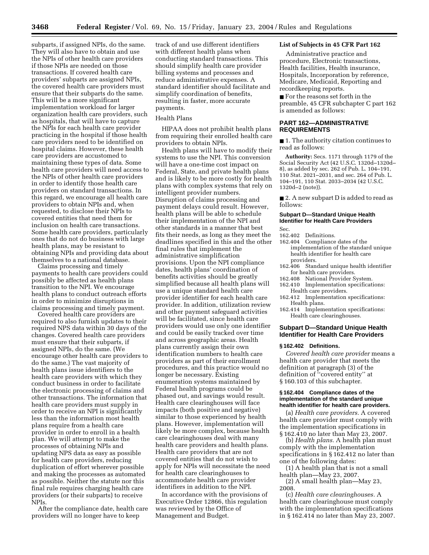subparts, if assigned NPIs, do the same. They will also have to obtain and use the NPIs of other health care providers if those NPIs are needed on those transactions. If covered health care providers' subparts are assigned NPIs, the covered health care providers must ensure that their subparts do the same. This will be a more significant implementation workload for larger organization health care providers, such as hospitals, that will have to capture the NPIs for each health care provider practicing in the hospital if those health care providers need to be identified on hospital claims. However, these health care providers are accustomed to maintaining these types of data. Some health care providers will need access to the NPIs of other health care providers in order to identify those health care providers on standard transactions. In this regard, we encourage all health care providers to obtain NPIs and, when requested, to disclose their NPIs to covered entities that need them for inclusion on health care transactions. Some health care providers, particularly ones that do not do business with large health plans, may be resistant to obtaining NPIs and providing data about themselves to a national database.

Claims processing and timely payments to health care providers could possibly be affected as health plans transition to the NPI. We encourage health plans to conduct outreach efforts in order to minimize disruptions in claims processing and timely payment.

Covered health care providers are required to also furnish updates to their required NPS data within 30 days of the changes. Covered health care providers must ensure that their subparts, if assigned NPIs, do the same. (We encourage other health care providers to do the same.) The vast majority of health plans issue identifiers to the health care providers with which they conduct business in order to facilitate the electronic processing of claims and other transactions. The information that health care providers must supply in order to receive an NPI is significantly less than the information most health plans require from a health care provider in order to enroll in a health plan. We will attempt to make the processes of obtaining NPIs and updating NPS data as easy as possible for health care providers, reducing duplication of effort wherever possible and making the processes as automated as possible. Neither the statute nor this final rule requires charging health care providers (or their subparts) to receive NPIs.

After the compliance date, health care providers will no longer have to keep

track of and use different identifiers with different health plans when conducting standard transactions. This should simplify health care provider billing systems and processes and reduce administrative expenses. A standard identifier should facilitate and simplify coordination of benefits, resulting in faster, more accurate payments.

#### Health Plans

HIPAA does not prohibit health plans from requiring their enrolled health care providers to obtain NPIs.

Health plans will have to modify their systems to use the NPI. This conversion will have a one-time cost impact on Federal, State, and private health plans and is likely to be more costly for health plans with complex systems that rely on intelligent provider numbers. Disruption of claims processing and payment delays could result. However, health plans will be able to schedule their implementation of the NPI and other standards in a manner that best fits their needs, as long as they meet the deadlines specified in this and the other final rules that implement the administrative simplification provisions. Upon the NPI compliance dates, health plans' coordination of benefits activities should be greatly simplified because all health plans will use a unique standard health care provider identifier for each health care provider. In addition, utilization review and other payment safeguard activities will be facilitated, since health care providers would use only one identifier and could be easily tracked over time and across geographic areas. Health plans currently assign their own identification numbers to health care providers as part of their enrollment procedures, and this practice would no longer be necessary. Existing enumeration systems maintained by Federal health programs could be phased out, and savings would result. Health care clearinghouses will face impacts (both positive and negative) similar to those experienced by health plans. However, implementation will likely be more complex, because health care clearinghouses deal with many health care providers and health plans. Health care providers that are not covered entities that do not wish to apply for NPIs will necessitate the need for health care clearinghouses to accommodate health care provider identifiers in addition to the NPI.

In accordance with the provisions of Executive Order 12866, this regulation was reviewed by the Office of Management and Budget.

#### **List of Subjects in 45 CFR Part 162**

Administrative practice and procedure, Electronic transactions, Health facilities, Health insurance, Hospitals, Incorporation by reference, Medicare, Medicaid, Reporting and recordkeeping reports.

■ For the reasons set forth in the preamble, 45 CFR subchapter C part 162 is amended as follows:

#### **PART 162—ADMINISTRATIVE REQUIREMENTS**

■ 1. The authority citation continues to read as follows:

**Authority:** Secs. 1171 through 1179 of the Social Security Act (42 U.S.C. 1320d–1320d– 8), as added by sec. 262 of Pub. L. 104–191, 110 Stat. 2021–2031, and sec. 264 of Pub. L. 104–191, 110 Stat. 2033–2034 (42 U.S.C. 1320d–2 (note)).

■ 2. A new subpart D is added to read as follows:

#### **Subpart D—Standard Unique Health Identifier for Health Care Providers**

#### 162.402 Definitions.

Sec.

- 162.404 Compliance dates of the
- implementation of the standard unique health identifier for health care providers.
- 162.406 Standard unique health identifier for health care providers.
- 162.408 National Provider System.<br>162.410 Implementation specificat
- Implementation specifications: Health care providers.
- 162.412 Implementation specifications: Health plans.
- 162.414 Implementation specifications: Health care clearinghouses.

#### **Subpart D—Standard Unique Health Identifier for Health Care Providers**

#### **§ 162.402 Definitions.**

*Covered health care provider* means a health care provider that meets the definition at paragraph (3) of the definition of ''covered entity'' at § 160.103 of this subchapter.

#### **§ 162.404 Compliance dates of the implementation of the standard unique health identifier for health care providers.**

(a) *Health care providers.* A covered health care provider must comply with the implementation specifications in § 162.410 no later than May 23, 2007.

(b) *Health plans.* A health plan must comply with the implementation specifications in § 162.412 no later than one of the following dates:

(1) A health plan that is not a small health plan—May 23, 2007.

(2) A small health plan—May 23, 2008.

(c) *Health care clearinghouses.* A health care clearinghouse must comply with the implementation specifications in § 162.414 no later than May 23, 2007.